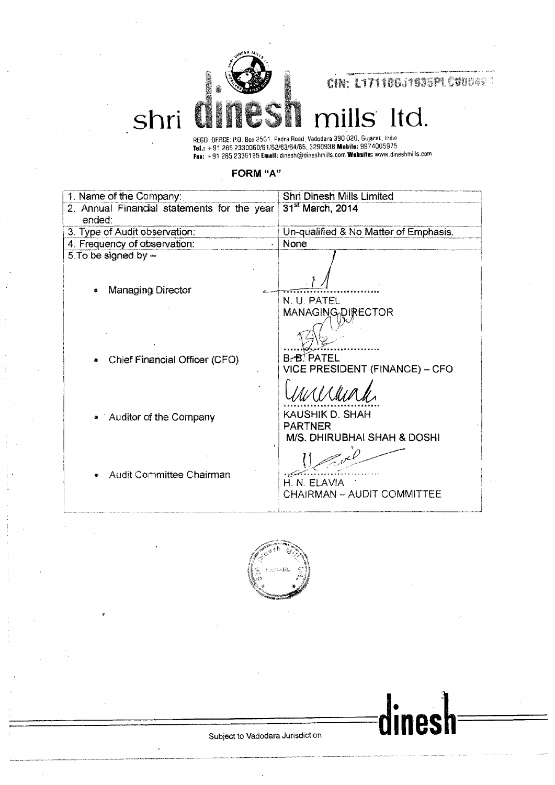## \_\_,-\_." \_\_-\_\_ ... "\_\_". ..\_-.. -,,-\_- \*.. . ." ,-> . . GfR; grnq73 \$@gj.pgg\$p[ *t;"".\$yq::;Si'* **,%4** &,. *%Fa'\** " ' Shri **UIIESI** mills Itd. .

**lei.: -t-91** 265 2330060!61i62!63/64/65. 3290938 **Mobile:** 9974005975 **fax:** \* 91 265 23361 95 **Email:** dinesh@dineshmiils.oom **Wsbsite:** www.dineshmills.corn

## **FORM** "A

| 1. Name of the Company:                     | Shri Dinesh Mills Limited                                               |
|---------------------------------------------|-------------------------------------------------------------------------|
| 2. Annual Financial statements for the year | 31 <sup>st</sup> March, 2014                                            |
| ended:                                      |                                                                         |
| 3. Type of Audit observation:               | Un-qualified & No Matter of Emphasis.                                   |
| 4. Frequency of observation:                | None                                                                    |
| 5. To be signed by $-$                      |                                                                         |
| <b>Managing Director</b>                    |                                                                         |
|                                             | N.U. PATEL<br><b>MANAGING DIRECTOR</b>                                  |
| Chief Financial Officer (CFO)               | <b>B-B PATEL</b><br>VICE PRESIDENT (FINANCE) - CFO                      |
|                                             | Winny                                                                   |
| Auditor of the Company                      | <b>KAUSHIK D. SHAH</b><br><b>PARTNER</b><br>M/S. DHIRUBHAI SHAH & DOSHI |
| Audit Committee Chairman                    | H N FIAVIA<br><b>CHAIRMAN - AUDIT COMMITTEE</b>                         |



Subject to Vadodara Jurisdiction

dines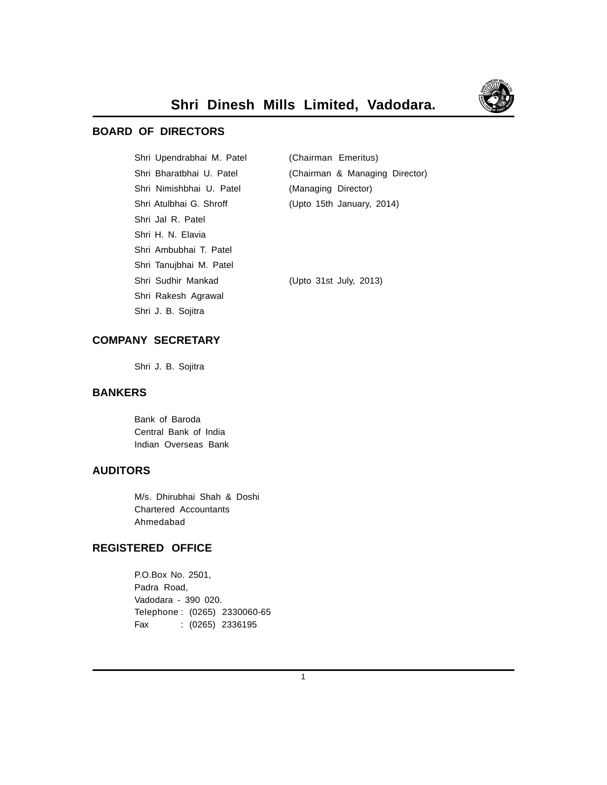

#### **BOARD OF DIRECTORS**

Shri Upendrabhai M. Patel (Chairman Emeritus) Shri Bharatbhai U. Patel (Chairman & Managing Director) Shri Nimishbhai U. Patel (Managing Director) Shri Atulbhai G. Shroff (Upto 15th January, 2014) Shri Jal R. Patel Shri H. N. Elavia Shri Ambubhai T. Patel Shri Tanujbhai M. Patel Shri Sudhir Mankad (Upto 31st July, 2013) Shri Rakesh Agrawal Shri J. B. Sojitra

## **COMPANY SECRETARY**

Shri J. B. Sojitra

#### **BANKERS**

Bank of Baroda Central Bank of India Indian Overseas Bank

#### **AUDITORS**

M/s. Dhirubhai Shah & Doshi Chartered Accountants Ahmedabad

#### **REGISTERED OFFICE**

P.O.Box No. 2501, Padra Road, Vadodara - 390 020. Telephone : (0265) 2330060-65 Fax : (0265) 2336195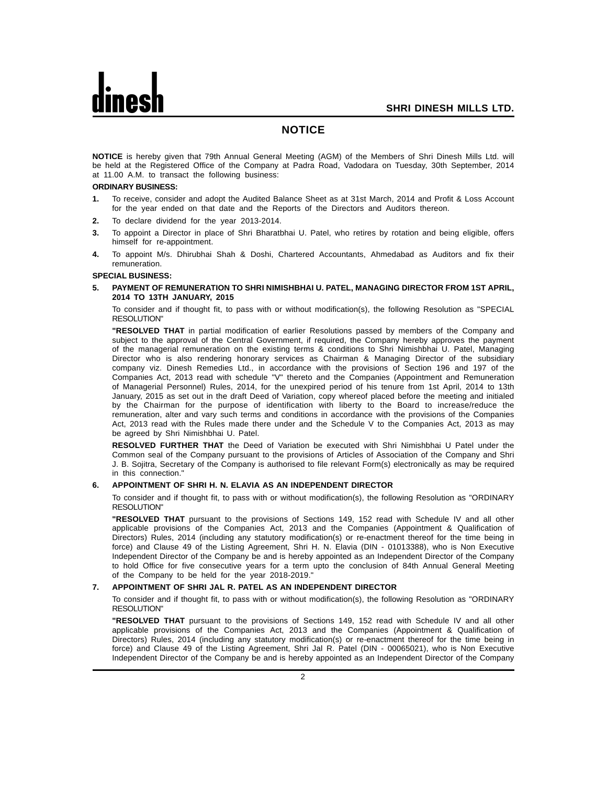#### **NOTICE**

**NOTICE** is hereby given that 79th Annual General Meeting (AGM) of the Members of Shri Dinesh Mills Ltd. will be held at the Registered Office of the Company at Padra Road, Vadodara on Tuesday, 30th September, 2014 at 11.00 A.M. to transact the following business:

#### **ORDINARY BUSINESS:**

- **1.** To receive, consider and adopt the Audited Balance Sheet as at 31st March, 2014 and Profit & Loss Account for the year ended on that date and the Reports of the Directors and Auditors thereon.
- **2.** To declare dividend for the year 2013-2014.
- **3.** To appoint a Director in place of Shri Bharatbhai U. Patel, who retires by rotation and being eligible, offers himself for re-appointment.
- **4.** To appoint M/s. Dhirubhai Shah & Doshi, Chartered Accountants, Ahmedabad as Auditors and fix their remuneration.

#### **SPECIAL BUSINESS:**

**5. PAYMENT OF REMUNERATION TO SHRI NIMISHBHAI U. PATEL, MANAGING DIRECTOR FROM 1ST APRIL, 2014 TO 13TH JANUARY, 2015**

To consider and if thought fit, to pass with or without modification(s), the following Resolution as "SPECIAL RESOLUTION"

**"RESOLVED THAT** in partial modification of earlier Resolutions passed by members of the Company and subject to the approval of the Central Government, if required, the Company hereby approves the payment of the managerial remuneration on the existing terms & conditions to Shri Nimishbhai U. Patel, Managing Director who is also rendering honorary services as Chairman & Managing Director of the subsidiary company viz. Dinesh Remedies Ltd., in accordance with the provisions of Section 196 and 197 of the Companies Act, 2013 read with schedule "V" thereto and the Companies (Appointment and Remuneration of Managerial Personnel) Rules, 2014, for the unexpired period of his tenure from 1st April, 2014 to 13th January, 2015 as set out in the draft Deed of Variation, copy whereof placed before the meeting and initialed by the Chairman for the purpose of identification with liberty to the Board to increase/reduce the remuneration, alter and vary such terms and conditions in accordance with the provisions of the Companies Act, 2013 read with the Rules made there under and the Schedule V to the Companies Act, 2013 as may be agreed by Shri Nimishbhai U. Patel.

**RESOLVED FURTHER THAT** the Deed of Variation be executed with Shri Nimishbhai U Patel under the Common seal of the Company pursuant to the provisions of Articles of Association of the Company and Shri J. B. Sojitra, Secretary of the Company is authorised to file relevant Form(s) electronically as may be required in this connection."

#### **6. APPOINTMENT OF SHRI H. N. ELAVIA AS AN INDEPENDENT DIRECTOR**

To consider and if thought fit, to pass with or without modification(s), the following Resolution as "ORDINARY RESOLUTION"

**"RESOLVED THAT** pursuant to the provisions of Sections 149, 152 read with Schedule IV and all other applicable provisions of the Companies Act, 2013 and the Companies (Appointment & Qualification of Directors) Rules, 2014 (including any statutory modification(s) or re-enactment thereof for the time being in force) and Clause 49 of the Listing Agreement, Shri H. N. Elavia (DIN - 01013388), who is Non Executive Independent Director of the Company be and is hereby appointed as an Independent Director of the Company to hold Office for five consecutive years for a term upto the conclusion of 84th Annual General Meeting of the Company to be held for the year 2018-2019."

#### **7. APPOINTMENT OF SHRI JAL R. PATEL AS AN INDEPENDENT DIRECTOR**

To consider and if thought fit, to pass with or without modification(s), the following Resolution as "ORDINARY RESOLUTION"

**"RESOLVED THAT** pursuant to the provisions of Sections 149, 152 read with Schedule IV and all other applicable provisions of the Companies Act, 2013 and the Companies (Appointment & Qualification of Directors) Rules, 2014 (including any statutory modification(s) or re-enactment thereof for the time being in force) and Clause 49 of the Listing Agreement, Shri Jal R. Patel (DIN - 00065021), who is Non Executive Independent Director of the Company be and is hereby appointed as an Independent Director of the Company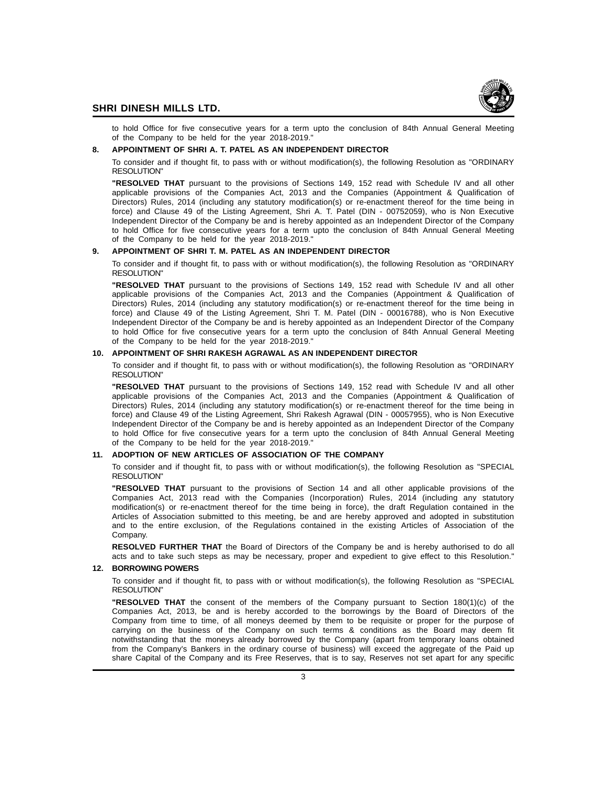

to hold Office for five consecutive years for a term upto the conclusion of 84th Annual General Meeting of the Company to be held for the year 2018-2019."

#### **8. APPOINTMENT OF SHRI A. T. PATEL AS AN INDEPENDENT DIRECTOR**

To consider and if thought fit, to pass with or without modification(s), the following Resolution as "ORDINARY RESOLUTION"

**"RESOLVED THAT** pursuant to the provisions of Sections 149, 152 read with Schedule IV and all other applicable provisions of the Companies Act, 2013 and the Companies (Appointment & Qualification of Directors) Rules, 2014 (including any statutory modification(s) or re-enactment thereof for the time being in force) and Clause 49 of the Listing Agreement, Shri A. T. Patel (DIN - 00752059), who is Non Executive Independent Director of the Company be and is hereby appointed as an Independent Director of the Company to hold Office for five consecutive years for a term upto the conclusion of 84th Annual General Meeting of the Company to be held for the year 2018-2019."

#### **9. APPOINTMENT OF SHRI T. M. PATEL AS AN INDEPENDENT DIRECTOR**

To consider and if thought fit, to pass with or without modification(s), the following Resolution as "ORDINARY RESOLUTION"

**"RESOLVED THAT** pursuant to the provisions of Sections 149, 152 read with Schedule IV and all other applicable provisions of the Companies Act, 2013 and the Companies (Appointment & Qualification of Directors) Rules, 2014 (including any statutory modification(s) or re-enactment thereof for the time being in force) and Clause 49 of the Listing Agreement, Shri T. M. Patel (DIN - 00016788), who is Non Executive Independent Director of the Company be and is hereby appointed as an Independent Director of the Company to hold Office for five consecutive years for a term upto the conclusion of 84th Annual General Meeting of the Company to be held for the year 2018-2019."

#### **10. APPOINTMENT OF SHRI RAKESH AGRAWAL AS AN INDEPENDENT DIRECTOR**

To consider and if thought fit, to pass with or without modification(s), the following Resolution as "ORDINARY RESOLUTION"

**"RESOLVED THAT** pursuant to the provisions of Sections 149, 152 read with Schedule IV and all other applicable provisions of the Companies Act, 2013 and the Companies (Appointment & Qualification of Directors) Rules, 2014 (including any statutory modification(s) or re-enactment thereof for the time being in force) and Clause 49 of the Listing Agreement, Shri Rakesh Agrawal (DIN - 00057955), who is Non Executive Independent Director of the Company be and is hereby appointed as an Independent Director of the Company to hold Office for five consecutive years for a term upto the conclusion of 84th Annual General Meeting of the Company to be held for the year 2018-2019."

#### **11. ADOPTION OF NEW ARTICLES OF ASSOCIATION OF THE COMPANY**

To consider and if thought fit, to pass with or without modification(s), the following Resolution as "SPECIAL RESOLUTION"

**"RESOLVED THAT** pursuant to the provisions of Section 14 and all other applicable provisions of the Companies Act, 2013 read with the Companies (Incorporation) Rules, 2014 (including any statutory modification(s) or re-enactment thereof for the time being in force), the draft Regulation contained in the Articles of Association submitted to this meeting, be and are hereby approved and adopted in substitution and to the entire exclusion, of the Regulations contained in the existing Articles of Association of the Company.

**RESOLVED FURTHER THAT** the Board of Directors of the Company be and is hereby authorised to do all acts and to take such steps as may be necessary, proper and expedient to give effect to this Resolution."

#### **12. BORROWING POWERS**

To consider and if thought fit, to pass with or without modification(s), the following Resolution as "SPECIAL RESOLUTION"

**"RESOLVED THAT** the consent of the members of the Company pursuant to Section 180(1)(c) of the Companies Act, 2013, be and is hereby accorded to the borrowings by the Board of Directors of the Company from time to time, of all moneys deemed by them to be requisite or proper for the purpose of carrying on the business of the Company on such terms & conditions as the Board may deem fit notwithstanding that the moneys already borrowed by the Company (apart from temporary loans obtained from the Company's Bankers in the ordinary course of business) will exceed the aggregate of the Paid up share Capital of the Company and its Free Reserves, that is to say, Reserves not set apart for any specific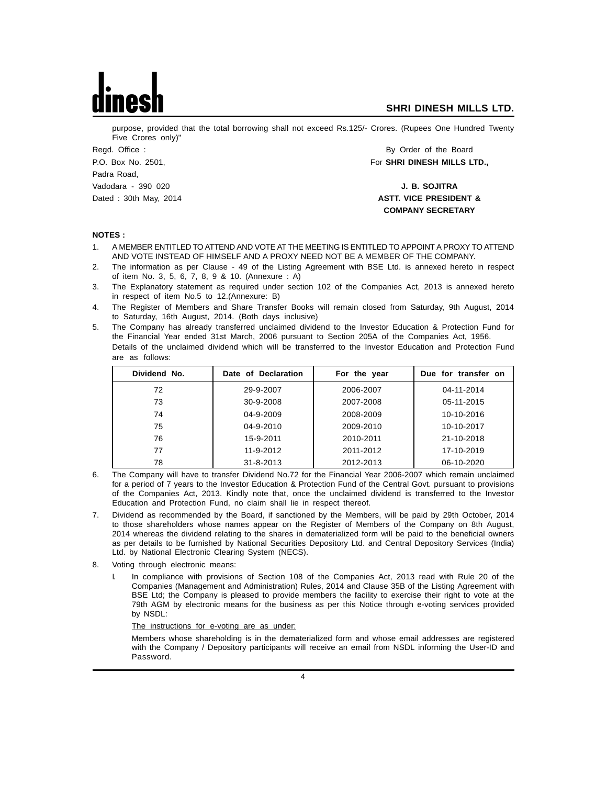purpose, provided that the total borrowing shall not exceed Rs.125/- Crores. (Rupees One Hundred Twenty Five Crores only)"

Padra Road, Vadodara - 390 020 **J. B. SOJITRA**

Read. Office : By Order of the Board Control of the Board By Order of the Board P.O. Box No. 2501, **For SHRI DINESH MILLS LTD.,** 

## Dated : 30th May, 2014 **ASTT. VICE PRESIDENT & COMPANY SECRETARY**

#### **NOTES :**

- 1. A MEMBER ENTITLED TO ATTEND AND VOTE AT THE MEETING IS ENTITLED TO APPOINT A PROXY TO ATTEND AND VOTE INSTEAD OF HIMSELF AND A PROXY NEED NOT BE A MEMBER OF THE COMPANY.
- 2. The information as per Clause 49 of the Listing Agreement with BSE Ltd. is annexed hereto in respect of item No. 3, 5, 6, 7, 8, 9 & 10. (Annexure : A)
- 3. The Explanatory statement as required under section 102 of the Companies Act, 2013 is annexed hereto in respect of item No.5 to 12.(Annexure: B)
- 4. The Register of Members and Share Transfer Books will remain closed from Saturday, 9th August, 2014 to Saturday, 16th August, 2014. (Both days inclusive)
- 5. The Company has already transferred unclaimed dividend to the Investor Education & Protection Fund for the Financial Year ended 31st March, 2006 pursuant to Section 205A of the Companies Act, 1956. Details of the unclaimed dividend which will be transferred to the Investor Education and Protection Fund are as follows:

| Dividend No. | Date of Declaration | For the year | Due for transfer on |
|--------------|---------------------|--------------|---------------------|
| 72           | 29-9-2007           | 2006-2007    | 04-11-2014          |
| 73           | 30-9-2008           | 2007-2008    | 05-11-2015          |
| 74           | 04-9-2009           | 2008-2009    | 10-10-2016          |
| 75           | $04 - 9 - 2010$     | 2009-2010    | 10-10-2017          |
| 76           | 15-9-2011           | 2010-2011    | 21-10-2018          |
| 77           | 11-9-2012           | 2011-2012    | 17-10-2019          |
| 78           | $31 - 8 - 2013$     | 2012-2013    | 06-10-2020          |

- 6. The Company will have to transfer Dividend No.72 for the Financial Year 2006-2007 which remain unclaimed for a period of 7 years to the Investor Education & Protection Fund of the Central Govt. pursuant to provisions of the Companies Act, 2013. Kindly note that, once the unclaimed dividend is transferred to the Investor Education and Protection Fund, no claim shall lie in respect thereof.
- 7. Dividend as recommended by the Board, if sanctioned by the Members, will be paid by 29th October, 2014 to those shareholders whose names appear on the Register of Members of the Company on 8th August, 2014 whereas the dividend relating to the shares in dematerialized form will be paid to the beneficial owners as per details to be furnished by National Securities Depository Ltd. and Central Depository Services (India) Ltd. by National Electronic Clearing System (NECS).
- 8. Voting through electronic means:
	- In compliance with provisions of Section 108 of the Companies Act, 2013 read with Rule 20 of the Companies (Management and Administration) Rules, 2014 and Clause 35B of the Listing Agreement with BSE Ltd; the Company is pleased to provide members the facility to exercise their right to vote at the 79th AGM by electronic means for the business as per this Notice through e-voting services provided by NSDL:

The instructions for e-voting are as under:

Members whose shareholding is in the dematerialized form and whose email addresses are registered with the Company / Depository participants will receive an email from NSDL informing the User-ID and Password.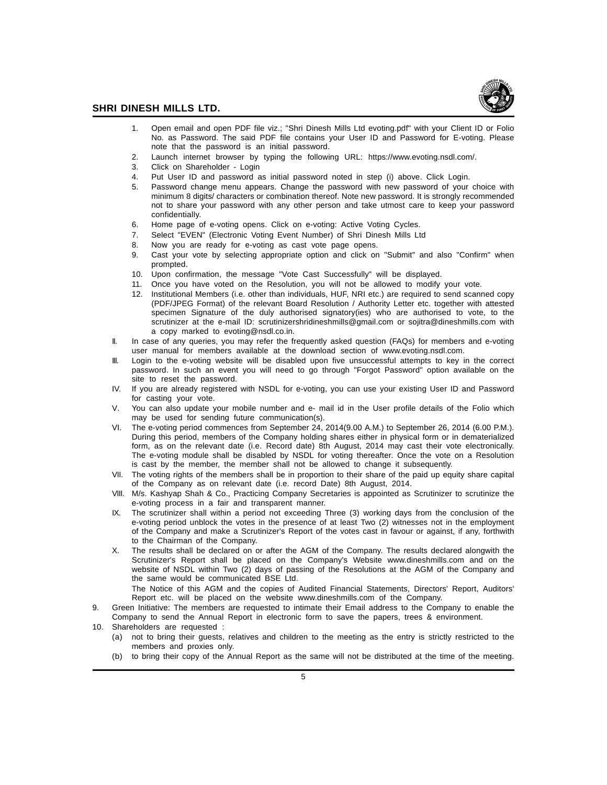

- 1. Open email and open PDF file viz.; "Shri Dinesh Mills Ltd evoting.pdf" with your Client ID or Folio No. as Password. The said PDF file contains your User ID and Password for E-voting. Please note that the password is an initial password.
- 2. Launch internet browser by typing the following URL: https://www.evoting.nsdl.com/.
- 3. Click on Shareholder Login
- 4. Put User ID and password as initial password noted in step (i) above. Click Login.
- 5. Password change menu appears. Change the password with new password of your choice with minimum 8 digits/ characters or combination thereof. Note new password. It is strongly recommended not to share your password with any other person and take utmost care to keep your password confidentially.
- 6. Home page of e-voting opens. Click on e-voting: Active Voting Cycles.
- 7. Select "EVEN" (Electronic Voting Event Number) of Shri Dinesh Mills Ltd
- 8. Now you are ready for e-voting as cast vote page opens.
- 9. Cast your vote by selecting appropriate option and click on "Submit" and also "Confirm" when prompted.
- 10. Upon confirmation, the message "Vote Cast Successfully" will be displayed.
- 11. Once you have voted on the Resolution, you will not be allowed to modify your vote.
- 12. Institutional Members (i.e. other than individuals, HUF, NRI etc.) are required to send scanned copy (PDF/JPEG Format) of the relevant Board Resolution / Authority Letter etc. together with attested specimen Signature of the duly authorised signatory(ies) who are authorised to vote, to the scrutinizer at the e-mail ID: scrutinizershridineshmills@gmail.com or sojitra@dineshmills.com with a copy marked to evoting@nsdl.co.in.
- II. In case of any queries, you may refer the frequently asked question (FAQs) for members and e-voting user manual for members available at the download section of www.evoting.nsdl.com.
- Login to the e-voting website will be disabled upon five unsuccessful attempts to key in the correct password. In such an event you will need to go through "Forgot Password" option available on the site to reset the password.
- IV. If you are already registered with NSDL for e-voting, you can use your existing User ID and Password for casting your vote.
- V. You can also update your mobile number and e- mail id in the User profile details of the Folio which may be used for sending future communication(s).
- VI. The e-voting period commences from September 24, 2014(9.00 A.M.) to September 26, 2014 (6.00 P.M.). During this period, members of the Company holding shares either in physical form or in dematerialized form, as on the relevant date (i.e. Record date) 8th August, 2014 may cast their vote electronically. The e-voting module shall be disabled by NSDL for voting thereafter. Once the vote on a Resolution is cast by the member, the member shall not be allowed to change it subsequently.
- VII. The voting rights of the members shall be in proportion to their share of the paid up equity share capital of the Company as on relevant date (i.e. record Date) 8th August, 2014.
- VIII. M/s. Kashyap Shah & Co., Practicing Company Secretaries is appointed as Scrutinizer to scrutinize the e-voting process in a fair and transparent manner.
- IX. The scrutinizer shall within a period not exceeding Three (3) working days from the conclusion of the e-voting period unblock the votes in the presence of at least Two (2) witnesses not in the employment of the Company and make a Scrutinizer's Report of the votes cast in favour or against, if any, forthwith to the Chairman of the Company.
- X. The results shall be declared on or after the AGM of the Company. The results declared alongwith the Scrutinizer's Report shall be placed on the Company's Website www.dineshmills.com and on the website of NSDL within Two (2) days of passing of the Resolutions at the AGM of the Company and the same would be communicated BSE Ltd.
	- The Notice of this AGM and the copies of Audited Financial Statements, Directors' Report, Auditors' Report etc. will be placed on the website www.dineshmills.com of the Company.
- 9. Green Initiative: The members are requested to intimate their Email address to the Company to enable the Company to send the Annual Report in electronic form to save the papers, trees & environment.

10. Shareholders are requested :

- (a) not to bring their guests, relatives and children to the meeting as the entry is strictly restricted to the members and proxies only.
- (b) to bring their copy of the Annual Report as the same will not be distributed at the time of the meeting.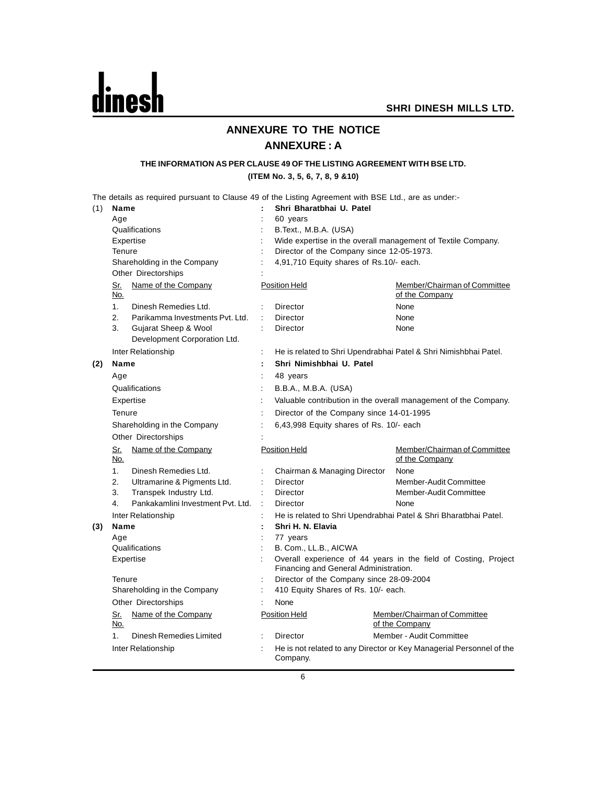

## **ANNEXURE TO THE NOTICE ANNEXURE : A**

### **THE INFORMATION AS PER CLAUSE 49 OF THE LISTING AGREEMENT WITH BSE LTD.**

**(ITEM No. 3, 5, 6, 7, 8, 9 &10)**

| (1)<br>Name |                                                                                                                                  |                                                      | ÷.                          | Shri Bharatbhai U. Patel                  |                                                              |
|-------------|----------------------------------------------------------------------------------------------------------------------------------|------------------------------------------------------|-----------------------------|-------------------------------------------|--------------------------------------------------------------|
|             | Age                                                                                                                              |                                                      |                             | 60 years                                  |                                                              |
|             | Qualifications<br>Expertise<br>Tenure<br>Shareholding in the Company<br>Other Directorships<br>Name of the Company<br>Sr.<br>No. |                                                      |                             | B.Text., M.B.A. (USA)                     |                                                              |
|             |                                                                                                                                  |                                                      |                             |                                           | Wide expertise in the overall management of Textile Company. |
|             |                                                                                                                                  |                                                      |                             | Director of the Company since 12-05-1973. |                                                              |
|             |                                                                                                                                  |                                                      |                             | 4,91,710 Equity shares of Rs.10/- each.   |                                                              |
|             |                                                                                                                                  |                                                      |                             |                                           |                                                              |
|             |                                                                                                                                  |                                                      |                             | <b>Position Held</b>                      | Member/Chairman of Committee<br>of the Company               |
|             | 1.                                                                                                                               | Dinesh Remedies Ltd.                                 |                             | Director                                  | None                                                         |
| 2.          |                                                                                                                                  | Parikamma Investments Pvt. Ltd.                      | $\mathcal{L}_{\mathcal{L}}$ | Director                                  | None                                                         |
|             | 3.                                                                                                                               | Gujarat Sheep & Wool<br>Development Corporation Ltd. | $\mathcal{L}^{\mathcal{L}}$ | Director                                  | None                                                         |
|             |                                                                                                                                  |                                                      |                             |                                           |                                                              |

Inter Relationship : He is related to Shri Upendrabhai Patel & Shri Nimishbhai Patel. **(2) Name : Shri Nimishbhai U. Patel** Age 2012 2022 2023 2024 2024 2022 2023 2024 2022 2023 2024 2022 2023 2024 2022 2023 2024 2022 2023 2024 2022 20 Qualifications : B.B.A., M.B.A. (USA) Expertise : Valuable contribution in the overall management of the Company. Tenure **14-01-1995 :** Director of the Company since 14-01-1995 Shareholding in the Company : 6,43,998 Equity shares of Rs. 10/- each Other Directorships Sr. Name of the Company Position Held Member/Chairman of Committee No. **No.** of the Company 1. Dinesh Remedies Ltd. : Chairman & Managing Director None 2. Ultramarine & Pigments Ltd. : Director and Member-Audit Committee 3. Transpek Industry Ltd. : Director Committee Member-Audit Committee 4. Pankakamlini Investment Pvt. Ltd. : Director Changes None Inter Relationship : He is related to Shri Upendrabhai Patel & Shri Bharatbhai Patel. **(3) Name : Shri H. N. Elavia** Age : 77 years Qualifications : B. Com., LL.B., AICWA Expertise : Overall experience of 44 years in the field of Costing, Project Financing and General Administration. Tenure : Director of the Company since 28-09-2004 Shareholding in the Company : 410 Equity Shares of Rs. 10/- each. Other Directorships : None Sr. Name of the Company Position Held Member/Chairman of Committee No. **No.** of the Company 1. Dinesh Remedies Limited : Director Member - Audit Committee Inter Relationship : He is not related to any Director or Key Managerial Personnel of the Company.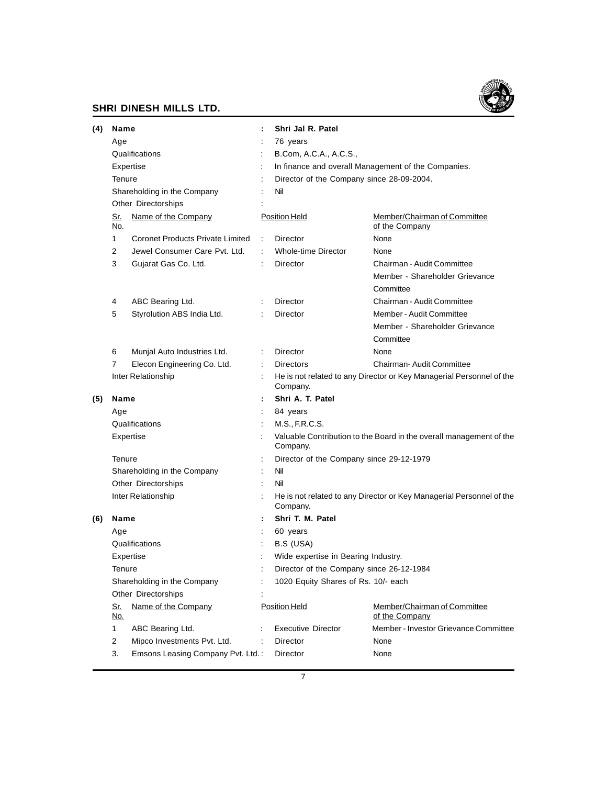

| (4) | Name                            |                                         | ÷                        | Shri Jal R. Patel                                                                |                                                                      |  |
|-----|---------------------------------|-----------------------------------------|--------------------------|----------------------------------------------------------------------------------|----------------------------------------------------------------------|--|
|     | Age                             |                                         |                          | 76 years                                                                         |                                                                      |  |
|     |                                 | Qualifications                          | t                        | B.Com, A.C.A., A.C.S.,                                                           |                                                                      |  |
|     |                                 | Expertise                               | $\overline{\phantom{a}}$ |                                                                                  | In finance and overall Management of the Companies.                  |  |
|     | Tenure                          |                                         | $\ddot{\cdot}$           | Director of the Company since 28-09-2004.                                        |                                                                      |  |
|     |                                 | Shareholding in the Company             |                          | Nil                                                                              |                                                                      |  |
|     |                                 | Other Directorships                     |                          |                                                                                  |                                                                      |  |
|     | Sr.<br><u>No.</u>               | Name of the Company                     |                          | <b>Position Held</b>                                                             | Member/Chairman of Committee<br>of the Company                       |  |
|     | 1                               | <b>Coronet Products Private Limited</b> | ÷                        | Director                                                                         | None                                                                 |  |
|     | 2                               | Jewel Consumer Care Pyt. Ltd.           |                          | Whole-time Director                                                              | None                                                                 |  |
|     | 3                               | Gujarat Gas Co. Ltd.                    |                          | Director                                                                         | Chairman - Audit Committee                                           |  |
|     |                                 |                                         |                          |                                                                                  | Member - Shareholder Grievance                                       |  |
|     |                                 |                                         |                          |                                                                                  | Committee                                                            |  |
|     | 4                               | ABC Bearing Ltd.                        | ÷                        | Director                                                                         | Chairman - Audit Committee                                           |  |
|     | 5<br>Styrolution ABS India Ltd. |                                         |                          | Director                                                                         | Member - Audit Committee                                             |  |
|     |                                 |                                         |                          |                                                                                  | Member - Shareholder Grievance                                       |  |
|     |                                 |                                         |                          |                                                                                  | Committee                                                            |  |
|     | 6                               | Munjal Auto Industries Ltd.             | ÷                        | Director                                                                         | None                                                                 |  |
|     | $\overline{7}$                  | Elecon Engineering Co. Ltd.             | ÷                        | <b>Directors</b>                                                                 | Chairman-Audit Committee                                             |  |
|     | Inter Relationship              |                                         |                          | He is not related to any Director or Key Managerial Personnel of the<br>Company. |                                                                      |  |
| (5) | Name                            |                                         |                          | Shri A. T. Patel                                                                 |                                                                      |  |
|     | Age                             |                                         | ÷                        | 84 years                                                                         |                                                                      |  |
|     |                                 | Qualifications                          | ÷                        | M.S., F.R.C.S.                                                                   |                                                                      |  |
|     |                                 | Expertise                               | ÷                        | Valuable Contribution to the Board in the overall management of the<br>Company.  |                                                                      |  |
|     | Tenure                          |                                         | ÷                        | Director of the Company since 29-12-1979                                         |                                                                      |  |
|     |                                 | Shareholding in the Company             | ÷                        | Nil                                                                              |                                                                      |  |
|     |                                 | Other Directorships                     | ÷                        | Nil                                                                              |                                                                      |  |
|     |                                 | Inter Relationship                      | ÷                        | Company.                                                                         | He is not related to any Director or Key Managerial Personnel of the |  |
| (6) | Name                            |                                         | ÷                        | Shri T. M. Patel                                                                 |                                                                      |  |
|     | Age                             |                                         | t.                       | 60 years                                                                         |                                                                      |  |
|     |                                 | Qualifications                          | $\ddot{\cdot}$           | B.S (USA)                                                                        |                                                                      |  |
|     |                                 | Expertise                               |                          | Wide expertise in Bearing Industry.                                              |                                                                      |  |
|     | Tenure                          |                                         |                          | Director of the Company since 26-12-1984                                         |                                                                      |  |
|     |                                 | Shareholding in the Company             |                          | 1020 Equity Shares of Rs. 10/- each                                              |                                                                      |  |
|     |                                 | Other Directorships                     |                          |                                                                                  |                                                                      |  |
|     | Sr.<br><u>No.</u>               | Name of the Company                     |                          | <b>Position Held</b>                                                             | Member/Chairman of Committee<br>of the Company                       |  |
|     | 1                               | ABC Bearing Ltd.                        |                          | <b>Executive Director</b>                                                        | Member - Investor Grievance Committee                                |  |
|     | $\overline{\mathbf{c}}$         | Mipco Investments Pvt. Ltd.             |                          | Director                                                                         | None                                                                 |  |
|     | 3.                              | Emsons Leasing Company Pvt. Ltd.:       |                          | Director                                                                         | None                                                                 |  |
|     |                                 |                                         |                          |                                                                                  |                                                                      |  |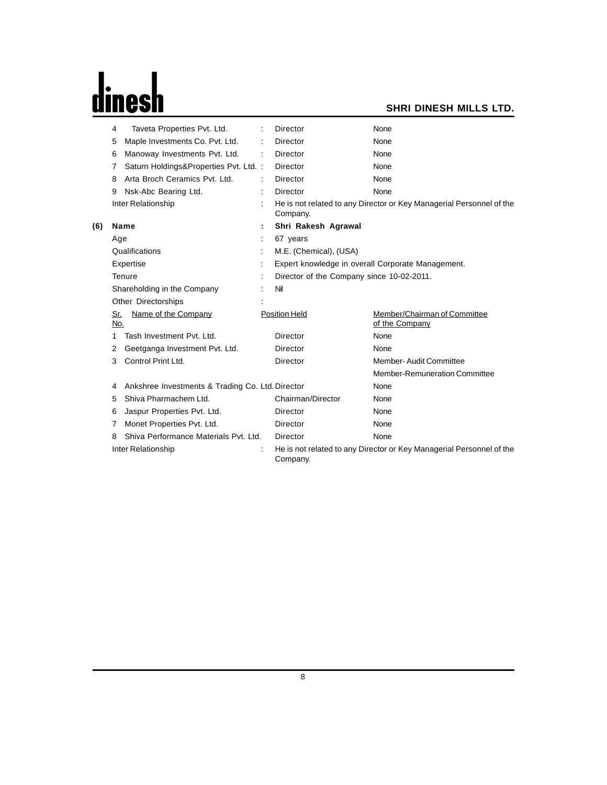# dinesh

## **SHRI DINESH MILLS LTD.**

|     | 4                                  | Taveta Properties Pvt. Ltd.                      |   | Director                                          | None                                                                 |  |
|-----|------------------------------------|--------------------------------------------------|---|---------------------------------------------------|----------------------------------------------------------------------|--|
|     | 5                                  | Maple Investments Co. Pvt. Ltd.                  | ÷ | Director                                          | None                                                                 |  |
|     | 6                                  | Manoway Investments Pvt. Ltd.                    | ÷ | Director                                          | None                                                                 |  |
|     | 7                                  | Saturn Holdings&Properties Pvt. Ltd. :           |   | Director                                          | None                                                                 |  |
|     | 8                                  | Arta Broch Ceramics Pvt. Ltd.                    | ÷ | Director                                          | None                                                                 |  |
|     | 9                                  | Nsk-Abc Bearing Ltd.                             | ÷ | Director                                          | None                                                                 |  |
|     | Inter Relationship                 |                                                  |   | Company.                                          | He is not related to any Director or Key Managerial Personnel of the |  |
| (6) |                                    | <b>Name</b>                                      | ÷ | Shri Rakesh Agrawal                               |                                                                      |  |
|     | Age<br>Qualifications<br>Expertise |                                                  |   | 67 years                                          |                                                                      |  |
|     |                                    |                                                  | ÷ | M.E. (Chemical), (USA)                            |                                                                      |  |
|     |                                    |                                                  |   | Expert knowledge in overall Corporate Management. |                                                                      |  |
|     | Tenure                             |                                                  |   | Director of the Company since 10-02-2011.         |                                                                      |  |
|     | Shareholding in the Company        |                                                  |   | Nil                                               |                                                                      |  |
|     | Other Directorships                |                                                  |   |                                                   |                                                                      |  |
|     | Sr.<br>No.                         | Name of the Company                              |   | <b>Position Held</b>                              | Member/Chairman of Committee<br>of the Company                       |  |
|     | 1                                  | Tash Investment Pvt. Ltd.                        |   | Director                                          | None                                                                 |  |
|     | 2                                  | Geetganga Investment Pvt. Ltd.                   |   | Director                                          | None                                                                 |  |
|     | 3                                  | Control Print Ltd.                               |   | Director                                          | Member-Audit Committee                                               |  |
|     |                                    |                                                  |   |                                                   | <b>Member-Remuneration Committee</b>                                 |  |
|     | 4                                  | Ankshree Investments & Trading Co. Ltd. Director |   |                                                   | None                                                                 |  |
|     | 5                                  | Shiva Pharmachem Ltd.                            |   | Chairman/Director                                 | None                                                                 |  |
|     | 6                                  | Jaspur Properties Pvt. Ltd.                      |   | Director                                          | None                                                                 |  |
|     | 7                                  | Monet Properties Pvt. Ltd.                       |   | Director                                          | None                                                                 |  |
|     | 8                                  | Shiva Performance Materials Pvt. Ltd.            |   | <b>Director</b>                                   | None                                                                 |  |
|     |                                    | Inter Relationship                               |   | Company.                                          | He is not related to any Director or Key Managerial Personnel of the |  |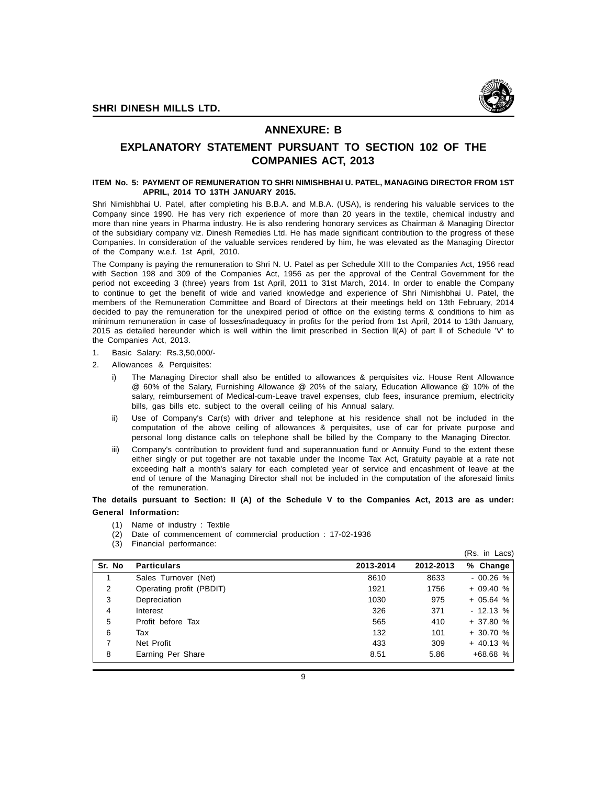

#### **ANNEXURE: B**

#### **EXPLANATORY STATEMENT PURSUANT TO SECTION 102 OF THE COMPANIES ACT, 2013**

#### **ITEM No. 5: PAYMENT OF REMUNERATION TO SHRI NIMISHBHAI U. PATEL, MANAGING DIRECTOR FROM 1ST APRIL, 2014 TO 13TH JANUARY 2015.**

Shri Nimishbhai U. Patel, after completing his B.B.A. and M.B.A. (USA), is rendering his valuable services to the Company since 1990. He has very rich experience of more than 20 years in the textile, chemical industry and more than nine years in Pharma industry. He is also rendering honorary services as Chairman & Managing Director of the subsidiary company viz. Dinesh Remedies Ltd. He has made significant contribution to the progress of these Companies. In consideration of the valuable services rendered by him, he was elevated as the Managing Director of the Company w.e.f. 1st April, 2010.

The Company is paying the remuneration to Shri N. U. Patel as per Schedule XIII to the Companies Act, 1956 read with Section 198 and 309 of the Companies Act, 1956 as per the approval of the Central Government for the period not exceeding 3 (three) years from 1st April, 2011 to 31st March, 2014. In order to enable the Company to continue to get the benefit of wide and varied knowledge and experience of Shri Nimishbhai U. Patel, the members of the Remuneration Committee and Board of Directors at their meetings held on 13th February, 2014 decided to pay the remuneration for the unexpired period of office on the existing terms & conditions to him as minimum remuneration in case of losses/inadequacy in profits for the period from 1st April, 2014 to 13th January, 2015 as detailed hereunder which is well within the limit prescribed in Section ll(A) of part ll of Schedule 'V' to the Companies Act, 2013.

- 1. Basic Salary: Rs.3,50,000/-
- 2. Allowances & Perquisites:
	- i) The Managing Director shall also be entitled to allowances & perquisites viz. House Rent Allowance @ 60% of the Salary, Furnishing Allowance @ 20% of the salary, Education Allowance @ 10% of the salary, reimbursement of Medical-cum-Leave travel expenses, club fees, insurance premium, electricity bills, gas bills etc. subject to the overall ceiling of his Annual salary.
	- ii) Use of Company's Car(s) with driver and telephone at his residence shall not be included in the computation of the above ceiling of allowances & perquisites, use of car for private purpose and personal long distance calls on telephone shall be billed by the Company to the Managing Director.
	- iii) Company's contribution to provident fund and superannuation fund or Annuity Fund to the extent these either singly or put together are not taxable under the Income Tax Act, Gratuity payable at a rate not exceeding half a month's salary for each completed year of service and encashment of leave at the end of tenure of the Managing Director shall not be included in the computation of the aforesaid limits of the remuneration.

#### **The details pursuant to Section: II (A) of the Schedule V to the Companies Act, 2013 are as under: General Information:**

- (1) Name of industry : Textile
- (2) Date of commencement of commercial production : 17-02-1936
- (3) Financial performance:

|        |                          |           |           | (Rs. in Lacs) |
|--------|--------------------------|-----------|-----------|---------------|
| Sr. No | <b>Particulars</b>       | 2013-2014 | 2012-2013 | % Change      |
|        | Sales Turnover (Net)     | 8610      | 8633      | $-00.26%$     |
| 2      | Operating profit (PBDIT) | 1921      | 1756      | $+09.40%$     |
| 3      | Depreciation             | 1030      | 975       | $+05.64%$     |
| 4      | Interest                 | 326       | 371       | $-12.13%$     |
| 5      | Profit before Tax        | 565       | 410       | $+37.80%$     |
| 6      | Tax                      | 132       | 101       | $+30.70%$     |
| 7      | Net Profit               | 433       | 309       | $+40.13%$     |
| 8      | Earning Per Share        | 8.51      | 5.86      | $+68.68%$     |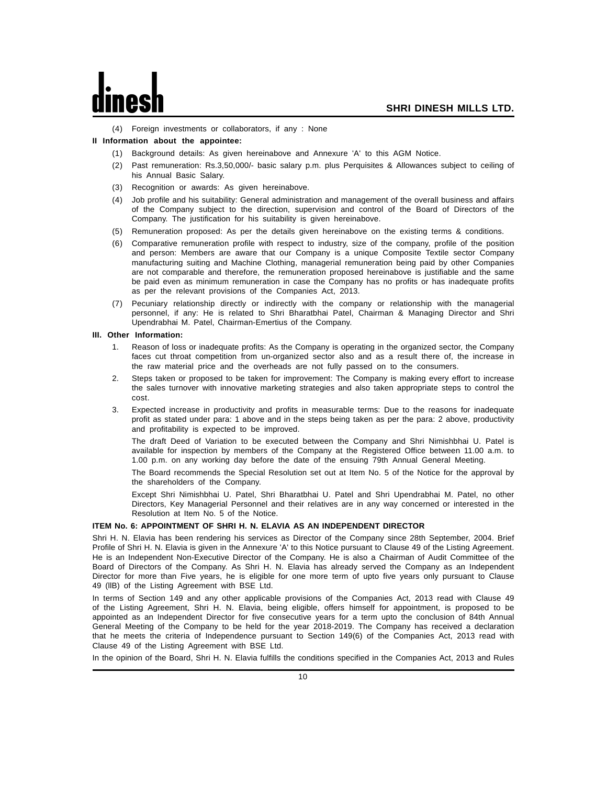(4) Foreign investments or collaborators, if any : None

#### **II Information about the appointee:**

- (1) Background details: As given hereinabove and Annexure 'A' to this AGM Notice.
- (2) Past remuneration: Rs.3,50,000/- basic salary p.m. plus Perquisites & Allowances subject to ceiling of his Annual Basic Salary.
- (3) Recognition or awards: As given hereinabove.
- (4) Job profile and his suitability: General administration and management of the overall business and affairs of the Company subject to the direction, supervision and control of the Board of Directors of the Company. The justification for his suitability is given hereinabove.
- (5) Remuneration proposed: As per the details given hereinabove on the existing terms & conditions.
- (6) Comparative remuneration profile with respect to industry, size of the company, profile of the position and person: Members are aware that our Company is a unique Composite Textile sector Company manufacturing suiting and Machine Clothing, managerial remuneration being paid by other Companies are not comparable and therefore, the remuneration proposed hereinabove is justifiable and the same be paid even as minimum remuneration in case the Company has no profits or has inadequate profits as per the relevant provisions of the Companies Act, 2013.
- (7) Pecuniary relationship directly or indirectly with the company or relationship with the managerial personnel, if any: He is related to Shri Bharatbhai Patel, Chairman & Managing Director and Shri Upendrabhai M. Patel, Chairman-Emertius of the Company.

#### **III. Other Information:**

- 1. Reason of loss or inadequate profits: As the Company is operating in the organized sector, the Company faces cut throat competition from un-organized sector also and as a result there of, the increase in the raw material price and the overheads are not fully passed on to the consumers.
- 2. Steps taken or proposed to be taken for improvement: The Company is making every effort to increase the sales turnover with innovative marketing strategies and also taken appropriate steps to control the cost.
- 3. Expected increase in productivity and profits in measurable terms: Due to the reasons for inadequate profit as stated under para: 1 above and in the steps being taken as per the para: 2 above, productivity and profitability is expected to be improved.

The draft Deed of Variation to be executed between the Company and Shri Nimishbhai U. Patel is available for inspection by members of the Company at the Registered Office between 11.00 a.m. to 1.00 p.m. on any working day before the date of the ensuing 79th Annual General Meeting.

The Board recommends the Special Resolution set out at Item No. 5 of the Notice for the approval by the shareholders of the Company.

Except Shri Nimishbhai U. Patel, Shri Bharatbhai U. Patel and Shri Upendrabhai M. Patel, no other Directors, Key Managerial Personnel and their relatives are in any way concerned or interested in the Resolution at Item No. 5 of the Notice.

#### **ITEM No. 6: APPOINTMENT OF SHRI H. N. ELAVIA AS AN INDEPENDENT DIRECTOR**

Shri H. N. Elavia has been rendering his services as Director of the Company since 28th September, 2004. Brief Profile of Shri H. N. Elavia is given in the Annexure 'A' to this Notice pursuant to Clause 49 of the Listing Agreement. He is an Independent Non-Executive Director of the Company. He is also a Chairman of Audit Committee of the Board of Directors of the Company. As Shri H. N. Elavia has already served the Company as an Independent Director for more than Five years, he is eligible for one more term of upto five years only pursuant to Clause 49 (llB) of the Listing Agreement with BSE Ltd.

In terms of Section 149 and any other applicable provisions of the Companies Act, 2013 read with Clause 49 of the Listing Agreement, Shri H. N. Elavia, being eligible, offers himself for appointment, is proposed to be appointed as an Independent Director for five consecutive years for a term upto the conclusion of 84th Annual General Meeting of the Company to be held for the year 2018-2019. The Company has received a declaration that he meets the criteria of Independence pursuant to Section 149(6) of the Companies Act, 2013 read with Clause 49 of the Listing Agreement with BSE Ltd.

In the opinion of the Board, Shri H. N. Elavia fulfills the conditions specified in the Companies Act, 2013 and Rules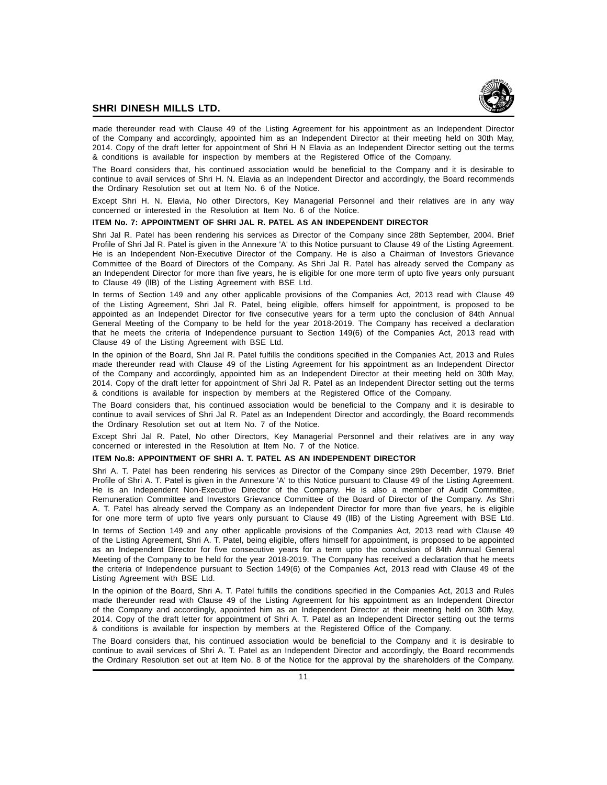

made thereunder read with Clause 49 of the Listing Agreement for his appointment as an Independent Director of the Company and accordingly, appointed him as an Independent Director at their meeting held on 30th May, 2014. Copy of the draft letter for appointment of Shri H N Elavia as an Independent Director setting out the terms & conditions is available for inspection by members at the Registered Office of the Company.

The Board considers that, his continued association would be beneficial to the Company and it is desirable to continue to avail services of Shri H. N. Elavia as an Independent Director and accordingly, the Board recommends the Ordinary Resolution set out at Item No. 6 of the Notice.

Except Shri H. N. Elavia, No other Directors, Key Managerial Personnel and their relatives are in any way concerned or interested in the Resolution at Item No. 6 of the Notice.

#### **ITEM No. 7: APPOINTMENT OF SHRI JAL R. PATEL AS AN INDEPENDENT DIRECTOR**

Shri Jal R. Patel has been rendering his services as Director of the Company since 28th September, 2004. Brief Profile of Shri Jal R. Patel is given in the Annexure 'A' to this Notice pursuant to Clause 49 of the Listing Agreement. He is an Independent Non-Executive Director of the Company. He is also a Chairman of Investors Grievance Committee of the Board of Directors of the Company. As Shri Jal R. Patel has already served the Company as an Independent Director for more than five years, he is eligible for one more term of upto five years only pursuant to Clause 49 (llB) of the Listing Agreement with BSE Ltd.

In terms of Section 149 and any other applicable provisions of the Companies Act, 2013 read with Clause 49 of the Listing Agreement, Shri Jal R. Patel, being eligible, offers himself for appointment, is proposed to be appointed as an Independet Director for five consecutive years for a term upto the conclusion of 84th Annual General Meeting of the Company to be held for the year 2018-2019. The Company has received a declaration that he meets the criteria of Independence pursuant to Section 149(6) of the Companies Act, 2013 read with Clause 49 of the Listing Agreement with BSE Ltd.

In the opinion of the Board, Shri Jal R. Patel fulfills the conditions specified in the Companies Act, 2013 and Rules made thereunder read with Clause 49 of the Listing Agreement for his appointment as an Independent Director of the Company and accordingly, appointed him as an Independent Director at their meeting held on 30th May, 2014. Copy of the draft letter for appointment of Shri Jal R. Patel as an Independent Director setting out the terms & conditions is available for inspection by members at the Registered Office of the Company.

The Board considers that, his continued association would be beneficial to the Company and it is desirable to continue to avail services of Shri Jal R. Patel as an Independent Director and accordingly, the Board recommends the Ordinary Resolution set out at Item No. 7 of the Notice.

Except Shri Jal R. Patel, No other Directors, Key Managerial Personnel and their relatives are in any way concerned or interested in the Resolution at Item No. 7 of the Notice.

#### **ITEM No.8: APPOINTMENT OF SHRI A. T. PATEL AS AN INDEPENDENT DIRECTOR**

Shri A. T. Patel has been rendering his services as Director of the Company since 29th December, 1979. Brief Profile of Shri A. T. Patel is given in the Annexure 'A' to this Notice pursuant to Clause 49 of the Listing Agreement. He is an Independent Non-Executive Director of the Company. He is also a member of Audit Committee, Remuneration Committee and Investors Grievance Committee of the Board of Director of the Company. As Shri A. T. Patel has already served the Company as an Independent Director for more than five years, he is eligible for one more term of upto five years only pursuant to Clause 49 (llB) of the Listing Agreement with BSE Ltd.

In terms of Section 149 and any other applicable provisions of the Companies Act, 2013 read with Clause 49 of the Listing Agreement, Shri A. T. Patel, being eligible, offers himself for appointment, is proposed to be appointed as an Independent Director for five consecutive years for a term upto the conclusion of 84th Annual General Meeting of the Company to be held for the year 2018-2019. The Company has received a declaration that he meets the criteria of Independence pursuant to Section 149(6) of the Companies Act, 2013 read with Clause 49 of the Listing Agreement with BSE Ltd.

In the opinion of the Board, Shri A. T. Patel fulfills the conditions specified in the Companies Act, 2013 and Rules made thereunder read with Clause 49 of the Listing Agreement for his appointment as an Independent Director of the Company and accordingly, appointed him as an Independent Director at their meeting held on 30th May, 2014. Copy of the draft letter for appointment of Shri A. T. Patel as an Independent Director setting out the terms & conditions is available for inspection by members at the Registered Office of the Company.

The Board considers that, his continued association would be beneficial to the Company and it is desirable to continue to avail services of Shri A. T. Patel as an Independent Director and accordingly, the Board recommends the Ordinary Resolution set out at Item No. 8 of the Notice for the approval by the shareholders of the Company.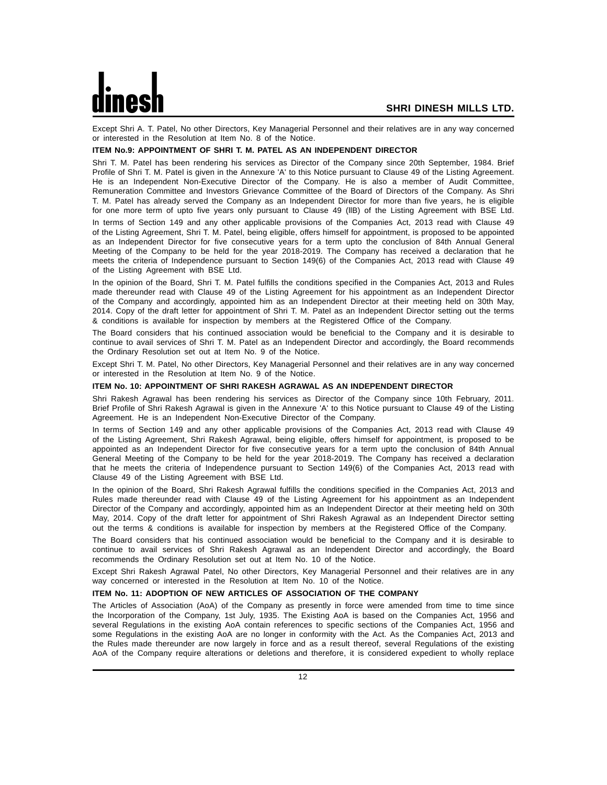Except Shri A. T. Patel, No other Directors, Key Managerial Personnel and their relatives are in any way concerned or interested in the Resolution at Item No. 8 of the Notice.

#### **ITEM No.9: APPOINTMENT OF SHRI T. M. PATEL AS AN INDEPENDENT DIRECTOR**

Shri T. M. Patel has been rendering his services as Director of the Company since 20th September, 1984. Brief Profile of Shri T. M. Patel is given in the Annexure 'A' to this Notice pursuant to Clause 49 of the Listing Agreement. He is an Independent Non-Executive Director of the Company. He is also a member of Audit Committee, Remuneration Committee and Investors Grievance Committee of the Board of Directors of the Company. As Shri T. M. Patel has already served the Company as an Independent Director for more than five years, he is eligible for one more term of upto five years only pursuant to Clause 49 (llB) of the Listing Agreement with BSE Ltd.

In terms of Section 149 and any other applicable provisions of the Companies Act, 2013 read with Clause 49 of the Listing Agreement, Shri T. M. Patel, being eligible, offers himself for appointment, is proposed to be appointed as an Independent Director for five consecutive years for a term upto the conclusion of 84th Annual General Meeting of the Company to be held for the year 2018-2019. The Company has received a declaration that he meets the criteria of Independence pursuant to Section 149(6) of the Companies Act, 2013 read with Clause 49 of the Listing Agreement with BSE Ltd.

In the opinion of the Board, Shri T. M. Patel fulfills the conditions specified in the Companies Act, 2013 and Rules made thereunder read with Clause 49 of the Listing Agreement for his appointment as an Independent Director of the Company and accordingly, appointed him as an Independent Director at their meeting held on 30th May, 2014. Copy of the draft letter for appointment of Shri T. M. Patel as an Independent Director setting out the terms & conditions is available for inspection by members at the Registered Office of the Company.

The Board considers that his continued association would be beneficial to the Company and it is desirable to continue to avail services of Shri T. M. Patel as an Independent Director and accordingly, the Board recommends the Ordinary Resolution set out at Item No. 9 of the Notice.

Except Shri T. M. Patel, No other Directors, Key Managerial Personnel and their relatives are in any way concerned or interested in the Resolution at Item No. 9 of the Notice.

#### **ITEM No. 10: APPOINTMENT OF SHRI RAKESH AGRAWAL AS AN INDEPENDENT DIRECTOR**

Shri Rakesh Agrawal has been rendering his services as Director of the Company since 10th February, 2011. Brief Profile of Shri Rakesh Agrawal is given in the Annexure 'A' to this Notice pursuant to Clause 49 of the Listing Agreement. He is an Independent Non-Executive Director of the Company.

In terms of Section 149 and any other applicable provisions of the Companies Act, 2013 read with Clause 49 of the Listing Agreement, Shri Rakesh Agrawal, being eligible, offers himself for appointment, is proposed to be appointed as an Independent Director for five consecutive years for a term upto the conclusion of 84th Annual General Meeting of the Company to be held for the year 2018-2019. The Company has received a declaration that he meets the criteria of Independence pursuant to Section 149(6) of the Companies Act, 2013 read with Clause 49 of the Listing Agreement with BSE Ltd.

In the opinion of the Board, Shri Rakesh Agrawal fulfills the conditions specified in the Companies Act, 2013 and Rules made thereunder read with Clause 49 of the Listing Agreement for his appointment as an Independent Director of the Company and accordingly, appointed him as an Independent Director at their meeting held on 30th May, 2014. Copy of the draft letter for appointment of Shri Rakesh Agrawal as an Independent Director setting out the terms & conditions is available for inspection by members at the Registered Office of the Company.

The Board considers that his continued association would be beneficial to the Company and it is desirable to continue to avail services of Shri Rakesh Agrawal as an Independent Director and accordingly, the Board recommends the Ordinary Resolution set out at Item No. 10 of the Notice.

Except Shri Rakesh Agrawal Patel, No other Directors, Key Managerial Personnel and their relatives are in any way concerned or interested in the Resolution at Item No. 10 of the Notice.

#### **ITEM No. 11: ADOPTION OF NEW ARTICLES OF ASSOCIATION OF THE COMPANY**

The Articles of Association (AoA) of the Company as presently in force were amended from time to time since the Incorporation of the Company, 1st July, 1935. The Existing AoA is based on the Companies Act, 1956 and several Regulations in the existing AoA contain references to specific sections of the Companies Act, 1956 and some Regulations in the existing AoA are no longer in conformity with the Act. As the Companies Act, 2013 and the Rules made thereunder are now largely in force and as a result thereof, several Regulations of the existing AoA of the Company require alterations or deletions and therefore, it is considered expedient to wholly replace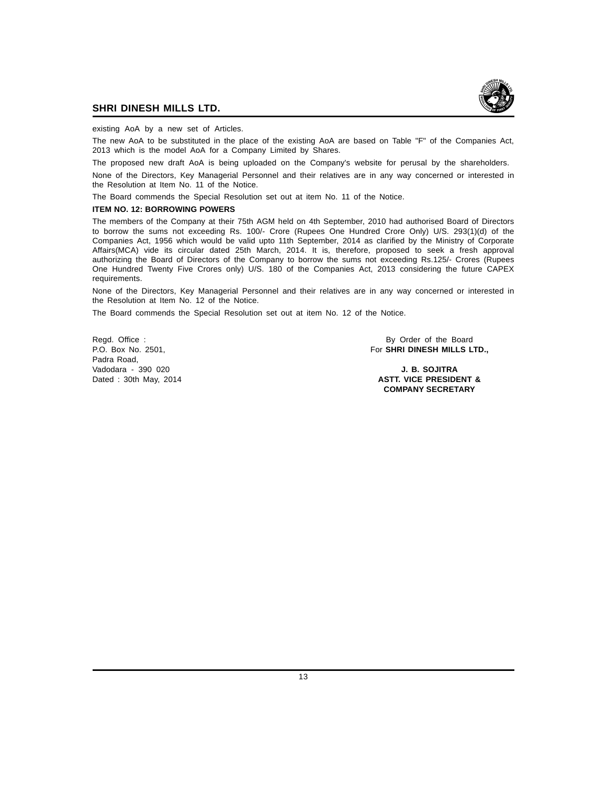

#### existing AoA by a new set of Articles.

The new AoA to be substituted in the place of the existing AoA are based on Table "F" of the Companies Act, 2013 which is the model AoA for a Company Limited by Shares.

The proposed new draft AoA is being uploaded on the Company's website for perusal by the shareholders.

None of the Directors, Key Managerial Personnel and their relatives are in any way concerned or interested in the Resolution at Item No. 11 of the Notice.

The Board commends the Special Resolution set out at item No. 11 of the Notice.

#### **ITEM NO. 12: BORROWING POWERS**

The members of the Company at their 75th AGM held on 4th September, 2010 had authorised Board of Directors to borrow the sums not exceeding Rs. 100/- Crore (Rupees One Hundred Crore Only) U/S. 293(1)(d) of the Companies Act, 1956 which would be valid upto 11th September, 2014 as clarified by the Ministry of Corporate Affairs(MCA) vide its circular dated 25th March, 2014. It is, therefore, proposed to seek a fresh approval authorizing the Board of Directors of the Company to borrow the sums not exceeding Rs.125/- Crores (Rupees One Hundred Twenty Five Crores only) U/S. 180 of the Companies Act, 2013 considering the future CAPEX requirements.

None of the Directors, Key Managerial Personnel and their relatives are in any way concerned or interested in the Resolution at Item No. 12 of the Notice.

The Board commends the Special Resolution set out at item No. 12 of the Notice.

Padra Road, Vadodara - 390 020 **J. B. SOJITRA**

Regd. Office : By Order of the Board in the Board in the Board in the Board in the Board in the Board in the Board in the Board in the Board in the Board in the Board in the Board in the Board in the Board in the Board in P.O. Box No. 2501, **P.O.** Box No. 2501,

Dated : 30th May, 2014 **ASTT. VICE PRESIDENT & COMPANY SECRETARY**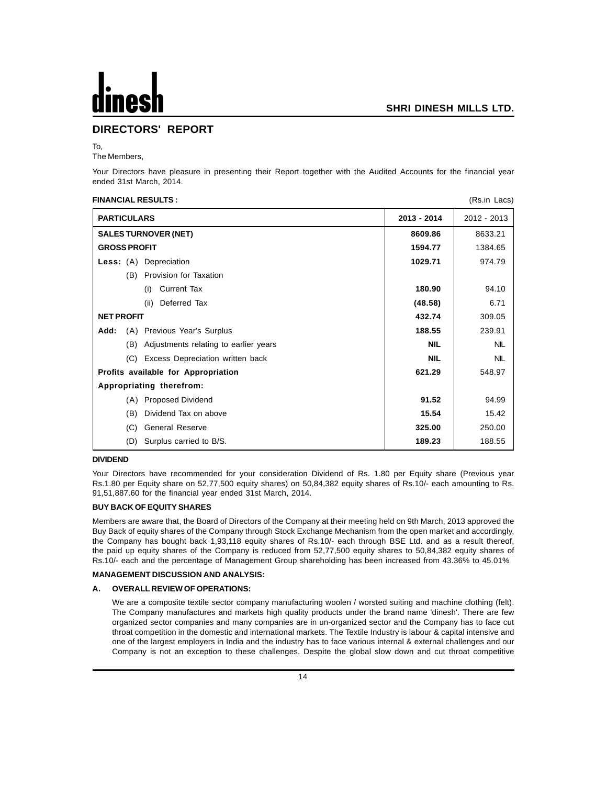## **DIRECTORS' REPORT**

#### To,

The Members,

Your Directors have pleasure in presenting their Report together with the Audited Accounts for the financial year ended 31st March, 2014.

| <b>FINANCIAL RESULTS :</b>                   |                    | (Rs.in Lacs) |  |
|----------------------------------------------|--------------------|--------------|--|
| <b>PARTICULARS</b>                           | 2013 - 2014        | 2012 - 2013  |  |
| <b>SALES TURNOVER (NET)</b>                  | 8609.86            | 8633.21      |  |
| <b>GROSS PROFIT</b>                          | 1594.77<br>1384.65 |              |  |
| Less: (A) Depreciation                       | 1029.71            | 974.79       |  |
| Provision for Taxation<br>(B)                |                    |              |  |
| <b>Current Tax</b><br>(i)                    | 180.90             | 94.10        |  |
| Deferred Tax<br>(ii)                         | (48.58)            | 6.71         |  |
| <b>NET PROFIT</b>                            | 432.74             | 309.05       |  |
| Previous Year's Surplus<br>Add:<br>(A)       | 188.55             | 239.91       |  |
| Adjustments relating to earlier years<br>(B) | <b>NIL</b>         | <b>NIL</b>   |  |
| (C)<br>Excess Depreciation written back      | <b>NIL</b>         | <b>NIL</b>   |  |
| Profits available for Appropriation          | 621.29             | 548.97       |  |
| Appropriating therefrom:                     |                    |              |  |
| <b>Proposed Dividend</b><br>(A)              | 91.52              | 94.99        |  |
| Dividend Tax on above<br>(B)                 | 15.54              | 15.42        |  |
| (C)<br><b>General Reserve</b>                | 325.00             | 250.00       |  |
| (D)<br>Surplus carried to B/S.               | 189.23             | 188.55       |  |

#### **DIVIDEND**

Your Directors have recommended for your consideration Dividend of Rs. 1.80 per Equity share (Previous year Rs.1.80 per Equity share on 52,77,500 equity shares) on 50,84,382 equity shares of Rs.10/- each amounting to Rs. 91,51,887.60 for the financial year ended 31st March, 2014.

#### **BUY BACK OF EQUITY SHARES**

Members are aware that, the Board of Directors of the Company at their meeting held on 9th March, 2013 approved the Buy Back of equity shares of the Company through Stock Exchange Mechanism from the open market and accordingly, the Company has bought back 1,93,118 equity shares of Rs.10/- each through BSE Ltd. and as a result thereof, the paid up equity shares of the Company is reduced from 52,77,500 equity shares to 50,84,382 equity shares of Rs.10/- each and the percentage of Management Group shareholding has been increased from 43.36% to 45.01%

#### **MANAGEMENT DISCUSSION AND ANALYSIS:**

#### **A. OVERALL REVIEW OF OPERATIONS:**

We are a composite textile sector company manufacturing woolen / worsted suiting and machine clothing (felt). The Company manufactures and markets high quality products under the brand name 'dinesh'. There are few organized sector companies and many companies are in un-organized sector and the Company has to face cut throat competition in the domestic and international markets. The Textile Industry is labour & capital intensive and one of the largest employers in India and the industry has to face various internal & external challenges and our Company is not an exception to these challenges. Despite the global slow down and cut throat competitive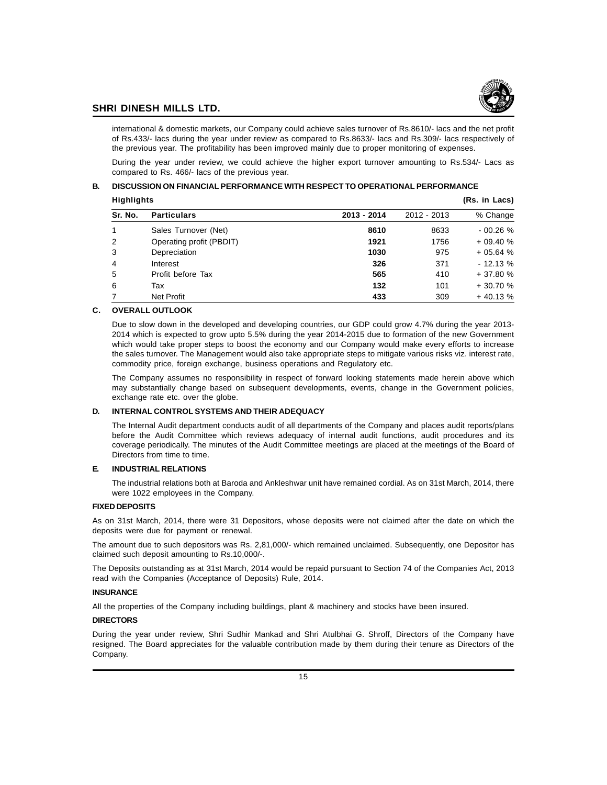

international & domestic markets, our Company could achieve sales turnover of Rs.8610/- lacs and the net profit of Rs.433/- lacs during the year under review as compared to Rs.8633/- lacs and Rs.309/- lacs respectively of the previous year. The profitability has been improved mainly due to proper monitoring of expenses.

During the year under review, we could achieve the higher export turnover amounting to Rs.534/- Lacs as compared to Rs. 466/- lacs of the previous year.

#### **B. DISCUSSION ON FINANCIAL PERFORMANCE WITH RESPECT TO OPERATIONAL PERFORMANCE**

| <b>Highlights</b> |                          |             | (Rs. in Lacs) |           |
|-------------------|--------------------------|-------------|---------------|-----------|
| Sr. No.           | <b>Particulars</b>       | 2013 - 2014 | 2012 - 2013   | % Change  |
|                   | Sales Turnover (Net)     | 8610        | 8633          | $-00.26%$ |
| 2                 | Operating profit (PBDIT) | 1921        | 1756          | $+09.40%$ |
| 3                 | Depreciation             | 1030        | 975           | $+05.64%$ |
| 4                 | Interest                 | 326         | 371           | $-12.13%$ |
| 5                 | Profit before Tax        | 565         | 410           | $+37.80%$ |
| 6                 | Tax                      | 132         | 101           | $+30.70%$ |
|                   | Net Profit               | 433         | 309           | $+40.13%$ |

#### **C. OVERALL OUTLOOK**

Due to slow down in the developed and developing countries, our GDP could grow 4.7% during the year 2013- 2014 which is expected to grow upto 5.5% during the year 2014-2015 due to formation of the new Government which would take proper steps to boost the economy and our Company would make every efforts to increase the sales turnover. The Management would also take appropriate steps to mitigate various risks viz. interest rate, commodity price, foreign exchange, business operations and Regulatory etc.

The Company assumes no responsibility in respect of forward looking statements made herein above which may substantially change based on subsequent developments, events, change in the Government policies, exchange rate etc. over the globe.

#### **D. INTERNAL CONTROL SYSTEMS AND THEIR ADEQUACY**

The Internal Audit department conducts audit of all departments of the Company and places audit reports/plans before the Audit Committee which reviews adequacy of internal audit functions, audit procedures and its coverage periodically. The minutes of the Audit Committee meetings are placed at the meetings of the Board of Directors from time to time.

#### **E. INDUSTRIAL RELATIONS**

The industrial relations both at Baroda and Ankleshwar unit have remained cordial. As on 31st March, 2014, there were 1022 employees in the Company.

#### **FIXED DEPOSITS**

As on 31st March, 2014, there were 31 Depositors, whose deposits were not claimed after the date on which the deposits were due for payment or renewal.

The amount due to such depositors was Rs. 2,81,000/- which remained unclaimed. Subsequently, one Depositor has claimed such deposit amounting to Rs.10,000/-.

The Deposits outstanding as at 31st March, 2014 would be repaid pursuant to Section 74 of the Companies Act, 2013 read with the Companies (Acceptance of Deposits) Rule, 2014.

#### **INSURANCE**

All the properties of the Company including buildings, plant & machinery and stocks have been insured.

#### **DIRECTORS**

During the year under review, Shri Sudhir Mankad and Shri Atulbhai G. Shroff, Directors of the Company have resigned. The Board appreciates for the valuable contribution made by them during their tenure as Directors of the Company.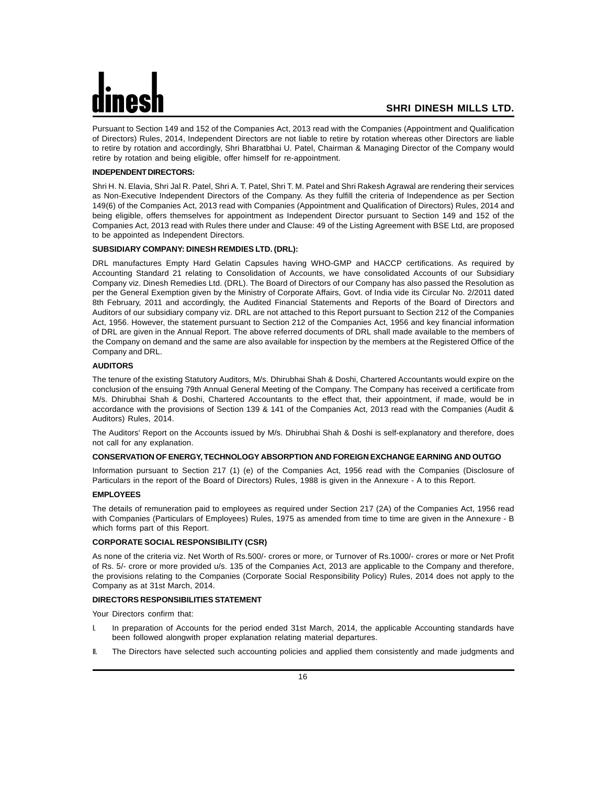Pursuant to Section 149 and 152 of the Companies Act, 2013 read with the Companies (Appointment and Qualification of Directors) Rules, 2014, Independent Directors are not liable to retire by rotation whereas other Directors are liable to retire by rotation and accordingly, Shri Bharatbhai U. Patel, Chairman & Managing Director of the Company would retire by rotation and being eligible, offer himself for re-appointment.

#### **INDEPENDENT DIRECTORS:**

Shri H. N. Elavia, Shri Jal R. Patel, Shri A. T. Patel, Shri T. M. Patel and Shri Rakesh Agrawal are rendering their services as Non-Executive Independent Directors of the Company. As they fulfill the criteria of Independence as per Section 149(6) of the Companies Act, 2013 read with Companies (Appointment and Qualification of Directors) Rules, 2014 and being eligible, offers themselves for appointment as Independent Director pursuant to Section 149 and 152 of the Companies Act, 2013 read with Rules there under and Clause: 49 of the Listing Agreement with BSE Ltd, are proposed to be appointed as Independent Directors.

#### **SUBSIDIARY COMPANY: DINESH REMDIES LTD. (DRL):**

DRL manufactures Empty Hard Gelatin Capsules having WHO-GMP and HACCP certifications. As required by Accounting Standard 21 relating to Consolidation of Accounts, we have consolidated Accounts of our Subsidiary Company viz. Dinesh Remedies Ltd. (DRL). The Board of Directors of our Company has also passed the Resolution as per the General Exemption given by the Ministry of Corporate Affairs, Govt. of India vide its Circular No. 2/2011 dated 8th February, 2011 and accordingly, the Audited Financial Statements and Reports of the Board of Directors and Auditors of our subsidiary company viz. DRL are not attached to this Report pursuant to Section 212 of the Companies Act, 1956. However, the statement pursuant to Section 212 of the Companies Act, 1956 and key financial information of DRL are given in the Annual Report. The above referred documents of DRL shall made available to the members of the Company on demand and the same are also available for inspection by the members at the Registered Office of the Company and DRL.

#### **AUDITORS**

The tenure of the existing Statutory Auditors, M/s. Dhirubhai Shah & Doshi, Chartered Accountants would expire on the conclusion of the ensuing 79th Annual General Meeting of the Company. The Company has received a certificate from M/s. Dhirubhai Shah & Doshi, Chartered Accountants to the effect that, their appointment, if made, would be in accordance with the provisions of Section 139 & 141 of the Companies Act, 2013 read with the Companies (Audit & Auditors) Rules, 2014.

The Auditors' Report on the Accounts issued by M/s. Dhirubhai Shah & Doshi is self-explanatory and therefore, does not call for any explanation.

#### **CONSERVATION OF ENERGY, TECHNOLOGY ABSORPTION AND FOREIGN EXCHANGE EARNING AND OUTGO**

Information pursuant to Section 217 (1) (e) of the Companies Act, 1956 read with the Companies (Disclosure of Particulars in the report of the Board of Directors) Rules, 1988 is given in the Annexure - A to this Report.

#### **EMPLOYEES**

The details of remuneration paid to employees as required under Section 217 (2A) of the Companies Act, 1956 read with Companies (Particulars of Employees) Rules, 1975 as amended from time to time are given in the Annexure - B which forms part of this Report.

#### **CORPORATE SOCIAL RESPONSIBILITY (CSR)**

As none of the criteria viz. Net Worth of Rs.500/- crores or more, or Turnover of Rs.1000/- crores or more or Net Profit of Rs. 5/- crore or more provided u/s. 135 of the Companies Act, 2013 are applicable to the Company and therefore, the provisions relating to the Companies (Corporate Social Responsibility Policy) Rules, 2014 does not apply to the Company as at 31st March, 2014.

#### **DIRECTORS RESPONSIBILITIES STATEMENT**

Your Directors confirm that:

- I. In preparation of Accounts for the period ended 31st March, 2014, the applicable Accounting standards have been followed alongwith proper explanation relating material departures.
- II. The Directors have selected such accounting policies and applied them consistently and made judgments and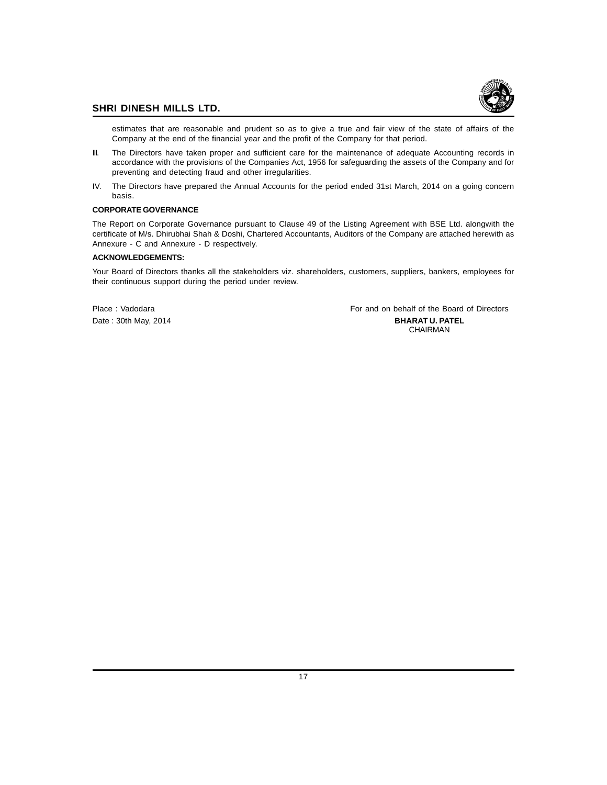

estimates that are reasonable and prudent so as to give a true and fair view of the state of affairs of the Company at the end of the financial year and the profit of the Company for that period.

- III. The Directors have taken proper and sufficient care for the maintenance of adequate Accounting records in accordance with the provisions of the Companies Act, 1956 for safeguarding the assets of the Company and for preventing and detecting fraud and other irregularities.
- IV. The Directors have prepared the Annual Accounts for the period ended 31st March, 2014 on a going concern basis.

#### **CORPORATE GOVERNANCE**

The Report on Corporate Governance pursuant to Clause 49 of the Listing Agreement with BSE Ltd. alongwith the certificate of M/s. Dhirubhai Shah & Doshi, Chartered Accountants, Auditors of the Company are attached herewith as Annexure - C and Annexure - D respectively.

#### **ACKNOWLEDGEMENTS:**

Your Board of Directors thanks all the stakeholders viz. shareholders, customers, suppliers, bankers, employees for their continuous support during the period under review.

Place : Vadodara For and on behalf of the Board of Directors Date : 30th May, 2014 **BHARAT U. PATEL** CHAIRMAN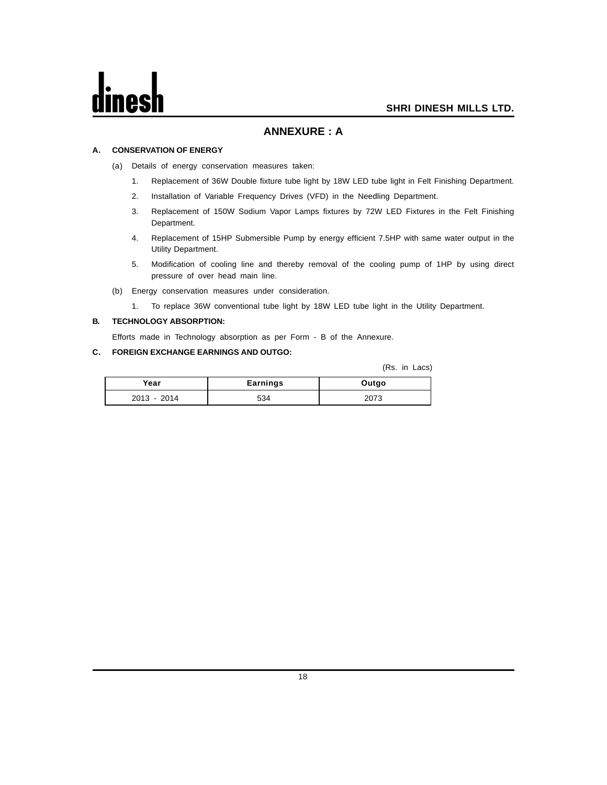#### **ANNEXURE : A**

#### **A. CONSERVATION OF ENERGY**

- (a) Details of energy conservation measures taken:
	- 1. Replacement of 36W Double fixture tube light by 18W LED tube light in Felt Finishing Department.
	- 2. Installation of Variable Frequency Drives (VFD) in the Needling Department.
	- 3. Replacement of 150W Sodium Vapor Lamps fixtures by 72W LED Fixtures in the Felt Finishing Department.
	- 4. Replacement of 15HP Submersible Pump by energy efficient 7.5HP with same water output in the Utility Department.
	- 5. Modification of cooling line and thereby removal of the cooling pump of 1HP by using direct pressure of over head main line.
- (b) Energy conservation measures under consideration.
	- 1. To replace 36W conventional tube light by 18W LED tube light in the Utility Department.

#### **B. TECHNOLOGY ABSORPTION:**

Efforts made in Technology absorption as per Form - B of the Annexure.

#### **C. FOREIGN EXCHANGE EARNINGS AND OUTGO:**

(Rs. in Lacs)

| Year        | Earnings | Outgo   |
|-------------|----------|---------|
| 2013 - 2014 | 534      | ں ، ں ے |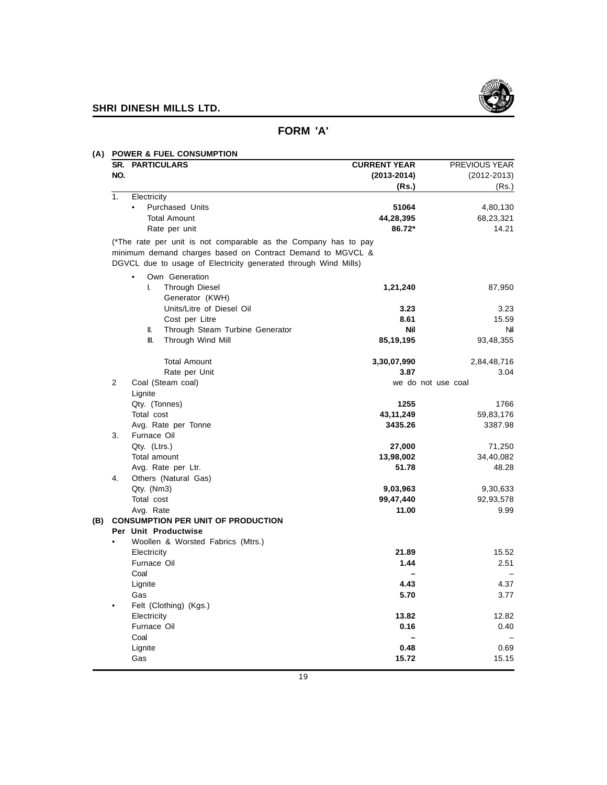

| <b>FORM</b> | 'A' |
|-------------|-----|
|-------------|-----|

|           | <b>SR. PARTICULARS</b>                                                                                                                                                                           | <b>CURRENT YEAR</b> | PREVIOUS YEAR   |
|-----------|--------------------------------------------------------------------------------------------------------------------------------------------------------------------------------------------------|---------------------|-----------------|
| NO.       |                                                                                                                                                                                                  | $(2013 - 2014)$     | $(2012 - 2013)$ |
|           |                                                                                                                                                                                                  | (Rs.)               | (Rs.)           |
| 1.        | Electricity                                                                                                                                                                                      |                     |                 |
|           | Purchased Units<br>$\bullet$                                                                                                                                                                     | 51064               | 4,80,130        |
|           | <b>Total Amount</b>                                                                                                                                                                              | 44,28,395           | 68,23,321       |
|           | Rate per unit                                                                                                                                                                                    | 86.72*              | 14.21           |
|           | (*The rate per unit is not comparable as the Company has to pay<br>minimum demand charges based on Contract Demand to MGVCL &<br>DGVCL due to usage of Electricity generated through Wind Mills) |                     |                 |
|           | Own Generation<br>$\bullet$                                                                                                                                                                      |                     |                 |
|           | L<br><b>Through Diesel</b>                                                                                                                                                                       | 1,21,240            | 87,950          |
|           | Generator (KWH)                                                                                                                                                                                  |                     |                 |
|           | Units/Litre of Diesel Oil                                                                                                                                                                        | 3.23                | 3.23            |
|           | Cost per Litre                                                                                                                                                                                   | 8.61                | 15.59           |
|           | II.<br>Through Steam Turbine Generator                                                                                                                                                           | <b>Nil</b>          | Nil             |
|           | III.<br>Through Wind Mill                                                                                                                                                                        | 85,19,195           | 93,48,355       |
|           | <b>Total Amount</b>                                                                                                                                                                              | 3,30,07,990         | 2,84,48,716     |
|           | Rate per Unit                                                                                                                                                                                    | 3.87                | 3.04            |
| 2         | Coal (Steam coal)                                                                                                                                                                                | we do not use coal  |                 |
|           | Lignite                                                                                                                                                                                          |                     |                 |
|           | Qty. (Tonnes)                                                                                                                                                                                    | 1255                | 1766            |
|           | Total cost                                                                                                                                                                                       | 43, 11, 249         | 59,83,176       |
|           | Avg. Rate per Tonne                                                                                                                                                                              | 3435.26             | 3387.98         |
| 3.        | Furnace Oil                                                                                                                                                                                      |                     |                 |
|           | Qty. (Ltrs.)                                                                                                                                                                                     | 27,000              | 71,250          |
|           | Total amount                                                                                                                                                                                     | 13,98,002           | 34,40,082       |
|           | Avg. Rate per Ltr.                                                                                                                                                                               | 51.78               | 48.28           |
| 4.        | Others (Natural Gas)                                                                                                                                                                             |                     |                 |
|           | Qty. (Nm3)                                                                                                                                                                                       | 9,03,963            | 9,30,633        |
|           | Total cost                                                                                                                                                                                       | 99,47,440           | 92,93,578       |
|           | Avg. Rate                                                                                                                                                                                        | 11.00               | 9.99            |
|           | <b>CONSUMPTION PER UNIT OF PRODUCTION</b>                                                                                                                                                        |                     |                 |
|           | Per Unit Productwise                                                                                                                                                                             |                     |                 |
|           | Woollen & Worsted Fabrics (Mtrs.)                                                                                                                                                                |                     |                 |
|           | Electricity                                                                                                                                                                                      | 21.89               | 15.52           |
|           | Furnace Oil                                                                                                                                                                                      | 1.44                | 2.51            |
|           | Coal                                                                                                                                                                                             |                     |                 |
|           | Lignite                                                                                                                                                                                          | 4.43                | 4.37            |
|           | Gas                                                                                                                                                                                              | 5.70                | 3.77            |
| $\bullet$ | Felt (Clothing) (Kgs.)                                                                                                                                                                           |                     |                 |
|           | Electricity                                                                                                                                                                                      | 13.82               | 12.82           |
|           | Furnace Oil                                                                                                                                                                                      | 0.16                | 0.40            |
|           | Coal                                                                                                                                                                                             |                     |                 |
|           | Lignite                                                                                                                                                                                          | 0.48                | 0.69            |
|           | Gas                                                                                                                                                                                              | 15.72               | 15.15           |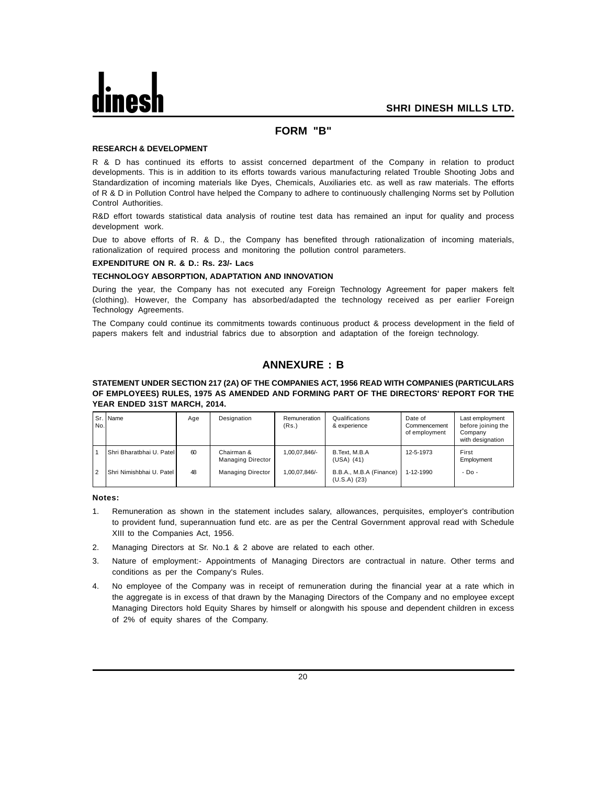#### **FORM "B"**

#### **RESEARCH & DEVELOPMENT**

R & D has continued its efforts to assist concerned department of the Company in relation to product developments. This is in addition to its efforts towards various manufacturing related Trouble Shooting Jobs and Standardization of incoming materials like Dyes, Chemicals, Auxiliaries etc. as well as raw materials. The efforts of R & D in Pollution Control have helped the Company to adhere to continuously challenging Norms set by Pollution Control Authorities.

R&D effort towards statistical data analysis of routine test data has remained an input for quality and process development work.

Due to above efforts of R. & D., the Company has benefited through rationalization of incoming materials, rationalization of required process and monitoring the pollution control parameters.

#### **EXPENDITURE ON R. & D.: Rs. 23/- Lacs**

#### **TECHNOLOGY ABSORPTION, ADAPTATION AND INNOVATION**

During the year, the Company has not executed any Foreign Technology Agreement for paper makers felt (clothing). However, the Company has absorbed/adapted the technology received as per earlier Foreign Technology Agreements.

The Company could continue its commitments towards continuous product & process development in the field of papers makers felt and industrial fabrics due to absorption and adaptation of the foreign technology.

#### **ANNEXURE : B**

#### **STATEMENT UNDER SECTION 217 (2A) OF THE COMPANIES ACT, 1956 READ WITH COMPANIES (PARTICULARS OF EMPLOYEES) RULES, 1975 AS AMENDED AND FORMING PART OF THE DIRECTORS' REPORT FOR THE YEAR ENDED 31ST MARCH, 2014.**

| l No.l         | Sr. IName                   | Age | Designation                            | Remuneration<br>(Rs.) | Qualifications<br>& experience            | Date of<br>Commencement<br>of employment | Last employment<br>before joining the<br>Company<br>with designation |
|----------------|-----------------------------|-----|----------------------------------------|-----------------------|-------------------------------------------|------------------------------------------|----------------------------------------------------------------------|
|                | İShri Bharatbhai U. Patelİ  | 60  | Chairman &<br><b>Managing Director</b> | 1.00.07.846/-         | B.Text, M.B.A<br>$(USA)$ $(41)$           | 12-5-1973                                | First<br>Employment                                                  |
| $\overline{2}$ | ÎShri Nimishbhai U. Patel │ | 48  | <b>Managing Director</b>               | 1,00,07,846/-         | B.B.A., M.B.A (Finance)<br>$(U.S.A)$ (23) | 1-12-1990                                | $-D0$                                                                |

**Notes:**

- 1. Remuneration as shown in the statement includes salary, allowances, perquisites, employer's contribution to provident fund, superannuation fund etc. are as per the Central Government approval read with Schedule XIII to the Companies Act, 1956.
- 2. Managing Directors at Sr. No.1 & 2 above are related to each other.
- 3. Nature of employment:- Appointments of Managing Directors are contractual in nature. Other terms and conditions as per the Company's Rules.
- 4. No employee of the Company was in receipt of remuneration during the financial year at a rate which in the aggregate is in excess of that drawn by the Managing Directors of the Company and no employee except Managing Directors hold Equity Shares by himself or alongwith his spouse and dependent children in excess of 2% of equity shares of the Company.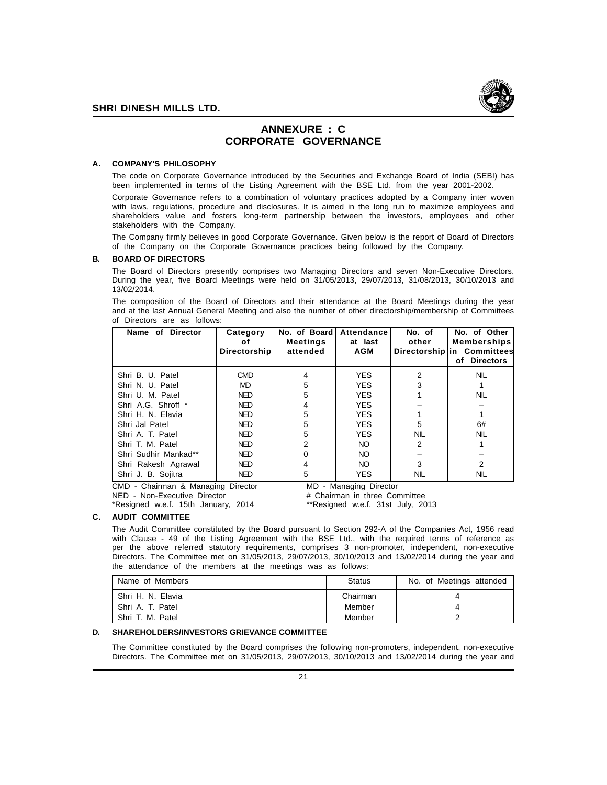

#### **ANNEXURE : C CORPORATE GOVERNANCE**

#### **A. COMPANY'S PHILOSOPHY**

The code on Corporate Governance introduced by the Securities and Exchange Board of India (SEBI) has been implemented in terms of the Listing Agreement with the BSE Ltd. from the year 2001-2002.

Corporate Governance refers to a combination of voluntary practices adopted by a Company inter woven with laws, regulations, procedure and disclosures. It is aimed in the long run to maximize employees and shareholders value and fosters long-term partnership between the investors, employees and other stakeholders with the Company.

The Company firmly believes in good Corporate Governance. Given below is the report of Board of Directors of the Company on the Corporate Governance practices being followed by the Company.

#### **B. BOARD OF DIRECTORS**

The Board of Directors presently comprises two Managing Directors and seven Non-Executive Directors. During the year, five Board Meetings were held on 31/05/2013, 29/07/2013, 31/08/2013, 30/10/2013 and 13/02/2014.

The composition of the Board of Directors and their attendance at the Board Meetings during the year and at the last Annual General Meeting and also the number of other directorship/membership of Committees of Directors are as follows:

| Name of Director                                                                                                                                                                                               | Category<br>οf<br>Directorship | No. of Board Attendance<br><b>Meetings</b><br>attended | at last<br><b>AGM</b>                   | No. of<br>other | No. of Other<br>Memberships<br>Directorship in Committees<br>of Directors |
|----------------------------------------------------------------------------------------------------------------------------------------------------------------------------------------------------------------|--------------------------------|--------------------------------------------------------|-----------------------------------------|-----------------|---------------------------------------------------------------------------|
| Shri B. U. Patel                                                                                                                                                                                               | <b>CMD</b>                     | 4                                                      | <b>YES</b>                              | 2               | <b>NIL</b>                                                                |
| Shri N. U. Patel                                                                                                                                                                                               | MD.                            | 5                                                      | <b>YES</b>                              |                 |                                                                           |
| Shri U. M. Patel                                                                                                                                                                                               | <b>NED</b>                     | 5                                                      | <b>YES</b>                              |                 | <b>NIL</b>                                                                |
| Shri A.G. Shroff *                                                                                                                                                                                             | <b>NED</b>                     | 4                                                      | <b>YES</b>                              |                 |                                                                           |
| Shri H. N. Elavia                                                                                                                                                                                              | <b>NED</b>                     | 5                                                      | <b>YES</b>                              |                 |                                                                           |
| Shri Jal Patel                                                                                                                                                                                                 | <b>NED</b>                     | 5                                                      | <b>YES</b>                              | 5               | 6#                                                                        |
| Shri A. T. Patel                                                                                                                                                                                               | <b>NED</b>                     | 5                                                      | <b>YES</b>                              | <b>NIL</b>      | <b>NIL</b>                                                                |
| Shri T. M. Patel                                                                                                                                                                                               | <b>NED</b>                     | 2                                                      | NO.                                     | 2               |                                                                           |
| Shri Sudhir Mankad**                                                                                                                                                                                           | <b>NED</b>                     |                                                        | NO.                                     |                 |                                                                           |
| Shri Rakesh Agrawal                                                                                                                                                                                            | <b>NED</b>                     |                                                        | NO.                                     | 3               | $\overline{2}$                                                            |
| Shri J. B. Sojitra<br>$\mathsf{QMD}$ $\mathsf{QL}$ . $\mathsf{QL}$ $\mathsf{QL}$ $\mathsf{QL}$ $\mathsf{QL}$ $\mathsf{QL}$ $\mathsf{QL}$ $\mathsf{QL}$ $\mathsf{QL}$ $\mathsf{QL}$ $\mathsf{QL}$ $\mathsf{QL}$ | <b>NED</b>                     | 5<br>$\overline{M}$                                    | <b>YES</b><br>Marchael and China and an | <b>NIL</b>      | <b>NIL</b>                                                                |

CMD - Chairman & Managing Director MD - Managing Director<br>NED - Non-Executive Director # Chairman in three Cor

# Chairman in three Committee

\*Resigned w.e.f. 15th January, 2014 \*\*Resigned w.e.f. 31st July, 2013

#### **C. AUDIT COMMITTEE**

The Audit Committee constituted by the Board pursuant to Section 292-A of the Companies Act, 1956 read with Clause - 49 of the Listing Agreement with the BSE Ltd., with the required terms of reference as per the above referred statutory requirements, comprises 3 non-promoter, independent, non-executive Directors. The Committee met on 31/05/2013, 29/07/2013, 30/10/2013 and 13/02/2014 during the year and the attendance of the members at the meetings was as follows:

| Name of Members   | Status   | No. of Meetings attended |
|-------------------|----------|--------------------------|
| Shri H. N. Elavia | Chairman |                          |
| Shri A. T. Patel  | Member   |                          |
| Shri T. M. Patel  | Member   |                          |

#### **D. SHAREHOLDERS/INVESTORS GRIEVANCE COMMITTEE**

The Committee constituted by the Board comprises the following non-promoters, independent, non-executive Directors. The Committee met on 31/05/2013, 29/07/2013, 30/10/2013 and 13/02/2014 during the year and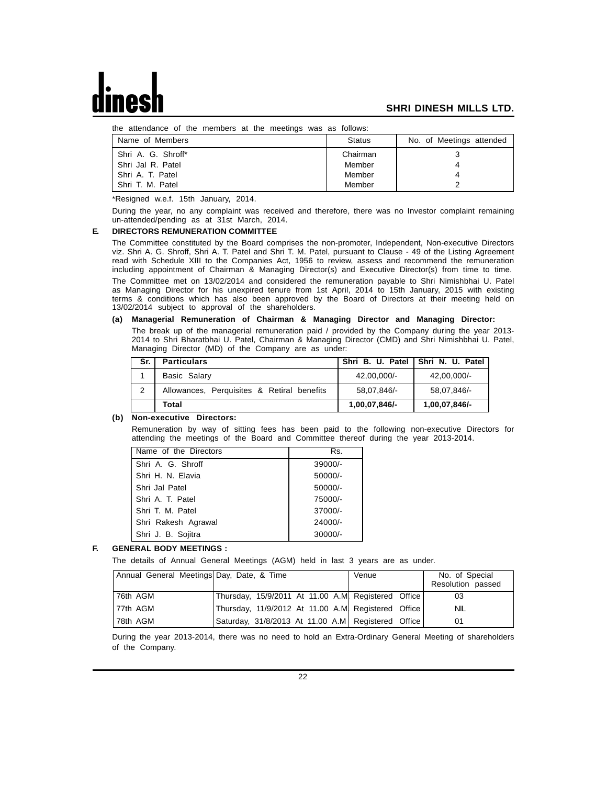| the attendance of the members at the meetings was as follows: |  |  |  |  |  |  |  |  |  |  |  |
|---------------------------------------------------------------|--|--|--|--|--|--|--|--|--|--|--|
|---------------------------------------------------------------|--|--|--|--|--|--|--|--|--|--|--|

| Name of Members    | Status   | No. of Meetings attended |
|--------------------|----------|--------------------------|
| Shri A. G. Shroff* | Chairman |                          |
| Shri Jal R. Patel  | Member   |                          |
| Shri A. T. Patel   | Member   |                          |
| Shri T. M. Patel   | Member   |                          |

\*Resigned w.e.f. 15th January, 2014.

During the year, no any complaint was received and therefore, there was no Investor complaint remaining un-attended/pending as at 31st March, 2014.

#### **E. DIRECTORS REMUNERATION COMMITTEE**

The Committee constituted by the Board comprises the non-promoter, Independent, Non-executive Directors viz. Shri A. G. Shroff, Shri A. T. Patel and Shri T. M. Patel, pursuant to Clause - 49 of the Listing Agreement read with Schedule XIII to the Companies Act, 1956 to review, assess and recommend the remuneration including appointment of Chairman & Managing Director(s) and Executive Director(s) from time to time.

The Committee met on 13/02/2014 and considered the remuneration payable to Shri Nimishbhai U. Patel as Managing Director for his unexpired tenure from 1st April, 2014 to 15th January, 2015 with existing terms & conditions which has also been approved by the Board of Directors at their meeting held on 13/02/2014 subject to approval of the shareholders.

#### **(a) Managerial Remuneration of Chairman & Managing Director and Managing Director:**

The break up of the managerial remuneration paid / provided by the Company during the year 2013- 2014 to Shri Bharatbhai U. Patel, Chairman & Managing Director (CMD) and Shri Nimishbhai U. Patel, Managing Director (MD) of the Company are as under:

| Sr.            | <b>Particulars</b>                         | Shri B. U. Patel   Shri N. U. Patel |               |
|----------------|--------------------------------------------|-------------------------------------|---------------|
|                | Basic Salary                               | 42.00.000/-                         | 42,00,000/-   |
| $\overline{2}$ | Allowances, Perquisites & Retiral benefits | 58.07.846/-                         | 58.07.846/-   |
|                | Total                                      | 1,00,07,846/-                       | 1,00,07,846/- |

#### **(b) Non-executive Directors:**

Remuneration by way of sitting fees has been paid to the following non-executive Directors for attending the meetings of the Board and Committee thereof during the year 2013-2014.

| Name of the Directors | Rs.       |
|-----------------------|-----------|
| Shri A. G. Shroff     | 39000/-   |
| Shri H. N. Elavia     | 50000/-   |
| Shri Jal Patel        | 50000/-   |
| Shri A. T. Patel      | 75000/-   |
| Shri T. M. Patel      | $37000/-$ |
| Shri Rakesh Agrawal   | 24000/-   |
| Shri J. B. Sojitra    | $30000/-$ |

#### **F. GENERAL BODY MEETINGS :**

The details of Annual General Meetings (AGM) held in last 3 years are as under.

| Annual General Meetings Day, Date, & Time |                                                     | Venue | No. of Special<br>Resolution passed |
|-------------------------------------------|-----------------------------------------------------|-------|-------------------------------------|
| 76th AGM                                  | Thursday, 15/9/2011 At 11.00 A.M. Registered Office |       | 03                                  |
| 77th AGM                                  | Thursday, 11/9/2012 At 11.00 A.M. Registered Office |       | <b>NIL</b>                          |
| 178th AGM                                 | Saturday, 31/8/2013 At 11.00 A.M Registered Office  |       | 01                                  |

During the year 2013-2014, there was no need to hold an Extra-Ordinary General Meeting of shareholders of the Company.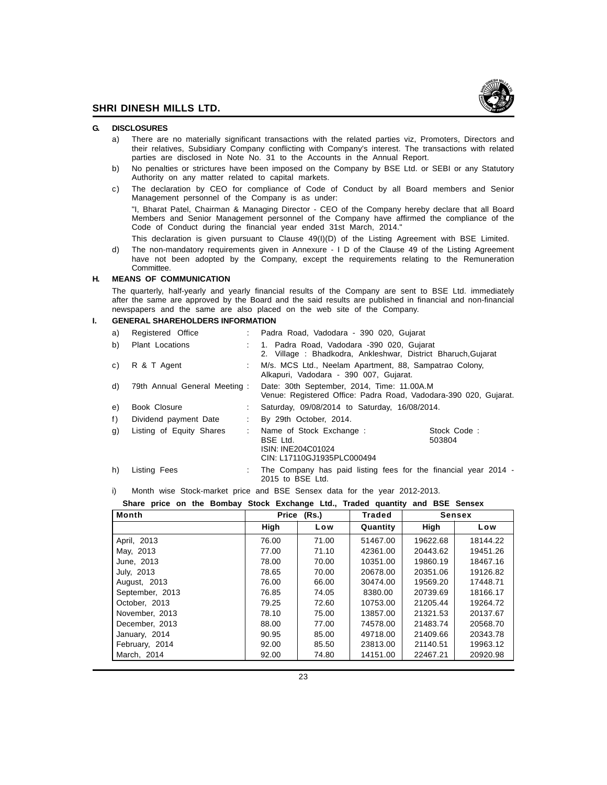

#### **G. DISCLOSURES**

- a) There are no materially significant transactions with the related parties viz, Promoters, Directors and their relatives, Subsidiary Company conflicting with Company's interest. The transactions with related parties are disclosed in Note No. 31 to the Accounts in the Annual Report.
- b) No penalties or strictures have been imposed on the Company by BSE Ltd. or SEBI or any Statutory Authority on any matter related to capital markets.
- c) The declaration by CEO for compliance of Code of Conduct by all Board members and Senior Management personnel of the Company is as under: "I, Bharat Patel, Chairman & Managing Director - CEO of the Company hereby declare that all Board Members and Senior Management personnel of the Company have affirmed the compliance of the Code of Conduct during the financial year ended 31st March, 2014."
	- This declaration is given pursuant to Clause 49(I)(D) of the Listing Agreement with BSE Limited.
- d) The non-mandatory requirements given in Annexure I D of the Clause 49 of the Listing Agreement have not been adopted by the Company, except the requirements relating to the Remuneration Committee.

#### **H. MEANS OF COMMUNICATION**

The quarterly, half-yearly and yearly financial results of the Company are sent to BSE Ltd. immediately after the same are approved by the Board and the said results are published in financial and non-financial newspapers and the same are also placed on the web site of the Company.

#### **I. GENERAL SHAREHOLDERS INFORMATION**

| a) | Registered Office            | : Padra Road, Vadodara - 390 020, Gujarat                                                                      |                       |
|----|------------------------------|----------------------------------------------------------------------------------------------------------------|-----------------------|
| b) | <b>Plant Locations</b>       | : 1. Padra Road, Vadodara -390 020, Gujarat<br>2. Village: Bhadkodra, Ankleshwar, District Bharuch, Gujarat    |                       |
| C) | R & T Agent                  | M/s. MCS Ltd., Neelam Apartment, 88, Sampatrao Colony,<br>Alkapuri, Vadodara - 390 007, Gujarat.               |                       |
| d) | 79th Annual General Meeting: | Date: 30th September, 2014, Time: 11.00A.M<br>Venue: Registered Office: Padra Road, Vadodara-390 020, Gujarat. |                       |
| e) | <b>Book Closure</b>          | Saturday, 09/08/2014 to Saturday, 16/08/2014.                                                                  |                       |
| f) | Dividend payment Date        | By 29th October, 2014.                                                                                         |                       |
| g) | Listing of Equity Shares     | Name of Stock Exchange:<br>BSE Ltd.<br>ISIN: INE204C01024<br>CIN: L17110GJ1935PLC000494                        | Stock Code:<br>503804 |
| h) | Listing Fees                 | The Company has paid listing fees for the financial year 2014 -<br>2015 to BSE Ltd.                            |                       |

i) Month wise Stock-market price and BSE Sensex data for the year 2012-2013.

|  |  |  | Share price on the Bombay Stock Exchange Ltd., Traded quantity and BSE Sensex |  |  |  |
|--|--|--|-------------------------------------------------------------------------------|--|--|--|
|  |  |  |                                                                               |  |  |  |

| Month           | Price<br>(Rs.) |       | <b>Traded</b> | <b>Sensex</b> |          |  |
|-----------------|----------------|-------|---------------|---------------|----------|--|
|                 | High           | Low   | Quantity      | High          | Low      |  |
| April, 2013     | 76.00          | 71.00 | 51467.00      | 19622.68      | 18144.22 |  |
| May, 2013       | 77.00          | 71.10 | 42361.00      | 20443.62      | 19451.26 |  |
| June, 2013      | 78.00          | 70.00 | 10351.00      | 19860.19      | 18467.16 |  |
| July, 2013      | 78.65          | 70.00 | 20678.00      | 20351.06      | 19126.82 |  |
| August, 2013    | 76.00          | 66.00 | 30474.00      | 19569.20      | 17448.71 |  |
| September, 2013 | 76.85          | 74.05 | 8380.00       | 20739.69      | 18166.17 |  |
| October, 2013   | 79.25          | 72.60 | 10753.00      | 21205.44      | 19264.72 |  |
| November, 2013  | 78.10          | 75.00 | 13857.00      | 21321.53      | 20137.67 |  |
| December, 2013  | 88.00          | 77.00 | 74578.00      | 21483.74      | 20568.70 |  |
| January, 2014   | 90.95          | 85.00 | 49718.00      | 21409.66      | 20343.78 |  |
| February, 2014  | 92.00          | 85.50 | 23813.00      | 21140.51      | 19963.12 |  |
| March, 2014     | 92.00          | 74.80 | 14151.00      | 22467.21      | 20920.98 |  |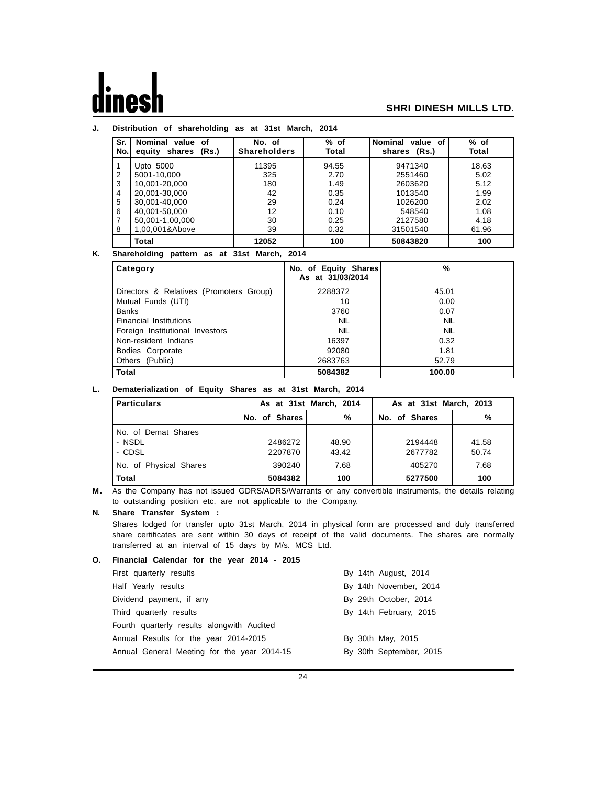#### **J. Distribution of shareholding as at 31st March, 2014**

| Sr.<br>No. | Nominal value of<br>shares<br>(Rs.)<br>equity | No. of<br><b>Shareholders</b> | $%$ of<br>Total | Nominal<br>value of<br>(Rs.)<br>shares | $%$ of<br>Total |
|------------|-----------------------------------------------|-------------------------------|-----------------|----------------------------------------|-----------------|
| 1          | Upto 5000                                     | 11395                         | 94.55           | 9471340                                | 18.63           |
| 2          | 5001-10.000                                   | 325                           | 2.70            | 2551460                                | 5.02            |
| 3          | 10.001-20.000                                 | 180                           | 1.49            | 2603620                                | 5.12            |
| 4          | 20.001-30.000                                 | 42                            | 0.35            | 1013540                                | 1.99            |
| 5          | 30,001-40,000                                 | 29                            | 0.24            | 1026200                                | 2.02            |
| 6          | 40,001-50,000                                 | 12                            | 0.10            | 548540                                 | 1.08            |
| 7          | 50,001-1,00,000                               | 30                            | 0.25            | 2127580                                | 4.18            |
| 8          | 1,00,001&Above                                | 39                            | 0.32            | 31501540                               | 61.96           |
|            | Total                                         | 12052                         | 100             | 50843820                               | 100             |

#### **K. Shareholding pattern as at 31st March, 2014**

| Category                                | No. of Equity Shares<br>As at 31/03/2014 | %          |
|-----------------------------------------|------------------------------------------|------------|
| Directors & Relatives (Promoters Group) | 2288372                                  | 45.01      |
| Mutual Funds (UTI)                      | 10                                       | 0.00       |
| <b>Banks</b>                            | 3760                                     | 0.07       |
| <b>Financial Institutions</b>           | <b>NIL</b>                               | <b>NIL</b> |
| Foreign Institutional Investors         | <b>NIL</b>                               | NIL        |
| Non-resident Indians                    | 16397                                    | 0.32       |
| Bodies Corporate                        | 92080                                    | 1.81       |
| Others (Public)                         | 2683763                                  | 52.79      |
| <b>Total</b>                            | 5084382                                  | 100.00     |

#### **L. Dematerialization of Equity Shares as at 31st March, 2014**

| <b>Particulars</b>                      | As at 31st March, 2014 |                | As at 31st March, 2013 |                |  |
|-----------------------------------------|------------------------|----------------|------------------------|----------------|--|
|                                         | No. of Shares          | %              | No. of Shares          | %              |  |
| No. of Demat Shares<br>- NSDL<br>- CDSL | 2486272<br>2207870     | 48.90<br>43.42 | 2194448<br>2677782     | 41.58<br>50.74 |  |
| No. of Physical Shares                  | 390240                 | 7.68           | 405270                 | 7.68           |  |
| <b>Total</b>                            | 5084382                | 100            | 5277500                | 100            |  |

**M.** As the Company has not issued GDRS/ADRS/Warrants or any convertible instruments, the details relating to outstanding position etc. are not applicable to the Company.

#### **N. Share Transfer System :**

Shares lodged for transfer upto 31st March, 2014 in physical form are processed and duly transferred share certificates are sent within 30 days of receipt of the valid documents. The shares are normally transferred at an interval of 15 days by M/s. MCS Ltd.

#### **O. Financial Calendar for the year 2014 - 2015**

| First quarterly results                     | By 14th August, 2014    |
|---------------------------------------------|-------------------------|
| Half Yearly results                         | By 14th November, 2014  |
| Dividend payment, if any                    | By 29th October, 2014   |
| Third quarterly results                     | By 14th February, 2015  |
| Fourth quarterly results alongwith Audited  |                         |
| Annual Results for the year 2014-2015       | By 30th May, 2015       |
| Annual General Meeting for the year 2014-15 | By 30th September, 2015 |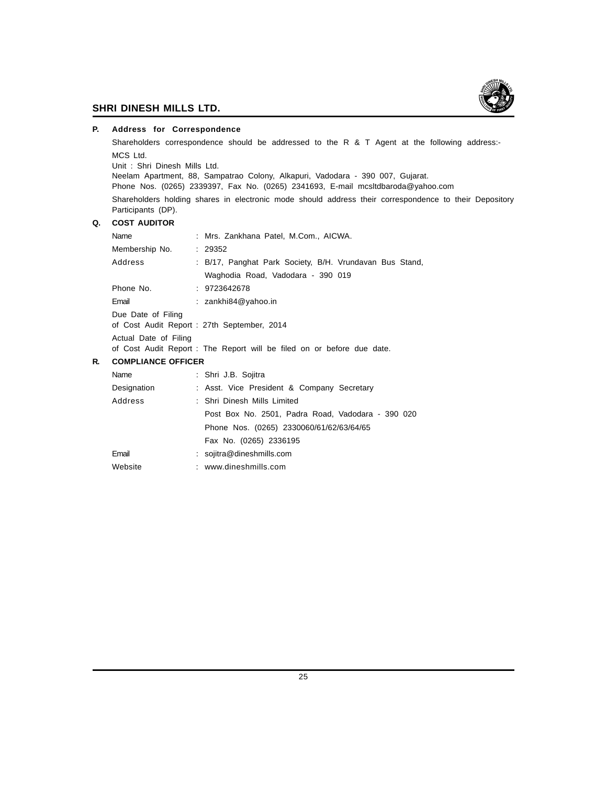

#### **P. Address for Correspondence**

Shareholders correspondence should be addressed to the R & T Agent at the following address:-MCS Ltd.

Unit : Shri Dinesh Mills Ltd.

Neelam Apartment, 88, Sampatrao Colony, Alkapuri, Vadodara - 390 007, Gujarat.

Phone Nos. (0265) 2339397, Fax No. (0265) 2341693, E-mail mcsltdbaroda@yahoo.com

Shareholders holding shares in electronic mode should address their correspondence to their Depository Participants (DP).

#### **Q. COST AUDITOR**

|                                                                  | Name                      |  | : Mrs. Zankhana Patel, M.Com., AICWA.                                  |  |
|------------------------------------------------------------------|---------------------------|--|------------------------------------------------------------------------|--|
|                                                                  | Membership No.            |  | : 29352                                                                |  |
|                                                                  | Address                   |  | : B/17, Panghat Park Society, B/H. Vrundavan Bus Stand,                |  |
|                                                                  |                           |  | Waghodia Road, Vadodara - 390 019                                      |  |
|                                                                  | Phone No.                 |  | : 9723642678                                                           |  |
|                                                                  | Email                     |  | $:$ zankhi $84@$ yahoo.in                                              |  |
| Due Date of Filing<br>of Cost Audit Report: 27th September, 2014 |                           |  |                                                                        |  |
|                                                                  | Actual Date of Filing     |  | of Cost Audit Report : The Report will be filed on or before due date. |  |
| R.                                                               | <b>COMPLIANCE OFFICER</b> |  |                                                                        |  |
|                                                                  | Name                      |  | : Shri J.B. Sojitra                                                    |  |
|                                                                  | Designation               |  | : Asst. Vice President & Company Secretary                             |  |
|                                                                  | Address                   |  | : Shri Dinesh Mills Limited                                            |  |
|                                                                  |                           |  | Post Box No. 2501, Padra Road, Vadodara - 390 020                      |  |
|                                                                  |                           |  | Phone Nos. (0265) 2330060/61/62/63/64/65                               |  |
|                                                                  |                           |  | Fax No. (0265) 2336195                                                 |  |
|                                                                  | Email                     |  | $:$ sojitra@dineshmills.com                                            |  |
|                                                                  |                           |  |                                                                        |  |

Website : www.dineshmills.com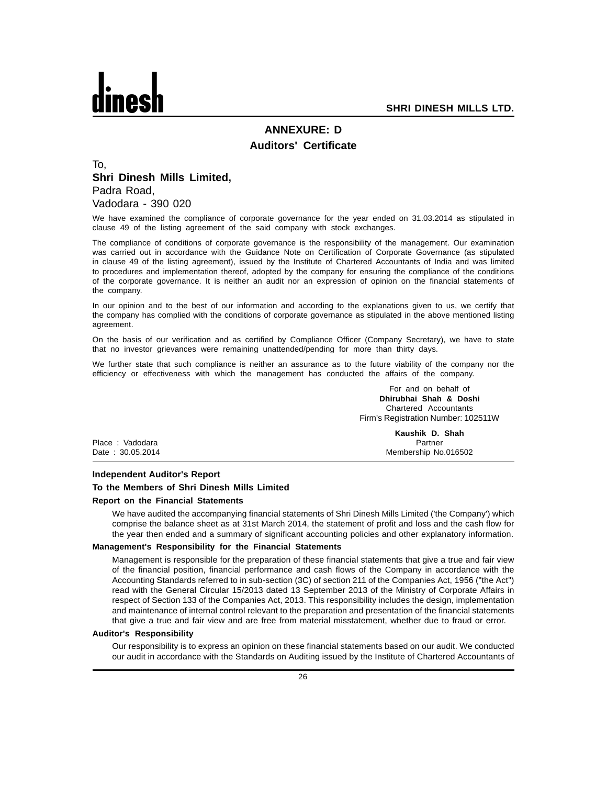

## **ANNEXURE: D Auditors' Certificate**

#### To, **Shri Dinesh Mills Limited,** Padra Road, Vadodara - 390 020

We have examined the compliance of corporate governance for the year ended on 31.03.2014 as stipulated in clause 49 of the listing agreement of the said company with stock exchanges.

The compliance of conditions of corporate governance is the responsibility of the management. Our examination was carried out in accordance with the Guidance Note on Certification of Corporate Governance (as stipulated in clause 49 of the listing agreement), issued by the Institute of Chartered Accountants of India and was limited to procedures and implementation thereof, adopted by the company for ensuring the compliance of the conditions of the corporate governance. It is neither an audit nor an expression of opinion on the financial statements of the company.

In our opinion and to the best of our information and according to the explanations given to us, we certify that the company has complied with the conditions of corporate governance as stipulated in the above mentioned listing agreement.

On the basis of our verification and as certified by Compliance Officer (Company Secretary), we have to state that no investor grievances were remaining unattended/pending for more than thirty days.

We further state that such compliance is neither an assurance as to the future viability of the company nor the efficiency or effectiveness with which the management has conducted the affairs of the company.

|                  | For and on behalf of                |
|------------------|-------------------------------------|
|                  | Dhirubhai Shah & Doshi              |
|                  | Chartered Accountants               |
|                  | Firm's Registration Number: 102511W |
|                  | Kaushik D. Shah                     |
| Place: Vadodara  | Partner                             |
| Date: 30.05.2014 | Membership No.016502                |
|                  |                                     |

#### **Independent Auditor's Report**

#### **To the Members of Shri Dinesh Mills Limited**

#### **Report on the Financial Statements**

We have audited the accompanying financial statements of Shri Dinesh Mills Limited ('the Company') which comprise the balance sheet as at 31st March 2014, the statement of profit and loss and the cash flow for the year then ended and a summary of significant accounting policies and other explanatory information.

#### **Management's Responsibility for the Financial Statements**

Management is responsible for the preparation of these financial statements that give a true and fair view of the financial position, financial performance and cash flows of the Company in accordance with the Accounting Standards referred to in sub-section (3C) of section 211 of the Companies Act, 1956 ("the Act") read with the General Circular 15/2013 dated 13 September 2013 of the Ministry of Corporate Affairs in respect of Section 133 of the Companies Act, 2013. This responsibility includes the design, implementation and maintenance of internal control relevant to the preparation and presentation of the financial statements that give a true and fair view and are free from material misstatement, whether due to fraud or error.

#### **Auditor's Responsibility**

Our responsibility is to express an opinion on these financial statements based on our audit. We conducted our audit in accordance with the Standards on Auditing issued by the Institute of Chartered Accountants of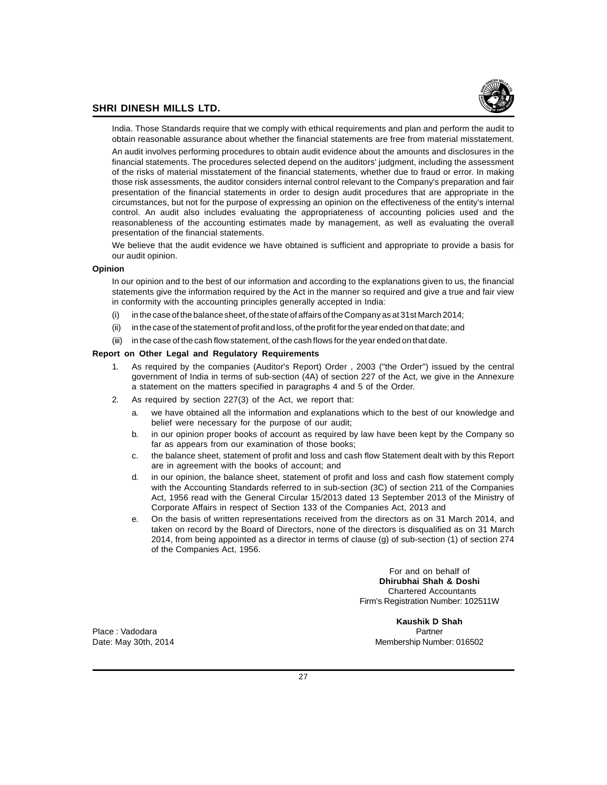

India. Those Standards require that we comply with ethical requirements and plan and perform the audit to obtain reasonable assurance about whether the financial statements are free from material misstatement.

An audit involves performing procedures to obtain audit evidence about the amounts and disclosures in the financial statements. The procedures selected depend on the auditors' judgment, including the assessment of the risks of material misstatement of the financial statements, whether due to fraud or error. In making those risk assessments, the auditor considers internal control relevant to the Company's preparation and fair presentation of the financial statements in order to design audit procedures that are appropriate in the circumstances, but not for the purpose of expressing an opinion on the effectiveness of the entity's internal control. An audit also includes evaluating the appropriateness of accounting policies used and the reasonableness of the accounting estimates made by management, as well as evaluating the overall presentation of the financial statements.

We believe that the audit evidence we have obtained is sufficient and appropriate to provide a basis for our audit opinion.

#### **Opinion**

In our opinion and to the best of our information and according to the explanations given to us, the financial statements give the information required by the Act in the manner so required and give a true and fair view in conformity with the accounting principles generally accepted in India:

- (i) in the case of the balance sheet, of the state of affairs of the Company as at 31st March 2014;
- (ii) in the case of the statement of profit and loss, of the profit for the year ended on that date; and
- (iii) in the case of the cash flow statement, of the cash flows for the year ended on that date.

#### **Report on Other Legal and Regulatory Requirements**

- 1. As required by the companies (Auditor's Report) Order , 2003 ("the Order") issued by the central government of India in terms of sub-section (4A) of section 227 of the Act, we give in the Annexure a statement on the matters specified in paragraphs 4 and 5 of the Order.
- 2. As required by section 227(3) of the Act, we report that:
	- a. we have obtained all the information and explanations which to the best of our knowledge and belief were necessary for the purpose of our audit;
	- b. in our opinion proper books of account as required by law have been kept by the Company so far as appears from our examination of those books;
	- c. the balance sheet, statement of profit and loss and cash flow Statement dealt with by this Report are in agreement with the books of account; and
	- d. in our opinion, the balance sheet, statement of profit and loss and cash flow statement comply with the Accounting Standards referred to in sub-section (3C) of section 211 of the Companies Act, 1956 read with the General Circular 15/2013 dated 13 September 2013 of the Ministry of Corporate Affairs in respect of Section 133 of the Companies Act, 2013 and
	- e. On the basis of written representations received from the directors as on 31 March 2014, and taken on record by the Board of Directors, none of the directors is disqualified as on 31 March 2014, from being appointed as a director in terms of clause (g) of sub-section (1) of section 274 of the Companies Act, 1956.

For and on behalf of **Dhirubhai Shah & Doshi** Chartered Accountants Firm's Registration Number: 102511W

Place : Vadodara Partner Partner Partner Partner Partner Partner Partner Partner Partner Partner Partner Partner

**Kaushik D Shah** Date: May 30th, 2014 Membership Number: 016502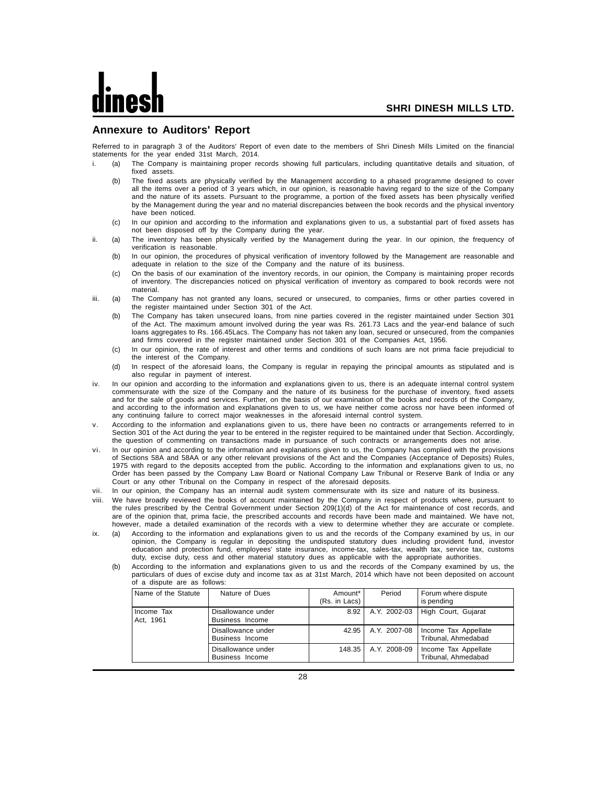#### **Annexure to Auditors' Report**

Referred to in paragraph 3 of the Auditors' Report of even date to the members of Shri Dinesh Mills Limited on the financial statements for the year ended 31st March, 2014.

- i. (a) The Company is maintaining proper records showing full particulars, including quantitative details and situation, of fixed assets.
	- (b) The fixed assets are physically verified by the Management according to a phased programme designed to cover all the items over a period of 3 years which, in our opinion, is reasonable having regard to the size of the Company and the nature of its assets. Pursuant to the programme, a portion of the fixed assets has been physically verified by the Management during the year and no material discrepancies between the book records and the physical inventory have been noticed.
	- (c) In our opinion and according to the information and explanations given to us, a substantial part of fixed assets has not been disposed off by the Company during the year.
- ii. (a) The inventory has been physically verified by the Management during the year. In our opinion, the frequency of verification is reasonable.
	- (b) In our opinion, the procedures of physical verification of inventory followed by the Management are reasonable and adequate in relation to the size of the Company and the nature of its business.
	- (c) On the basis of our examination of the inventory records, in our opinion, the Company is maintaining proper records of inventory. The discrepancies noticed on physical verification of inventory as compared to book records were not material.
- iii. (a) The Company has not granted any loans, secured or unsecured, to companies, firms or other parties covered in the register maintained under Section 301 of the Act.
	- (b) The Company has taken unsecured loans, from nine parties covered in the register maintained under Section 301 of the Act. The maximum amount involved during the year was Rs. 261.73 Lacs and the year-end balance of such loans aggregates to Rs. 166.45Lacs. The Company has not taken any loan, secured or unsecured, from the companies and firms covered in the register maintained under Section 301 of the Companies Act, 1956.
	- (c) In our opinion, the rate of interest and other terms and conditions of such loans are not prima facie prejudicial to the interest of the Company.
	- (d) In respect of the aforesaid loans, the Company is regular in repaying the principal amounts as stipulated and is also regular in payment of interest.
- iv. In our opinion and according to the information and explanations given to us, there is an adequate internal control system commensurate with the size of the Company and the nature of its business for the purchase of inventory, fixed assets and for the sale of goods and services. Further, on the basis of our examination of the books and records of the Company, and according to the information and explanations given to us, we have neither come across nor have been informed of any continuing failure to correct major weaknesses in the aforesaid internal control system.
- v. According to the information and explanations given to us, there have been no contracts or arrangements referred to in Section 301 of the Act during the year to be entered in the register required to be maintained under that Section. Accordingly, the question of commenting on transactions made in pursuance of such contracts or arrangements does not arise.
- vi. In our opinion and according to the information and explanations given to us, the Company has complied with the provisions of Sections 58A and 58AA or any other relevant provisions of the Act and the Companies (Acceptance of Deposits) Rules, 1975 with regard to the deposits accepted from the public. According to the information and explanations given to us, no Order has been passed by the Company Law Board or National Company Law Tribunal or Reserve Bank of India or any Court or any other Tribunal on the Company in respect of the aforesaid deposits.
- vii. In our opinion, the Company has an internal audit system commensurate with its size and nature of its business.
- We have broadly reviewed the books of account maintained by the Company in respect of products where, pursuant to the rules prescribed by the Central Government under Section 209(1)(d) of the Act for maintenance of cost records, and are of the opinion that, prima facie, the prescribed accounts and records have been made and maintained. We have not, however, made a detailed examination of the records with a view to determine whether they are accurate or complete.
- ix. (a) According to the information and explanations given to us and the records of the Company examined by us, in our opinion, the Company is regular in depositing the undisputed statutory dues including provident fund, investor education and protection fund, employees' state insurance, income-tax, sales-tax, wealth tax, service tax, customs duty, excise duty, cess and other material statutory dues as applicable with the appropriate authorities.
	- (b) According to the information and explanations given to us and the records of the Company examined by us, the particulars of dues of excise duty and income tax as at 31st March, 2014 which have not been deposited on account of a dispute are as follows:

| Name of the Statute     | Nature of Dues                        | Amount <sup>*</sup><br>(Rs. in Lacs) | Period       | Forum where dispute<br>is pending           |
|-------------------------|---------------------------------------|--------------------------------------|--------------|---------------------------------------------|
| Income Tax<br>Act, 1961 | Disallowance under<br>Business Income | 8.92                                 | A.Y. 2002-03 | High Court, Gujarat                         |
|                         | Disallowance under<br>Business Income | 42.95                                | A.Y. 2007-08 | Income Tax Appellate<br>Tribunal, Ahmedabad |
|                         | Disallowance under<br>Business Income | 148.35                               | A.Y. 2008-09 | Income Tax Appellate<br>Tribunal, Ahmedabad |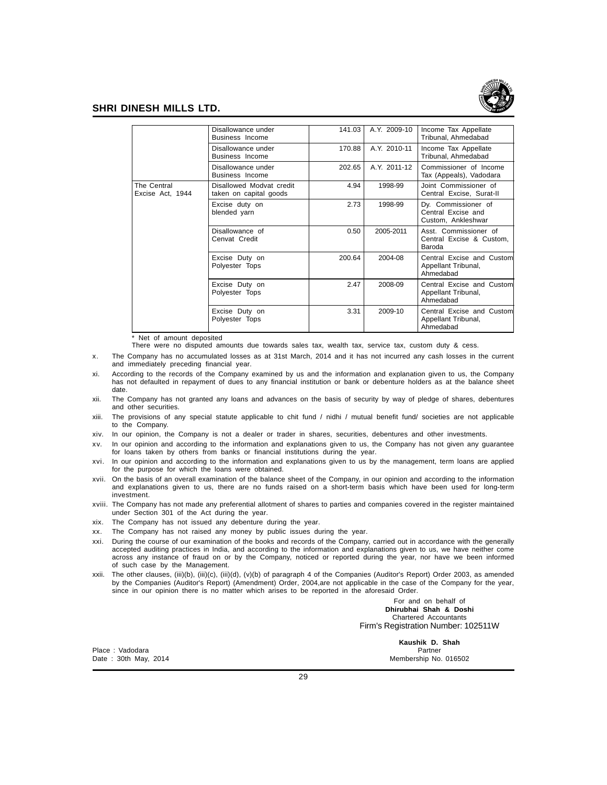

|                                 | Disallowance under<br>Business Income              | 141.03 | A.Y. 2009-10 | Income Tax Appellate<br>Tribunal, Ahmedabad                     |
|---------------------------------|----------------------------------------------------|--------|--------------|-----------------------------------------------------------------|
|                                 | Disallowance under<br>Business Income              | 170.88 | A.Y. 2010-11 | Income Tax Appellate<br>Tribunal, Ahmedabad                     |
|                                 | Disallowance under<br>Business Income              | 202.65 | A.Y. 2011-12 | Commissioner of Income<br>Tax (Appeals), Vadodara               |
| The Central<br>Excise Act, 1944 | Disallowed Modvat credit<br>taken on capital goods | 4.94   | 1998-99      | Joint Commissioner of<br>Central Excise, Surat-II               |
|                                 | Excise duty on<br>blended yarn                     | 2.73   | 1998-99      | Dy. Commissioner of<br>Central Excise and<br>Custom, Ankleshwar |
|                                 | Disallowance of<br>Cenvat Credit                   | 0.50   | 2005-2011    | Asst. Commissioner of<br>Central Excise & Custom,<br>Baroda     |
|                                 | Excise Duty on<br>Polyester Tops                   | 200.64 | 2004-08      | Central Excise and Customl<br>Appellant Tribunal,<br>Ahmedabad  |
|                                 | Excise Duty on<br>Polyester Tops                   | 2.47   | 2008-09      | Central Excise and Customl<br>Appellant Tribunal,<br>Ahmedabad  |
|                                 | Excise Duty on<br>Polyester Tops                   | 3.31   | 2009-10      | Central Excise and Customl<br>Appellant Tribunal,<br>Ahmedabad  |

\* Net of amount deposited

There were no disputed amounts due towards sales tax, wealth tax, service tax, custom duty & cess.

- x. The Company has no accumulated losses as at 31st March, 2014 and it has not incurred any cash losses in the current and immediately preceding financial year.
- xi. According to the records of the Company examined by us and the information and explanation given to us, the Company has not defaulted in repayment of dues to any financial institution or bank or debenture holders as at the balance sheet date.
- xii. The Company has not granted any loans and advances on the basis of security by way of pledge of shares, debentures and other securities.
- xiii. The provisions of any special statute applicable to chit fund / nidhi / mutual benefit fund/ societies are not applicable to the Company.
- xiv. In our opinion, the Company is not a dealer or trader in shares, securities, debentures and other investments.
- xv. In our opinion and according to the information and explanations given to us, the Company has not given any guarantee for loans taken by others from banks or financial institutions during the year.
- xvi. In our opinion and according to the information and explanations given to us by the management, term loans are applied for the purpose for which the loans were obtained.
- xvii. On the basis of an overall examination of the balance sheet of the Company, in our opinion and according to the information and explanations given to us, there are no funds raised on a short-term basis which have been used for long-term investment.
- xviii. The Company has not made any preferential allotment of shares to parties and companies covered in the register maintained under Section 301 of the Act during the year.
- xix. The Company has not issued any debenture during the year.
- xx. The Company has not raised any money by public issues during the year.
- xxi. During the course of our examination of the books and records of the Company, carried out in accordance with the generally accepted auditing practices in India, and according to the information and explanations given to us, we have neither come across any instance of fraud on or by the Company, noticed or reported during the year, nor have we been informed of such case by the Management.
- xxii. The other clauses, (iii)(b), (iii)(c), (iii)(d), (v)(b) of paragraph 4 of the Companies (Auditor's Report) Order 2003, as amended by the Companies (Auditor's Report) (Amendment) Order, 2004,are not applicable in the case of the Company for the year, since in our opinion there is no matter which arises to be reported in the aforesaid Order.

For and on behalf of **Dhirubhai Shah & Doshi** Chartered Accountants Firm's Registration Number: 102511W

Place : Vadodara Partner

**Kaushik D. Shah** Membership No. 016502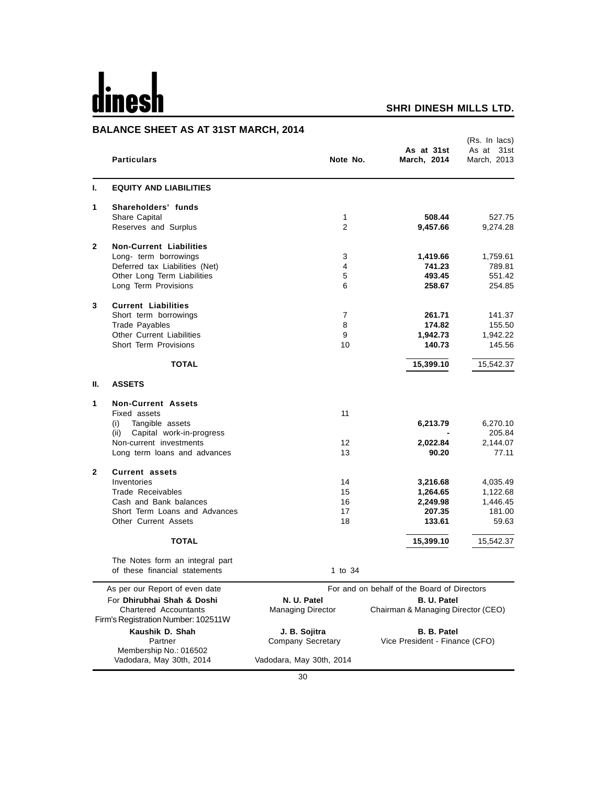## dinesh

## **SHRI DINESH MILLS LTD.**

## **BALANCE SHEET AS AT 31ST MARCH, 2014**

|              | <b>Particulars</b>                                                                                                                                                 | Note No.                                                       | As at 31st<br>March, 2014                                                                               | (Rs. In lacs)<br>31st<br>As at<br>March, 2013       |
|--------------|--------------------------------------------------------------------------------------------------------------------------------------------------------------------|----------------------------------------------------------------|---------------------------------------------------------------------------------------------------------|-----------------------------------------------------|
| ı.           | <b>EQUITY AND LIABILITIES</b>                                                                                                                                      |                                                                |                                                                                                         |                                                     |
| 1            | Shareholders' funds<br>Share Capital<br>Reserves and Surplus                                                                                                       | 1<br>$\overline{2}$                                            | 508.44<br>9,457.66                                                                                      | 527.75<br>9,274.28                                  |
| $\mathbf{2}$ | <b>Non-Current Liabilities</b><br>Long- term borrowings<br>Deferred tax Liabilities (Net)<br>Other Long Term Liabilities<br>Long Term Provisions                   | 3<br>4<br>5<br>6                                               | 1,419.66<br>741.23<br>493.45<br>258.67                                                                  | 1,759.61<br>789.81<br>551.42<br>254.85              |
| 3            | <b>Current Liabilities</b><br>Short term borrowings<br><b>Trade Payables</b><br>Other Current Liabilities<br>Short Term Provisions<br><b>TOTAL</b>                 | 7<br>8<br>9<br>10                                              | 261.71<br>174.82<br>1,942.73<br>140.73<br>15,399.10                                                     | 141.37<br>155.50<br>1,942.22<br>145.56<br>15,542.37 |
| Ш.           | <b>ASSETS</b>                                                                                                                                                      |                                                                |                                                                                                         |                                                     |
| 1            | <b>Non-Current Assets</b><br>Fixed assets<br>Tangible assets<br>(i)<br>Capital work-in-progress<br>(ii)<br>Non-current investments<br>Long term loans and advances | 11<br>12<br>13                                                 | 6,213.79<br>2,022.84<br>90.20                                                                           | 6,270.10<br>205.84<br>2,144.07<br>77.11             |
| $\mathbf{2}$ | <b>Current assets</b><br>Inventories<br>Trade Receivables<br>Cash and Bank balances<br>Short Term Loans and Advances<br><b>Other Current Assets</b>                | 14<br>15<br>16<br>17<br>18                                     | 3,216.68<br>1,264.65<br>2,249.98<br>207.35<br>133.61                                                    | 4,035.49<br>1,122.68<br>1,446.45<br>181.00<br>59.63 |
|              | <b>TOTAL</b><br>The Notes form an integral part<br>of these financial statements                                                                                   | 1 to 34                                                        | 15,399.10                                                                                               | 15,542.37                                           |
|              | As per our Report of even date<br>For Dhirubhai Shah & Doshi<br><b>Chartered Accountants</b><br>Firm's Registration Number: 102511W                                | N. U. Patel<br><b>Managing Director</b>                        | For and on behalf of the Board of Directors<br><b>B. U. Patel</b><br>Chairman & Managing Director (CEO) |                                                     |
|              | Kaushik D. Shah<br>Partner<br>Membership No.: 016502<br>Vadodara, May 30th, 2014                                                                                   | J. B. Sojitra<br>Company Secretary<br>Vadodara, May 30th, 2014 | B. B. Patel<br>Vice President - Finance (CFO)                                                           |                                                     |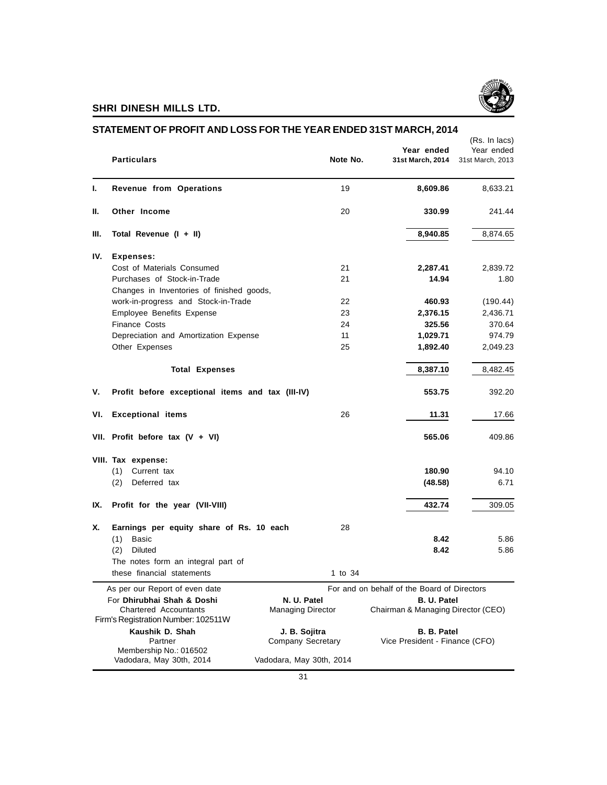

|      | <b>Particulars</b>                                                                                | Note No.                                | Year ended<br>31st March, 2014                    | (Rs. In lacs)<br>Year ended<br>31st March, 2013 |
|------|---------------------------------------------------------------------------------------------------|-----------------------------------------|---------------------------------------------------|-------------------------------------------------|
| ı.   | Revenue from Operations                                                                           | 19                                      | 8,609.86                                          | 8,633.21                                        |
| Н.   | Other Income                                                                                      | 20                                      | 330.99                                            | 241.44                                          |
| III. | Total Revenue (I + II)                                                                            |                                         | 8,940.85                                          | 8,874.65                                        |
| IV.  | <b>Expenses:</b>                                                                                  |                                         |                                                   |                                                 |
|      | Cost of Materials Consumed                                                                        | 21                                      | 2,287.41                                          | 2,839.72                                        |
|      | Purchases of Stock-in-Trade                                                                       | 21                                      | 14.94                                             | 1.80                                            |
|      | Changes in Inventories of finished goods,                                                         |                                         |                                                   |                                                 |
|      | work-in-progress and Stock-in-Trade                                                               | 22                                      | 460.93                                            | (190.44)                                        |
|      | Employee Benefits Expense                                                                         | 23                                      | 2,376.15                                          | 2,436.71                                        |
|      | <b>Finance Costs</b>                                                                              | 24                                      | 325.56                                            | 370.64                                          |
|      | Depreciation and Amortization Expense                                                             | 11                                      | 1,029.71                                          | 974.79                                          |
|      | Other Expenses                                                                                    | 25                                      | 1,892.40                                          | 2,049.23                                        |
|      |                                                                                                   |                                         |                                                   |                                                 |
|      | <b>Total Expenses</b>                                                                             |                                         | 8,387.10                                          | 8,482.45                                        |
| ۷.   | Profit before exceptional items and tax (III-IV)                                                  |                                         | 553.75                                            | 392.20                                          |
| VI.  | <b>Exceptional items</b>                                                                          | 26                                      | 11.31                                             | 17.66                                           |
|      | VII. Profit before tax $(V + VI)$                                                                 |                                         | 565.06                                            | 409.86                                          |
|      | VIII. Tax expense:                                                                                |                                         |                                                   |                                                 |
|      | $(1)$ Current tax                                                                                 |                                         | 180.90                                            | 94.10                                           |
|      | (2)<br>Deferred tax                                                                               |                                         | (48.58)                                           | 6.71                                            |
| IX.  | Profit for the year (VII-VIII)                                                                    |                                         | 432.74                                            | 309.05                                          |
| Х.   | Earnings per equity share of Rs. 10 each                                                          | 28                                      |                                                   |                                                 |
|      | <b>Basic</b><br>(1)                                                                               |                                         | 8.42                                              | 5.86                                            |
|      | <b>Diluted</b><br>(2)                                                                             |                                         | 8.42                                              | 5.86                                            |
|      | The notes form an integral part of                                                                |                                         |                                                   |                                                 |
|      | these financial statements                                                                        | 1 to 34                                 |                                                   |                                                 |
|      |                                                                                                   |                                         |                                                   |                                                 |
|      | As per our Report of even date                                                                    |                                         | For and on behalf of the Board of Directors       |                                                 |
|      | For Dhirubhai Shah & Doshi<br><b>Chartered Accountants</b><br>Firm's Registration Number: 102511W | N. U. Patel<br><b>Managing Director</b> | B. U. Patel<br>Chairman & Managing Director (CEO) |                                                 |
|      | Kaushik D. Shah                                                                                   | J. B. Sojitra                           | B. B. Patel                                       |                                                 |
|      | Partner                                                                                           | Company Secretary                       | Vice President - Finance (CFO)                    |                                                 |
|      | Membership No.: 016502<br>Vadodara, May 30th, 2014                                                | Vadodara, May 30th, 2014                |                                                   |                                                 |
|      |                                                                                                   | 31                                      |                                                   |                                                 |

#### **STATEMENT OF PROFIT AND LOSS FOR THE YEAR ENDED 31ST MARCH, 2014**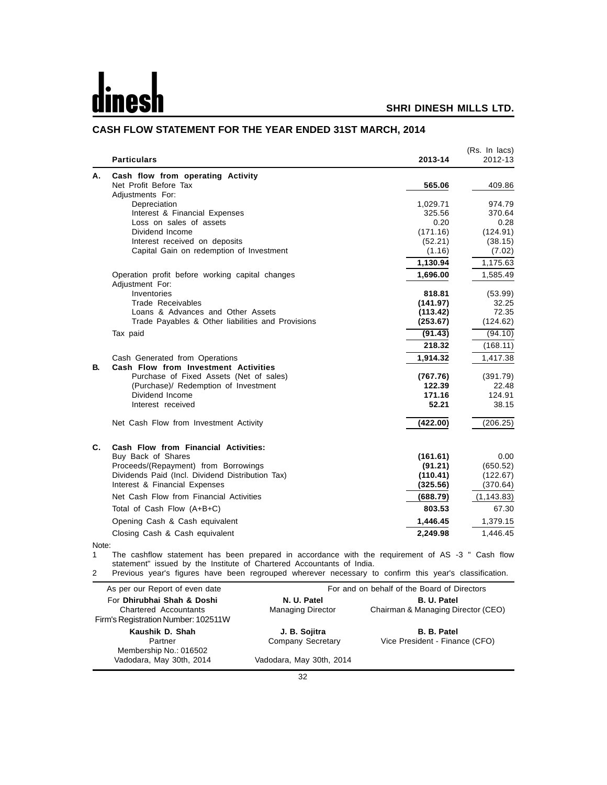## I

#### **SHRI DINESH MILLS LTD.**

|            | <b>Particulars</b>                                                                                                                                                        | 2013-14                            | (Rs. In lacs)<br>2012-13 |
|------------|---------------------------------------------------------------------------------------------------------------------------------------------------------------------------|------------------------------------|--------------------------|
| А.         | Cash flow from operating Activity                                                                                                                                         |                                    |                          |
|            | Net Profit Before Tax                                                                                                                                                     | 565.06                             | 409.86                   |
|            | Adjustments For:                                                                                                                                                          |                                    |                          |
|            | Depreciation                                                                                                                                                              | 1,029.71                           | 974.79                   |
|            | Interest & Financial Expenses                                                                                                                                             | 325.56                             | 370.64                   |
|            | Loss on sales of assets<br>Dividend Income                                                                                                                                | 0.20                               | 0.28                     |
|            | Interest received on deposits                                                                                                                                             | (171.16)                           | (124.91)                 |
|            | Capital Gain on redemption of Investment                                                                                                                                  | (52.21)<br>(1.16)                  | (38.15)<br>(7.02)        |
|            |                                                                                                                                                                           |                                    |                          |
|            |                                                                                                                                                                           | 1,130.94                           | 1,175.63                 |
|            | Operation profit before working capital changes<br>Adjustment For:                                                                                                        | 1,696.00                           | 1,585.49                 |
|            | Inventories                                                                                                                                                               | 818.81                             | (53.99)                  |
|            | Trade Receivables                                                                                                                                                         | (141.97)                           | 32.25                    |
|            | Loans & Advances and Other Assets                                                                                                                                         | (113.42)                           | 72.35                    |
|            | Trade Payables & Other liabilities and Provisions                                                                                                                         | (253.67)                           | (124.62)                 |
|            | Tax paid                                                                                                                                                                  | (91.43)                            | (94.10)                  |
|            |                                                                                                                                                                           | 218.32                             | (168.11)                 |
|            | Cash Generated from Operations                                                                                                                                            | 1,914.32                           | 1,417.38                 |
| В.         | Cash Flow from Investment Activities                                                                                                                                      |                                    |                          |
|            | Purchase of Fixed Assets (Net of sales)                                                                                                                                   | (767.76)                           | (391.79)                 |
|            | (Purchase)/ Redemption of Investment<br>Dividend Income                                                                                                                   | 122.39<br>171.16                   | 22.48<br>124.91          |
|            | Interest received                                                                                                                                                         | 52.21                              | 38.15                    |
|            |                                                                                                                                                                           |                                    |                          |
|            | Net Cash Flow from Investment Activity                                                                                                                                    | (422.00)                           | (206.25)                 |
| C.         | Cash Flow from Financial Activities:                                                                                                                                      |                                    |                          |
|            | Buy Back of Shares                                                                                                                                                        | (161.61)                           | 0.00                     |
|            | Proceeds/(Repayment) from Borrowings                                                                                                                                      | (91.21)                            | (650.52)                 |
|            | Dividends Paid (Incl. Dividend Distribution Tax)                                                                                                                          | (110.41)                           | (122.67)                 |
|            | Interest & Financial Expenses                                                                                                                                             | (325.56)                           | (370.64)                 |
|            | Net Cash Flow from Financial Activities                                                                                                                                   | (688.79)<br>803.53                 | (1, 143.83)<br>67.30     |
|            | Total of Cash Flow (A+B+C)                                                                                                                                                |                                    |                          |
|            | Opening Cash & Cash equivalent                                                                                                                                            | 1,446.45                           | 1,379.15                 |
|            | Closing Cash & Cash equivalent                                                                                                                                            | 2,249.98                           | 1,446.45                 |
| Note:<br>1 | The cashflow statement has been prepared in accordance with the requirement of AS -3 " Cash flow<br>statement" issued by the Institute of Chartered Accountants of India. |                                    |                          |
| 2          | Previous year's figures have been regrouped wherever necessary to confirm this year's classification.                                                                     |                                    |                          |
|            | For and on behalf of the Board of Directors<br>As per our Report of even date                                                                                             |                                    |                          |
|            | For Dhirubhai Shah & Doshi<br>N. U. Patel                                                                                                                                 | <b>B. U. Patel</b>                 |                          |
|            | <b>Chartered Accountants</b><br><b>Managing Director</b><br>Eirm's Registration Number: 102511W                                                                           | Chairman & Managing Director (CEO) |                          |

#### **CASH FLOW STATEMENT FOR THE YEAR ENDED 31ST MARCH, 2014**

Firm's Registration Number: 102511W **Kaushik D. Shah**  $\begin{array}{ccc} \text{J. B. Sojitra} & \text{Vice President - Finan} \\ \end{array}$ Partner Company Secretary Vice President - Finance (CFO) Membership No.: 016502

Vadodara, May 30th, 2014 Vadodara, May 30th, 2014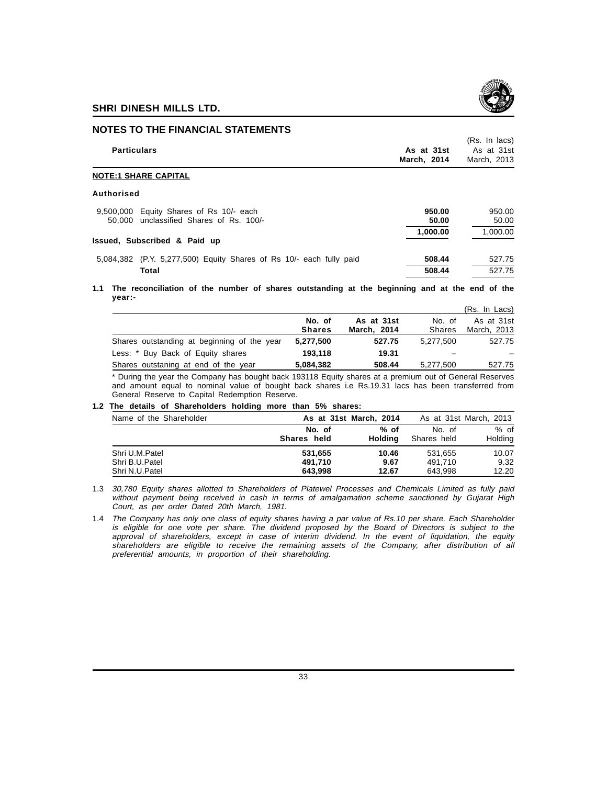

#### **NOTES TO THE FINANCIAL STATEMENTS**

| <b>Particulars</b>                                                                    | As at 31st<br>March, 2014 | (Rs. In lacs)<br>As at 31st<br>March, 2013 |
|---------------------------------------------------------------------------------------|---------------------------|--------------------------------------------|
| <b>NOTE:1 SHARE CAPITAL</b>                                                           |                           |                                            |
| Authorised                                                                            |                           |                                            |
| Equity Shares of Rs 10/- each<br>9.500.000<br>50,000 unclassified Shares of Rs. 100/- | 950.00<br>50.00           | 950.00<br>50.00                            |
| Issued, Subscribed & Paid up                                                          | 1,000.00                  | 1,000.00                                   |
| 5,084,382 (P.Y. 5,277,500) Equity Shares of Rs 10/- each fully paid                   | 508.44                    | 527.75                                     |
| Total                                                                                 | 508.44                    | 527.75                                     |

**1.1 The reconciliation of the number of shares outstanding at the beginning and at the end of the year:-**

|                                             |                         |                           |                  | (Rs. In Lacs)             |
|---------------------------------------------|-------------------------|---------------------------|------------------|---------------------------|
|                                             | No. of<br><b>Shares</b> | As at 31st<br>March. 2014 | No. of<br>Shares | As at 31st<br>March, 2013 |
| Shares outstanding at beginning of the year | 5,277,500               | 527.75                    | 5.277.500        | 527.75                    |
| Less: * Buy Back of Equity shares           | 193.118                 | 19.31                     |                  |                           |
| Shares outstaning at end of the year        | 5,084,382               | 508.44                    | 5,277,500        | 527.75                    |

\* During the year the Company has bought back 193118 Equity shares at a premium out of General Reserves and amount equal to nominal value of bought back shares i.e Rs.19.31 lacs has been transferred from General Reserve to Capital Redemption Reserve.

#### **1.2 The details of Shareholders holding more than 5% shares:**

| Name of the Shareholder | As at 31st March, 2014 |                | As at 31st March, 2013 |         |
|-------------------------|------------------------|----------------|------------------------|---------|
|                         | No. of                 | $%$ of         | No. of                 | $%$ of  |
|                         | Shares held            | <b>Holdina</b> | Shares held            | Holding |
| Shri U.M.Patel          | 531.655                | 10.46          | 531.655                | 10.07   |
| Shri B.U.Patel          | 491.710                | 9.67           | 491.710                | 9.32    |
| Shri N.U.Patel          | 643.998                | 12.67          | 643.998                | 12.20   |

1.3 30,780 Equity shares allotted to Shareholders of Platewel Processes and Chemicals Limited as fully paid without payment being received in cash in terms of amalgamation scheme sanctioned by Gujarat High Court, as per order Dated 20th March, 1981.

1.4 The Company has only one class of equity shares having a par value of Rs.10 per share. Each Shareholder is eligible for one vote per share. The dividend proposed by the Board of Directors is subject to the approval of shareholders, except in case of interim dividend. In the event of liquidation, the equity shareholders are eligible to receive the remaining assets of the Company, after distribution of all preferential amounts, in proportion of their shareholding.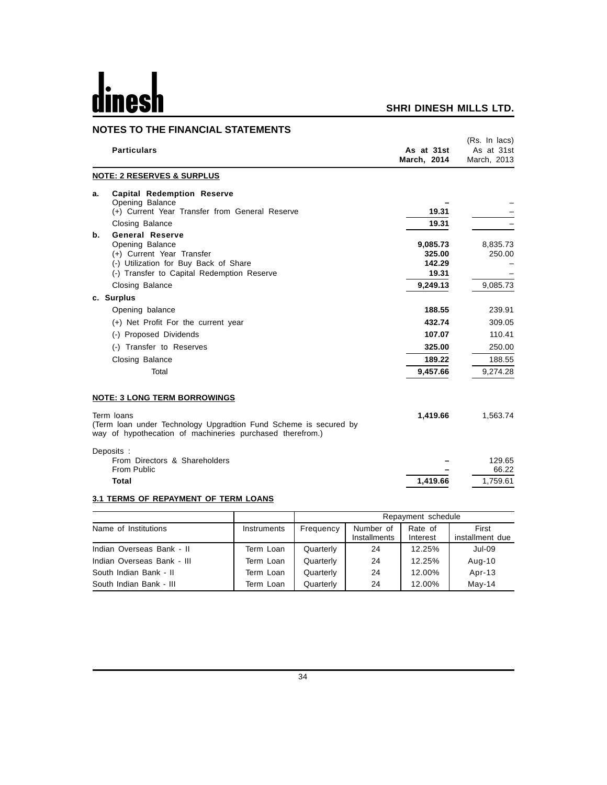## dinesh

#### **SHRI DINESH MILLS LTD.**

| <b>NOTES TO THE FINANCIAL STATEMENTS</b>                                                                                                    |                                                                           |                           |                                            |  |
|---------------------------------------------------------------------------------------------------------------------------------------------|---------------------------------------------------------------------------|---------------------------|--------------------------------------------|--|
|                                                                                                                                             | <b>Particulars</b>                                                        | As at 31st<br>March, 2014 | (Rs. In lacs)<br>As at 31st<br>March, 2013 |  |
|                                                                                                                                             | <b>NOTE: 2 RESERVES &amp; SURPLUS</b>                                     |                           |                                            |  |
| a.                                                                                                                                          | <b>Capital Redemption Reserve</b>                                         |                           |                                            |  |
|                                                                                                                                             | Opening Balance<br>(+) Current Year Transfer from General Reserve         | 19.31                     |                                            |  |
|                                                                                                                                             | <b>Closing Balance</b>                                                    | 19.31                     |                                            |  |
| b.                                                                                                                                          | <b>General Reserve</b>                                                    |                           |                                            |  |
|                                                                                                                                             | Opening Balance                                                           | 9,085.73                  | 8,835.73                                   |  |
|                                                                                                                                             | (+) Current Year Transfer<br>(-) Utilization for Buy Back of Share        | 325.00<br>142.29          | 250.00                                     |  |
|                                                                                                                                             | (-) Transfer to Capital Redemption Reserve                                | 19.31                     |                                            |  |
|                                                                                                                                             | Closing Balance                                                           | 9,249.13                  | 9,085.73                                   |  |
|                                                                                                                                             | c. Surplus                                                                |                           |                                            |  |
|                                                                                                                                             | Opening balance                                                           | 188.55                    | 239.91                                     |  |
|                                                                                                                                             | (+) Net Profit For the current year                                       | 432.74                    | 309.05                                     |  |
|                                                                                                                                             | (-) Proposed Dividends                                                    | 107.07                    | 110.41                                     |  |
|                                                                                                                                             | (-) Transfer to Reserves                                                  | 325.00                    | 250.00                                     |  |
|                                                                                                                                             | Closing Balance                                                           | 189.22                    | 188.55                                     |  |
|                                                                                                                                             | Total                                                                     | 9,457.66                  | 9,274.28                                   |  |
|                                                                                                                                             | <b>NOTE: 3 LONG TERM BORROWINGS</b>                                       |                           |                                            |  |
| Term Ioans<br>(Term loan under Technology Upgradtion Fund Scheme is secured by<br>way of hypothecation of machineries purchased therefrom.) |                                                                           | 1,419.66                  | 1,563.74                                   |  |
|                                                                                                                                             | Deposits:<br>From Directors & Shareholders<br>From Public<br><b>Total</b> | 1,419.66                  | 129.65<br>66.22<br>1,759.61                |  |

#### **3.1 TERMS OF REPAYMENT OF TERM LOANS**

|                            |             | Repayment schedule |                           |                     |                          |
|----------------------------|-------------|--------------------|---------------------------|---------------------|--------------------------|
| Name of Institutions       | Instruments | Frequency          | Number of<br>Installments | Rate of<br>Interest | First<br>installment due |
| Indian Overseas Bank - II  | Term Loan   | Quarterly          | 24                        | 12.25%              | $Jul-09$                 |
| Indian Overseas Bank - III | Term Loan   | Quarterly          | 24                        | 12.25%              | Aug-10                   |
| South Indian Bank - II     | Term Loan   | Quarterly          | 24                        | 12.00%              | Apr-13                   |
| South Indian Bank - III    | Term Loan   | Quarterly          | 24                        | 12.00%              | $May-14$                 |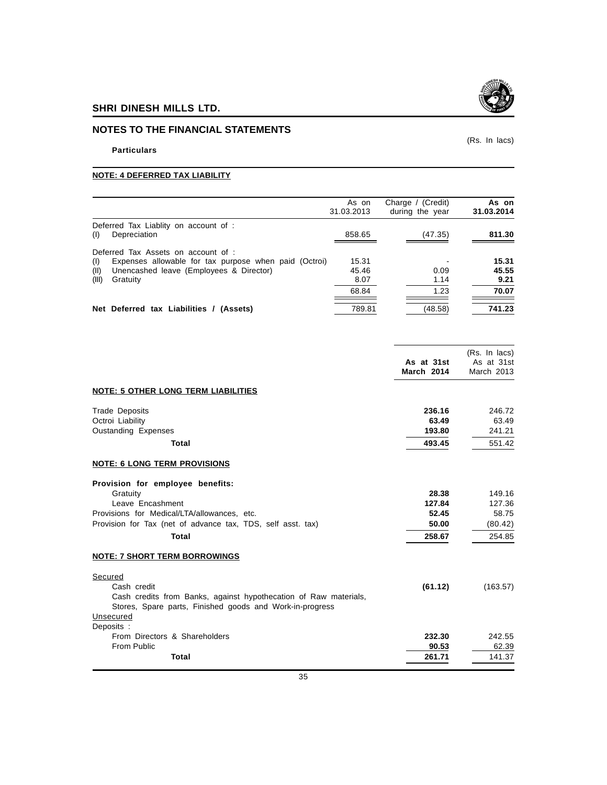#### **NOTES TO THE FINANCIAL STATEMENTS**

#### **Particulars**

#### **NOTE: 4 DEFERRED TAX LIABILITY**

|                                                                                                                                                                             | As on<br>31.03.2013    | Charge / (Credit)<br>during the year | As on<br>31.03.2014    |
|-----------------------------------------------------------------------------------------------------------------------------------------------------------------------------|------------------------|--------------------------------------|------------------------|
| Deferred Tax Liablity on account of :<br>Depreciation<br>(1)                                                                                                                | 858.65                 | (47.35)                              | 811.30                 |
| Deferred Tax Assets on account of :<br>Expenses allowable for tax purpose when paid (Octroi)<br>(1)<br>Unencashed leave (Employees & Director)<br>(II)<br>(III)<br>Gratuity | 15.31<br>45.46<br>8.07 | 0.09<br>1.14                         | 15.31<br>45.55<br>9.21 |
|                                                                                                                                                                             | 68.84                  | 1.23                                 | 70.07                  |
| Net Deferred tax Liabilities / (Assets)                                                                                                                                     | 789.81                 | (48.58)                              | 741.23                 |

|                                                                                                                              | As at 31st<br>March 2014 | (Rs. In lacs)<br>As at 31st<br>March 2013 |
|------------------------------------------------------------------------------------------------------------------------------|--------------------------|-------------------------------------------|
| <b>NOTE: 5 OTHER LONG TERM LIABILITIES</b>                                                                                   |                          |                                           |
| <b>Trade Deposits</b>                                                                                                        | 236.16                   | 246.72                                    |
| Octroi Liability                                                                                                             | 63.49                    | 63.49                                     |
| <b>Oustanding Expenses</b>                                                                                                   | 193.80                   | 241.21                                    |
| Total                                                                                                                        | 493.45                   | 551.42                                    |
| <b>NOTE: 6 LONG TERM PROVISIONS</b>                                                                                          |                          |                                           |
| Provision for employee benefits:                                                                                             |                          |                                           |
| Gratuity                                                                                                                     | 28.38                    | 149.16                                    |
| Leave Encashment                                                                                                             | 127.84                   | 127.36                                    |
| Provisions for Medical/LTA/allowances, etc.                                                                                  | 52.45                    | 58.75                                     |
| Provision for Tax (net of advance tax, TDS, self asst. tax)                                                                  | 50.00                    | (80.42)                                   |
| Total                                                                                                                        | 258.67                   | 254.85                                    |
| <b>NOTE: 7 SHORT TERM BORROWINGS</b>                                                                                         |                          |                                           |
| Secured                                                                                                                      |                          |                                           |
| Cash credit                                                                                                                  | (61.12)                  | (163.57)                                  |
| Cash credits from Banks, against hypothecation of Raw materials,<br>Stores, Spare parts, Finished goods and Work-in-progress |                          |                                           |
| Unsecured<br>Deposits:                                                                                                       |                          |                                           |
| From Directors & Shareholders                                                                                                | 232.30                   | 242.55                                    |
| From Public                                                                                                                  | 90.53                    | 62.39                                     |
| Total                                                                                                                        | 261.71                   | 141.37                                    |
|                                                                                                                              |                          |                                           |



(Rs. In lacs)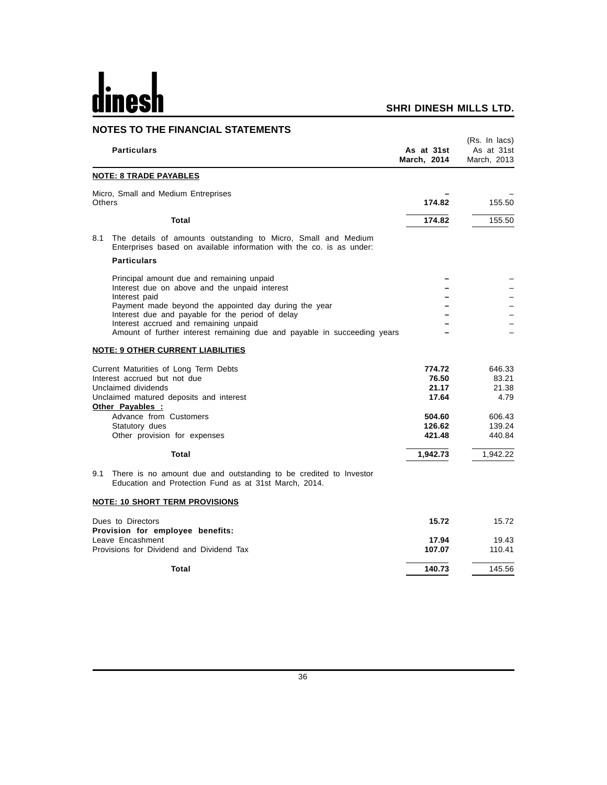# dinesh

|               | <b>NOTES TO THE FINANCIAL STATEMENTS</b>                                                                                              |                           |                                            |
|---------------|---------------------------------------------------------------------------------------------------------------------------------------|---------------------------|--------------------------------------------|
|               | <b>Particulars</b>                                                                                                                    | As at 31st<br>March, 2014 | (Rs. In lacs)<br>As at 31st<br>March, 2013 |
|               | <b>NOTE: 8 TRADE PAYABLES</b>                                                                                                         |                           |                                            |
| <b>Others</b> | Micro, Small and Medium Entreprises                                                                                                   | 174.82                    | 155.50                                     |
|               | Total                                                                                                                                 | 174.82                    | 155.50                                     |
| 8.1           | The details of amounts outstanding to Micro, Small and Medium<br>Enterprises based on available information with the co. is as under: |                           |                                            |
|               | <b>Particulars</b>                                                                                                                    |                           |                                            |
|               | Principal amount due and remaining unpaid<br>Interest due on above and the unpaid interest<br>Interest paid                           |                           |                                            |
|               | Payment made beyond the appointed day during the year                                                                                 |                           |                                            |
|               | Interest due and payable for the period of delay<br>Interest accrued and remaining unpaid                                             |                           |                                            |
|               | Amount of further interest remaining due and payable in succeeding years                                                              |                           |                                            |
|               | <b>NOTE: 9 OTHER CURRENT LIABILITIES</b>                                                                                              |                           |                                            |
|               | Current Maturities of Long Term Debts<br>Interest accrued but not due                                                                 | 774.72<br>76.50           | 646.33<br>83.21                            |
|               | Unclaimed dividends<br>Unclaimed matured deposits and interest                                                                        | 21.17<br>17.64            | 21.38<br>4.79                              |
|               | Other Payables :                                                                                                                      |                           |                                            |
|               | Advance from Customers                                                                                                                | 504.60                    | 606.43                                     |
|               | Statutory dues<br>Other provision for expenses                                                                                        | 126.62<br>421.48          | 139.24<br>440.84                           |
|               |                                                                                                                                       |                           |                                            |
|               | Total                                                                                                                                 | 1,942.73                  | 1,942.22                                   |
| 9.1           | There is no amount due and outstanding to be credited to Investor<br>Education and Protection Fund as at 31st March, 2014.            |                           |                                            |
|               | <b>NOTE: 10 SHORT TERM PROVISIONS</b>                                                                                                 |                           |                                            |
|               | Dues to Directors<br>Provision for employee benefits:                                                                                 | 15.72                     | 15.72                                      |
|               | Leave Encashment                                                                                                                      | 17.94                     | 19.43                                      |
|               | Provisions for Dividend and Dividend Tax                                                                                              | 107.07                    | 110.41                                     |
|               | Total                                                                                                                                 | 140.73                    | 145.56                                     |
|               |                                                                                                                                       |                           |                                            |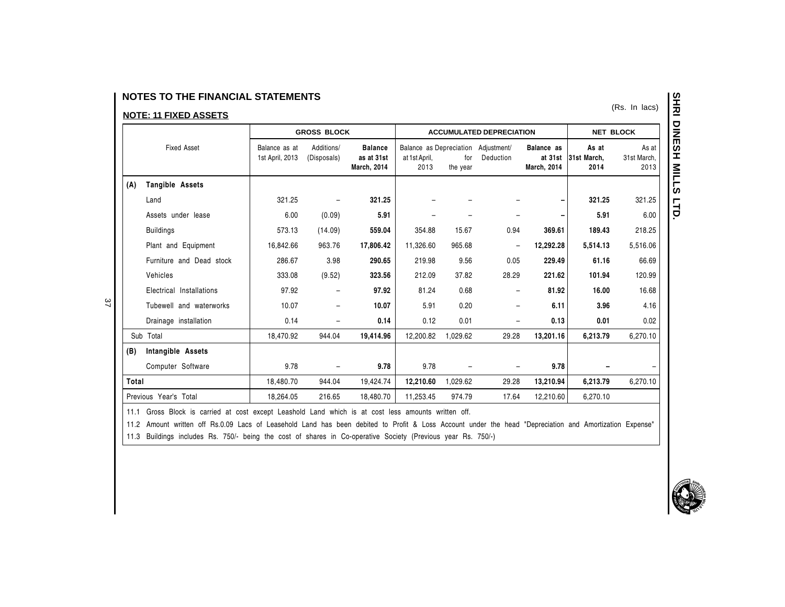# NOTES TO THE FINANCIAL STATEMENTS

# **NOTE: 11 FIXED ASSETS**

|       |                          |                                  | <b>GROSS BLOCK</b>        |                                             | <b>ACCUMULATED DEPRECIATION</b>                  |                 |                          |                           | <b>NET BLOCK</b>                     |                              |
|-------|--------------------------|----------------------------------|---------------------------|---------------------------------------------|--------------------------------------------------|-----------------|--------------------------|---------------------------|--------------------------------------|------------------------------|
|       | <b>Fixed Asset</b>       | Balance as at<br>1st April, 2013 | Additions/<br>(Disposals) | <b>Balance</b><br>as at 31st<br>March, 2014 | Balance as Depreciation<br>at 1st April,<br>2013 | for<br>the year | Adjustment/<br>Deduction | Balance as<br>March, 2014 | As at<br>at 31st 31st March,<br>2014 | As at<br>31st March.<br>2013 |
| (A)   | Tangible Assets          |                                  |                           |                                             |                                                  |                 |                          |                           |                                      |                              |
|       | Land                     | 321.25                           | $\overline{\phantom{m}}$  | 321.25                                      |                                                  |                 |                          | -                         | 321.25                               | 321.25                       |
|       | Assets under lease       | 6.00                             | (0.09)                    | 5.91                                        |                                                  |                 |                          | -                         | 5.91                                 | 6.00                         |
|       | <b>Buildings</b>         | 573.13                           | (14.09)                   | 559.04                                      | 354.88                                           | 15.67           | 0.94                     | 369.61                    | 189.43                               | 218.25                       |
|       | Plant and Equipment      | 16,842.66                        | 963.76                    | 17,806.42                                   | 11,326.60                                        | 965.68          | Ξ.                       | 12,292.28                 | 5,514.13                             | 5,516.06                     |
|       | Furniture and Dead stock | 286.67                           | 3.98                      | 290.65                                      | 219.98                                           | 9.56            | 0.05                     | 229.49                    | 61.16                                | 66.69                        |
|       | Vehicles                 | 333.08                           | (9.52)                    | 323.56                                      | 212.09                                           | 37.82           | 28.29                    | 221.62                    | 101.94                               | 120.99                       |
|       | Electrical Installations | 97.92                            | $\overline{\phantom{0}}$  | 97.92                                       | 81.24                                            | 0.68            | -                        | 81.92                     | 16.00                                | 16.68                        |
|       | Tubewell and waterworks  | 10.07                            | $\overline{\phantom{m}}$  | 10.07                                       | 5.91                                             | 0.20            | -                        | 6.11                      | 3.96                                 | 4.16                         |
|       | Drainage installation    | 0.14                             | $\overline{\phantom{0}}$  | 0.14                                        | 0.12                                             | 0.01            | -                        | 0.13                      | 0.01                                 | 0.02                         |
|       | Sub Total                | 18.470.92                        | 944.04                    | 19,414.96                                   | 12,200.82                                        | 1,029.62        | 29.28                    | 13,201.16                 | 6,213.79                             | 6,270.10                     |
| (B)   | Intangible Assets        |                                  |                           |                                             |                                                  |                 |                          |                           |                                      |                              |
|       | Computer Software        | 9.78                             |                           | 9.78                                        | 9.78                                             |                 | -                        | 9.78                      |                                      |                              |
| Total |                          | 18.480.70                        | 944.04                    | 19,424.74                                   | 12,210.60                                        | 1,029.62        | 29.28                    | 13,210.94                 | 6,213.79                             | 6,270.10                     |
|       | Previous Year's Total    | 18.264.05                        | 216.65                    | 18.480.70                                   | 11,253.45                                        | 974.79          | 17.64                    | 12.210.60                 | 6.270.10                             |                              |

11.1 Gross Block is carried at cost except Leashold Land which is at cost less amounts written off.

11.2 Amount written off Rs.0.09 Lacs of Leasehold Land has been debited to Profit & Loss Account under the head "Depreciation and Amortization Expense"

11.3 Buildings includes Rs. 750/- being the cost of shares in Co-operative Society (Previous year Rs. 750/-)

(Rs. In lacs)

37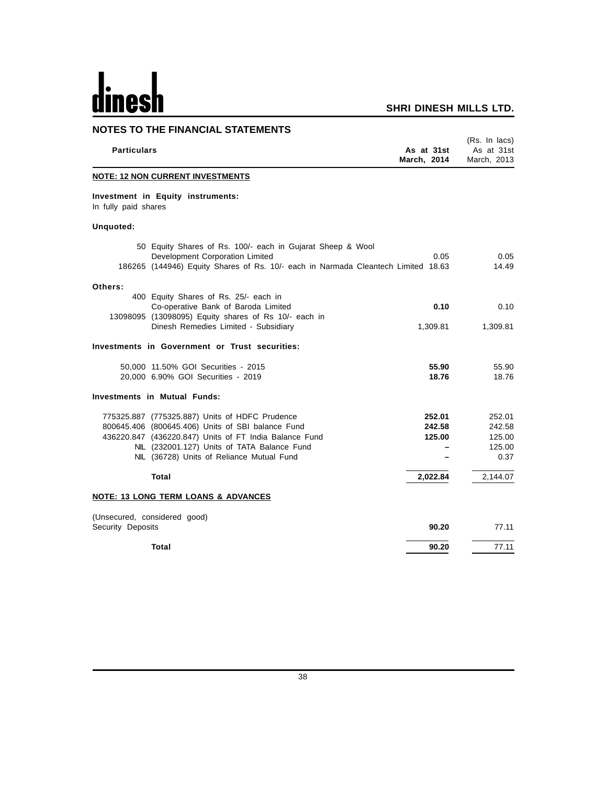# <u>dinesh</u>

| <b>NOTES TO THE FINANCIAL STATEMENTS</b>                                                                                                                                                                                                                  |                            |                                              |
|-----------------------------------------------------------------------------------------------------------------------------------------------------------------------------------------------------------------------------------------------------------|----------------------------|----------------------------------------------|
| <b>Particulars</b>                                                                                                                                                                                                                                        | As at 31st<br>March, 2014  | (Rs. In lacs)<br>As at 31st<br>March, 2013   |
| <b>NOTE: 12 NON CURRENT INVESTMENTS</b>                                                                                                                                                                                                                   |                            |                                              |
| Investment in Equity instruments:<br>In fully paid shares                                                                                                                                                                                                 |                            |                                              |
| Unquoted:                                                                                                                                                                                                                                                 |                            |                                              |
| 50 Equity Shares of Rs. 100/- each in Gujarat Sheep & Wool<br>Development Corporation Limited<br>186265 (144946) Equity Shares of Rs. 10/- each in Narmada Cleantech Limited 18.63                                                                        | 0.05                       | 0.05<br>14.49                                |
| Others:<br>400 Equity Shares of Rs. 25/- each in<br>Co-operative Bank of Baroda Limited                                                                                                                                                                   | 0.10                       | 0.10                                         |
| 13098095 (13098095) Equity shares of Rs 10/- each in<br>Dinesh Remedies Limited - Subsidiary                                                                                                                                                              | 1,309.81                   | 1,309.81                                     |
| Investments in Government or Trust securities:                                                                                                                                                                                                            |                            |                                              |
| 50,000 11.50% GOI Securities - 2015<br>20,000 6.90% GOI Securities - 2019                                                                                                                                                                                 | 55.90<br>18.76             | 55.90<br>18.76                               |
| <b>Investments in Mutual Funds:</b>                                                                                                                                                                                                                       |                            |                                              |
| 775325.887 (775325.887) Units of HDFC Prudence<br>800645.406 (800645.406) Units of SBI balance Fund<br>436220.847 (436220.847) Units of FT India Balance Fund<br>NIL (232001.127) Units of TATA Balance Fund<br>NIL (36728) Units of Reliance Mutual Fund | 252.01<br>242.58<br>125.00 | 252.01<br>242.58<br>125.00<br>125.00<br>0.37 |
| Total                                                                                                                                                                                                                                                     | 2,022.84                   | 2,144.07                                     |
| NOTE: 13 LONG TERM LOANS & ADVANCES                                                                                                                                                                                                                       |                            |                                              |
| (Unsecured, considered good)<br>Security Deposits                                                                                                                                                                                                         | 90.20                      | 77.11                                        |
| <b>Total</b>                                                                                                                                                                                                                                              | 90.20                      | 77.11                                        |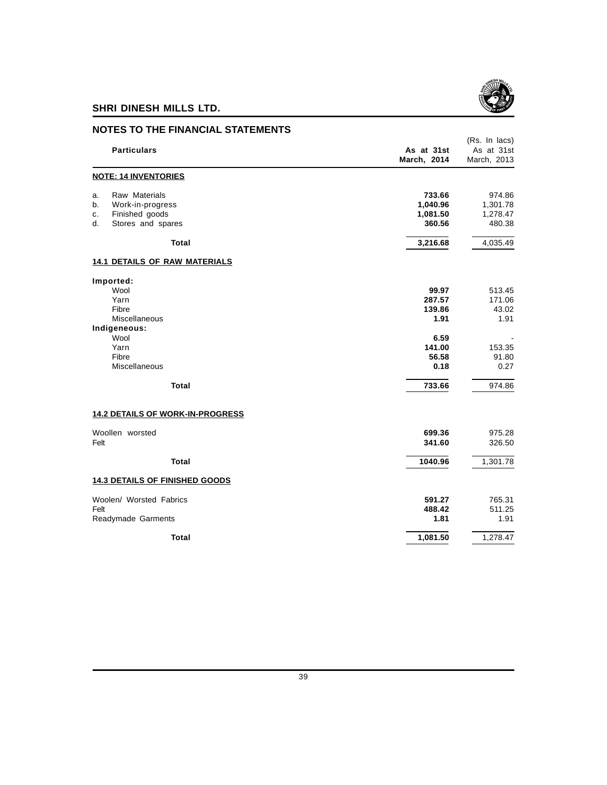

|                      | <b>NOTES TO THE FINANCIAL STATEMENTS</b>                                                                      |                                                                      |                                                              |
|----------------------|---------------------------------------------------------------------------------------------------------------|----------------------------------------------------------------------|--------------------------------------------------------------|
|                      | <b>Particulars</b>                                                                                            | As at 31st<br>March, 2014                                            | (Rs. In lacs)<br>As at 31st<br>March, 2013                   |
|                      | <b>NOTE: 14 INVENTORIES</b>                                                                                   |                                                                      |                                                              |
| a.<br>b.<br>C.<br>d. | Raw Materials<br>Work-in-progress<br>Finished goods<br>Stores and spares                                      | 733.66<br>1,040.96<br>1,081.50<br>360.56                             | 974.86<br>1,301.78<br>1,278.47<br>480.38                     |
|                      | <b>Total</b>                                                                                                  | 3,216.68                                                             | 4,035.49                                                     |
|                      | <b>14.1 DETAILS OF RAW MATERIALS</b>                                                                          |                                                                      |                                                              |
|                      | Imported:<br>Wool<br>Yarn<br>Fibre<br>Miscellaneous<br>Indigeneous:<br>Wool<br>Yarn<br>Fibre<br>Miscellaneous | 99.97<br>287.57<br>139.86<br>1.91<br>6.59<br>141.00<br>56.58<br>0.18 | 513.45<br>171.06<br>43.02<br>1.91<br>153.35<br>91.80<br>0.27 |
|                      | <b>Total</b>                                                                                                  | 733.66                                                               | 974.86                                                       |
|                      | <b>14.2 DETAILS OF WORK-IN-PROGRESS</b>                                                                       |                                                                      |                                                              |
| Felt                 | Woollen worsted                                                                                               | 699.36<br>341.60                                                     | 975.28<br>326.50                                             |
|                      | <b>Total</b>                                                                                                  | 1040.96                                                              | 1,301.78                                                     |
|                      | <b>14.3 DETAILS OF FINISHED GOODS</b>                                                                         |                                                                      |                                                              |
| Felt                 | Woolen/ Worsted Fabrics                                                                                       | 591.27<br>488.42<br>1.81                                             | 765.31<br>511.25<br>1.91                                     |
|                      | Readymade Garments                                                                                            |                                                                      |                                                              |
|                      | <b>Total</b>                                                                                                  | 1,081.50                                                             | 1,278.47                                                     |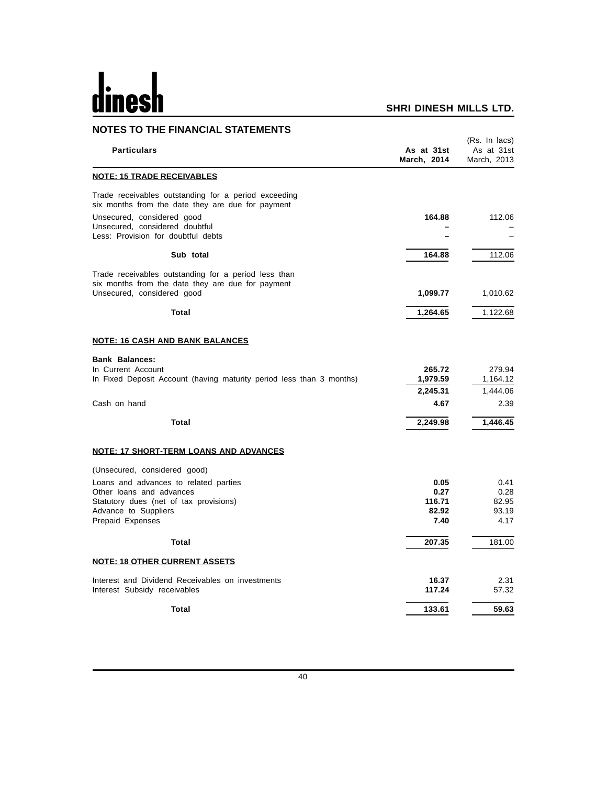# <u>dinesh</u>

| <b>NOTES TO THE FINANCIAL STATEMENTS</b>                                                                                                |                           |                                            |
|-----------------------------------------------------------------------------------------------------------------------------------------|---------------------------|--------------------------------------------|
| <b>Particulars</b>                                                                                                                      | As at 31st<br>March, 2014 | (Rs. In lacs)<br>As at 31st<br>March, 2013 |
| <b>NOTE: 15 TRADE RECEIVABLES</b>                                                                                                       |                           |                                            |
| Trade receivables outstanding for a period exceeding<br>six months from the date they are due for payment                               |                           |                                            |
| Unsecured, considered good<br>Unsecured, considered doubtful<br>Less: Provision for doubtful debts                                      | 164.88                    | 112.06                                     |
| Sub total                                                                                                                               | 164.88                    | 112.06                                     |
| Trade receivables outstanding for a period less than<br>six months from the date they are due for payment<br>Unsecured, considered good | 1,099.77                  | 1,010.62                                   |
| Total                                                                                                                                   | 1,264.65                  | 1,122.68                                   |
| <b>NOTE: 16 CASH AND BANK BALANCES</b>                                                                                                  |                           |                                            |
| <b>Bank Balances:</b><br>In Current Account<br>In Fixed Deposit Account (having maturity period less than 3 months)                     | 265.72<br>1,979.59        | 279.94<br>1,164.12                         |
|                                                                                                                                         | 2,245.31                  | 1.444.06                                   |
| Cash on hand                                                                                                                            | 4.67                      | 2.39                                       |
| <b>Total</b>                                                                                                                            | 2,249.98                  | 1,446.45                                   |
| <b>NOTE: 17 SHORT-TERM LOANS AND ADVANCES</b>                                                                                           |                           |                                            |
| (Unsecured, considered good)                                                                                                            |                           |                                            |
| Loans and advances to related parties                                                                                                   | 0.05                      | 0.41                                       |
| Other loans and advances<br>Statutory dues (net of tax provisions)                                                                      | 0.27<br>116.71            | 0.28<br>82.95                              |
| Advance to Suppliers                                                                                                                    | 82.92                     | 93.19                                      |
| Prepaid Expenses                                                                                                                        | 7.40                      | 4.17                                       |
| Total                                                                                                                                   | 207.35                    | 181.00                                     |
| <b>NOTE: 18 OTHER CURRENT ASSETS</b>                                                                                                    |                           |                                            |
| Interest and Dividend Receivables on investments<br>Interest Subsidy receivables                                                        | 16.37<br>117.24           | 2.31<br>57.32                              |
| Total                                                                                                                                   | 133.61                    | 59.63                                      |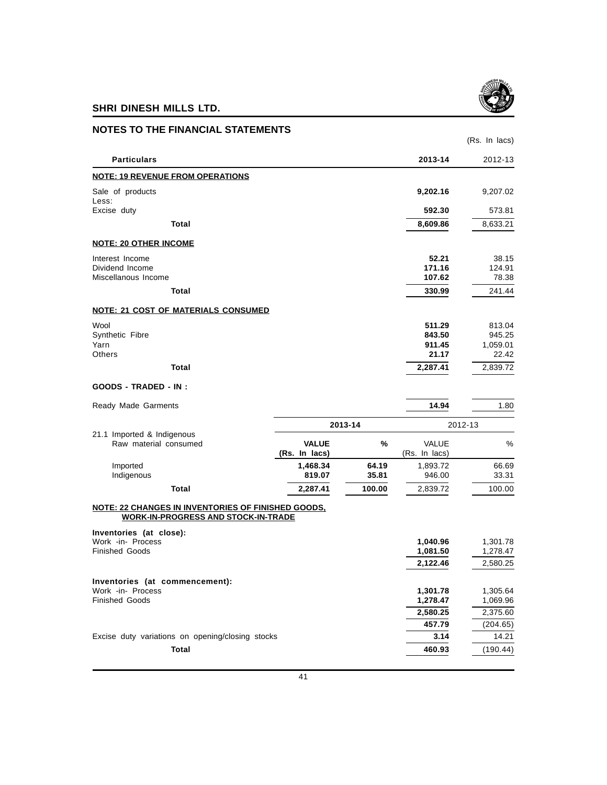

| <b>NOTES TO THE FINANCIAL STATEMENTS</b>                                                                |                               |                |                                     |                                       |
|---------------------------------------------------------------------------------------------------------|-------------------------------|----------------|-------------------------------------|---------------------------------------|
|                                                                                                         |                               |                |                                     | (Rs. In lacs)                         |
| <b>Particulars</b>                                                                                      |                               |                | 2013-14                             | 2012-13                               |
| <b>NOTE: 19 REVENUE FROM OPERATIONS</b>                                                                 |                               |                |                                     |                                       |
| Sale of products<br>Less:                                                                               |                               |                | 9,202.16                            | 9,207.02                              |
| Excise duty                                                                                             |                               |                | 592.30                              | 573.81                                |
| <b>Total</b>                                                                                            |                               |                | 8,609.86                            | 8,633.21                              |
| <b>NOTE: 20 OTHER INCOME</b>                                                                            |                               |                |                                     |                                       |
| Interest Income<br>Dividend Income<br>Miscellanous Income                                               |                               |                | 52.21<br>171.16<br>107.62           | 38.15<br>124.91<br>78.38              |
| Total                                                                                                   |                               |                | 330.99                              | 241.44                                |
| <b>NOTE: 21 COST OF MATERIALS CONSUMED</b>                                                              |                               |                |                                     |                                       |
| Wool<br>Synthetic Fibre<br>Yarn<br>Others                                                               |                               |                | 511.29<br>843.50<br>911.45<br>21.17 | 813.04<br>945.25<br>1,059.01<br>22.42 |
| <b>Total</b>                                                                                            |                               |                | 2,287.41                            | 2,839.72                              |
| <b>GOODS - TRADED - IN :</b>                                                                            |                               |                |                                     |                                       |
| Ready Made Garments                                                                                     |                               |                | 14.94                               | 1.80                                  |
|                                                                                                         |                               |                |                                     |                                       |
| 21.1 Imported & Indigenous                                                                              |                               | 2013-14        |                                     | 2012-13                               |
| Raw material consumed                                                                                   | <b>VALUE</b><br>(Rs. In lacs) | %              | <b>VALUE</b><br>(Rs. In lacs)       | %                                     |
| Imported<br>Indigenous                                                                                  | 1,468.34<br>819.07            | 64.19<br>35.81 | 1,893.72<br>946.00                  | 66.69<br>33.31                        |
| Total                                                                                                   | 2,287.41                      | 100.00         | 2,839.72                            | 100.00                                |
| <b>NOTE: 22 CHANGES IN INVENTORIES OF FINISHED GOODS,</b><br><b>WORK-IN-PROGRESS AND STOCK-IN-TRADE</b> |                               |                |                                     |                                       |
| Inventories (at close):<br>Work -in- Process                                                            |                               |                | 1,040.96                            | 1,301.78                              |
| <b>Finished Goods</b>                                                                                   |                               |                | 1,081.50                            | 1,278.47                              |
|                                                                                                         |                               |                | 2,122.46                            | 2,580.25                              |
| Inventories (at commencement):<br>Work -in- Process                                                     |                               |                | 1,301.78                            | 1,305.64                              |
| <b>Finished Goods</b>                                                                                   |                               |                | 1,278.47                            | 1,069.96                              |
|                                                                                                         |                               |                | 2,580.25                            | 2,375.60                              |
|                                                                                                         |                               |                | 457.79                              | (204.65)                              |
| Excise duty variations on opening/closing stocks                                                        |                               |                | 3.14                                | 14.21                                 |
| <b>Total</b>                                                                                            |                               |                | 460.93                              | (190.44)                              |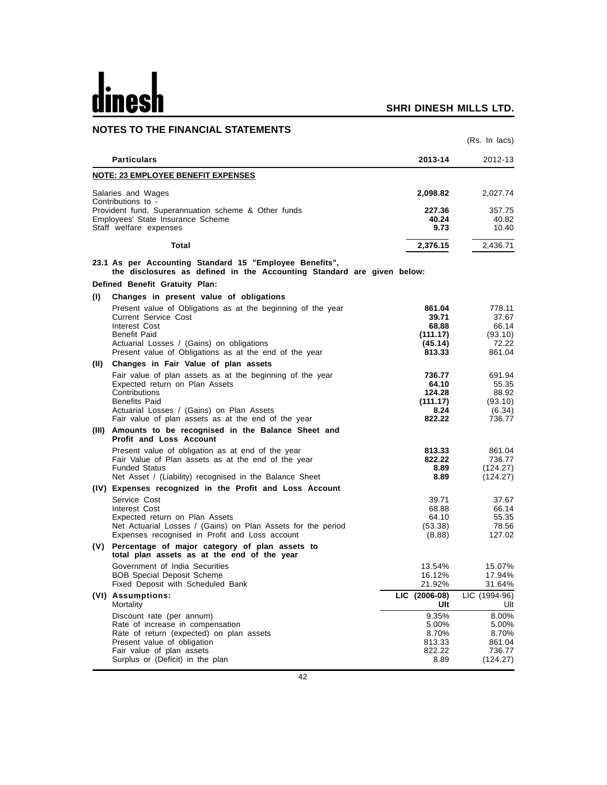# dinesh

|      | <b>NOTES TO THE FINANCIAL STATEMENTS</b>                                                                                                                                                                                                   |                                                           |                                                         |
|------|--------------------------------------------------------------------------------------------------------------------------------------------------------------------------------------------------------------------------------------------|-----------------------------------------------------------|---------------------------------------------------------|
|      |                                                                                                                                                                                                                                            |                                                           | (Rs. In lacs)                                           |
|      | <b>Particulars</b>                                                                                                                                                                                                                         | 2013-14                                                   | 2012-13                                                 |
|      | <b>NOTE: 23 EMPLOYEE BENEFIT EXPENSES</b>                                                                                                                                                                                                  |                                                           |                                                         |
|      | Salaries and Wages                                                                                                                                                                                                                         | 2,098.82                                                  | 2,027.74                                                |
|      | Contributions to -<br>Provident fund, Superannuation scheme & Other funds<br>Employees' State Insurance Scheme<br>Staff welfare expenses                                                                                                   | 227.36<br>40.24<br>9.73                                   | 357.75<br>40.82<br>10.40                                |
|      | Total                                                                                                                                                                                                                                      | 2,376.15                                                  | 2,436.71                                                |
|      | 23.1 As per Accounting Standard 15 "Employee Benefits",<br>the disclosures as defined in the Accounting Standard are given below:<br>Defined Benefit Gratuity Plan:                                                                        |                                                           |                                                         |
| (1)  | Changes in present value of obligations                                                                                                                                                                                                    |                                                           |                                                         |
|      | Present value of Obligations as at the beginning of the year<br><b>Current Service Cost</b><br>Interest Cost<br><b>Benefit Paid</b><br>Actuarial Losses / (Gains) on obligations<br>Present value of Obligations as at the end of the year | 861.04<br>39.71<br>68.88<br>(111.17)<br>(45.14)<br>813.33 | 778.11<br>37.67<br>66.14<br>(93.10)<br>72.22<br>861.04  |
| (II) | Changes in Fair Value of plan assets                                                                                                                                                                                                       |                                                           |                                                         |
|      | Fair value of plan assets as at the beginning of the year<br>Expected return on Plan Assets<br>Contributions<br><b>Benefits Paid</b><br>Actuarial Losses / (Gains) on Plan Assets<br>Fair value of plan assets as at the end of the year   | 736.77<br>64.10<br>124.28<br>(111.17)<br>8.24<br>822.22   | 691.94<br>55.35<br>88.92<br>(93.10)<br>(6.34)<br>736.77 |
|      | (III) Amounts to be recognised in the Balance Sheet and<br><b>Profit and Loss Account</b>                                                                                                                                                  |                                                           |                                                         |
|      | Present value of obligation as at end of the year<br>Fair Value of Plan assets as at the end of the year<br><b>Funded Status</b><br>Net Asset / (Liability) recognised in the Balance Sheet                                                | 813.33<br>822.22<br>8.89<br>8.89                          | 861.04<br>736.77<br>(124.27)<br>(124.27)                |
|      | (IV) Expenses recognized in the Profit and Loss Account                                                                                                                                                                                    |                                                           |                                                         |
|      | Service Cost<br>Interest Cost<br>Expected return on Plan Assets<br>Net Actuarial Losses / (Gains) on Plan Assets for the period<br>Expenses recognised in Profit and Loss account                                                          | 39.71<br>68.88<br>64.10<br>(53.38)<br>(8.88)              | 37.67<br>66.14<br>55.35<br>78.56<br>127.02              |
|      | (V) Percentage of major category of plan assets to<br>total plan assets as at the end of the year                                                                                                                                          |                                                           |                                                         |
|      | Government of India Securities<br><b>BOB Special Deposit Scheme</b><br>Fixed Deposit with Scheduled Bank                                                                                                                                   | 13.54%<br>16.12%<br>21.92%                                | 15.07%<br>17.94%<br>31.64%                              |
|      | (VI) Assumptions:<br>Mortality                                                                                                                                                                                                             | LIC (2006-08)<br>Ult                                      | LIC (1994-96)<br>Ult                                    |
|      | Discount rate (per annum)<br>Rate of increase in compensation<br>Rate of return (expected) on plan assets<br>Present value of obligation<br>Fair value of plan assets<br>Surplus or (Deficit) in the plan                                  | 9.35%<br>5.00%<br>8.70%<br>813.33<br>822.22<br>8.89       | 8.00%<br>5.00%<br>8.70%<br>861.04<br>736.77<br>(124.27) |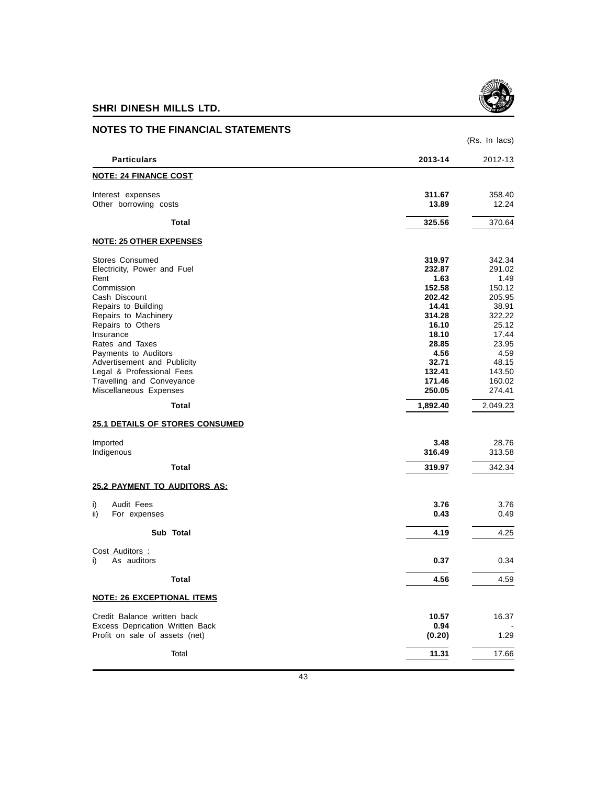

| <b>NOTES TO THE FINANCIAL STATEMENTS</b> |          | (Rs. In lacs) |
|------------------------------------------|----------|---------------|
| <b>Particulars</b>                       | 2013-14  | 2012-13       |
| <b>NOTE: 24 FINANCE COST</b>             |          |               |
| Interest expenses                        | 311.67   | 358.40        |
| Other borrowing costs                    | 13.89    | 12.24         |
| Total                                    | 325.56   | 370.64        |
| <b>NOTE: 25 OTHER EXPENSES</b>           |          |               |
| <b>Stores Consumed</b>                   | 319.97   | 342.34        |
| Electricity, Power and Fuel              | 232.87   | 291.02        |
| Rent                                     | 1.63     | 1.49          |
| Commission                               | 152.58   | 150.12        |
| Cash Discount                            | 202.42   | 205.95        |
| Repairs to Building                      | 14.41    | 38.91         |
| Repairs to Machinery                     | 314.28   | 322.22        |
| Repairs to Others                        | 16.10    | 25.12         |
| Insurance                                | 18.10    | 17.44         |
| Rates and Taxes                          | 28.85    | 23.95         |
| Payments to Auditors                     | 4.56     | 4.59          |
| Advertisement and Publicity              | 32.71    | 48.15         |
| Legal & Professional Fees                | 132.41   | 143.50        |
| Travelling and Conveyance                | 171.46   | 160.02        |
| Miscellaneous Expenses                   | 250.05   | 274.41        |
| Total                                    | 1,892.40 | 2,049.23      |
| <b>25.1 DETAILS OF STORES CONSUMED</b>   |          |               |
| Imported                                 | 3.48     | 28.76         |
| Indigenous                               | 316.49   | 313.58        |
| Total                                    | 319.97   | 342.34        |
| <b>25.2 PAYMENT TO AUDITORS AS:</b>      |          |               |
|                                          |          |               |
| Audit Fees<br>i)                         | 3.76     | 3.76          |
| ii)<br>For expenses                      | 0.43     | 0.49          |
| Sub Total                                | 4.19     | 4.25          |
| Cost Auditors:<br>As auditors<br>i)      | 0.37     | 0.34          |
|                                          |          |               |
| <b>Total</b>                             | 4.56     | 4.59          |
| <b>NOTE: 26 EXCEPTIONAL ITEMS</b>        |          |               |
| Credit Balance written back              | 10.57    | 16.37         |
| Excess Deprication Written Back          | 0.94     |               |
| Profit on sale of assets (net)           | (0.20)   | 1.29          |
| Total                                    | 11.31    | 17.66         |
|                                          |          |               |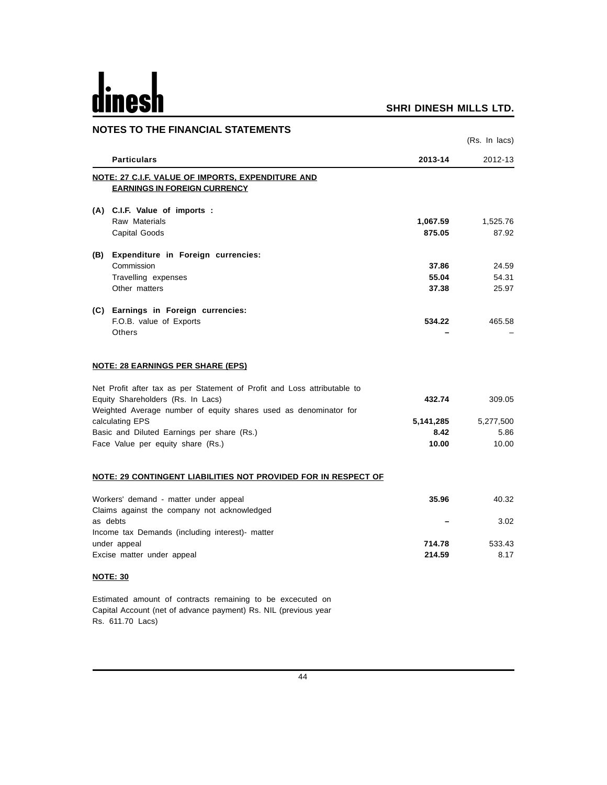# dinesh

# **SHRI DINESH MILLS LTD.**

|          | <b>NOTES TO THE FINANCIAL STATEMENTS</b>                                 |           |               |
|----------|--------------------------------------------------------------------------|-----------|---------------|
|          |                                                                          |           | (Rs. In lacs) |
|          | <b>Particulars</b>                                                       | 2013-14   | 2012-13       |
|          | NOTE: 27 C.I.F. VALUE OF IMPORTS, EXPENDITURE AND                        |           |               |
|          | <b>EARNINGS IN FOREIGN CURRENCY</b>                                      |           |               |
|          | (A) C.I.F. Value of imports :                                            |           |               |
|          | Raw Materials                                                            | 1,067.59  | 1,525.76      |
|          | Capital Goods                                                            | 875.05    | 87.92         |
| (B)      | Expenditure in Foreign currencies:                                       |           |               |
|          | Commission                                                               | 37.86     | 24.59         |
|          | Travelling expenses                                                      | 55.04     | 54.31         |
|          | Other matters                                                            | 37.38     | 25.97         |
|          | (C) Earnings in Foreign currencies:                                      |           |               |
|          | F.O.B. value of Exports                                                  | 534.22    | 465.58        |
|          | Others                                                                   |           |               |
|          | <b>NOTE: 28 EARNINGS PER SHARE (EPS)</b>                                 |           |               |
|          | Net Profit after tax as per Statement of Profit and Loss attributable to |           |               |
|          | Equity Shareholders (Rs. In Lacs)                                        | 432.74    | 309.05        |
|          | Weighted Average number of equity shares used as denominator for         |           |               |
|          | calculating EPS                                                          | 5,141,285 | 5,277,500     |
|          | Basic and Diluted Earnings per share (Rs.)                               | 8.42      | 5.86          |
|          | Face Value per equity share (Rs.)                                        | 10.00     | 10.00         |
|          | <u>NOTE: 29 CONTINGENT LIABILITIES NOT PROVIDED FOR IN RESPECT OF </u>   |           |               |
|          | Workers' demand - matter under appeal                                    | 35.96     | 40.32         |
|          | Claims against the company not acknowledged                              |           |               |
| as debts |                                                                          |           | 3.02          |
|          | Income tax Demands (including interest)- matter                          |           |               |
|          | under appeal                                                             | 714.78    | 533.43        |
|          | Excise matter under appeal                                               | 214.59    | 8.17          |
|          | <b>NOTE: 30</b>                                                          |           |               |
|          |                                                                          |           |               |

Estimated amount of contracts remaining to be excecuted on Capital Account (net of advance payment) Rs. NIL (previous year Rs. 611.70 Lacs)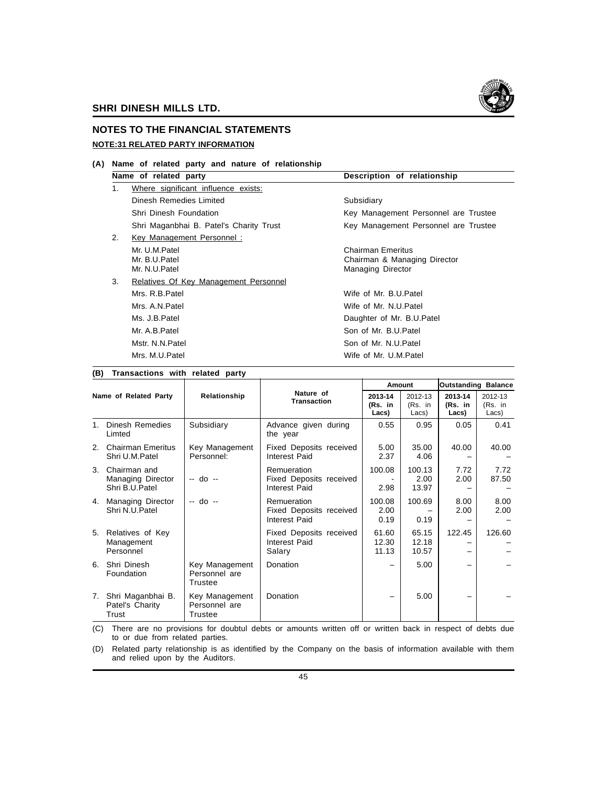

# **NOTES TO THE FINANCIAL STATEMENTS NOTE:31 RELATED PARTY INFORMATION**

**(A) Name of related party and nature of relationship**

## **Name of related party Description of relationship**

|    | namo on rolatoa party                           | PUSSING INTERNATIONAL                                                  |
|----|-------------------------------------------------|------------------------------------------------------------------------|
| 1. | Where significant influence exists:             |                                                                        |
|    | Dinesh Remedies Limited                         | Subsidiary                                                             |
|    | Shri Dinesh Foundation                          | Key Management Personnel are Trustee                                   |
|    | Shri Maganbhai B. Patel's Charity Trust         | Key Management Personnel are Trustee                                   |
| 2. | Key Management Personnel:                       |                                                                        |
|    | Mr. U.M.Patel<br>Mr. B.U.Patel<br>Mr. N.U.Patel | Chairman Emeritus<br>Chairman & Managing Director<br>Managing Director |
| 3. | Relatives Of Key Management Personnel           |                                                                        |
|    | Mrs. R.B.Patel                                  | Wife of Mr. B.U.Patel                                                  |
|    | Mrs. A.N. Patel                                 | Wife of Mr. N.U.Patel                                                  |
|    | Ms. J.B.Patel                                   | Daughter of Mr. B.U.Patel                                              |
|    | Mr. A.B.Patel                                   | Son of Mr. B.U.Patel                                                   |
|    | Mstr. N.N.Patel                                 | Son of Mr. N.U.Patel                                                   |
|    | Mrs. M.U.Patel                                  | Wife of Mr. U.M.Patel                                                  |

### **(B) Transactions with related party**

| Name of Related Party |                                                            |                                                 |                                                         |                             | Amount                      | <b>Outstanding Balance</b>  |                             |
|-----------------------|------------------------------------------------------------|-------------------------------------------------|---------------------------------------------------------|-----------------------------|-----------------------------|-----------------------------|-----------------------------|
|                       |                                                            | Nature of<br>Relationship<br><b>Transaction</b> |                                                         | 2013-14<br>(Rs. in<br>Lacs) | 2012-13<br>(Rs. in<br>Lacs) | 2013-14<br>(Rs. in<br>Lacs) | 2012-13<br>(Rs. in<br>Lacs) |
| $1_{-}$               | Dinesh Remedies<br>Limted                                  | Subsidiary                                      | Advance given during<br>the year                        | 0.55                        | 0.95                        | 0.05                        | 0.41                        |
| 2.                    | <b>Chairman Emeritus</b><br>Shri U.M.Patel                 | Key Management<br>Personnel:                    | <b>Fixed Deposits received</b><br>Interest Paid         | 5.00<br>2.37                | 35.00<br>4.06               | 40.00                       | 40.00                       |
| 3.                    | Chairman and<br><b>Managing Director</b><br>Shri B.U.Patel | -- do --                                        | Remueration<br>Fixed Deposits received<br>Interest Paid | 100.08<br>2.98              | 100.13<br>2.00<br>13.97     | 7.72<br>2.00                | 7.72<br>87.50               |
| 4.                    | <b>Managing Director</b><br>Shri N.U.Patel                 | -- do --                                        | Remueration<br>Fixed Deposits received<br>Interest Paid | 100.08<br>2.00<br>0.19      | 100.69<br>0.19              | 8.00<br>2.00                | 8.00<br>2.00                |
| 5.                    | Relatives of Key<br>Management<br>Personnel                |                                                 | Fixed Deposits received<br>Interest Paid<br>Salary      | 61.60<br>12.30<br>11.13     | 65.15<br>12.18<br>10.57     | 122.45                      | 126.60                      |
| 6.                    | Shri Dinesh<br>Foundation                                  | Key Management<br>Personnel are<br>Trustee      | Donation                                                |                             | 5.00                        |                             |                             |
| 7.                    | Shri Maganbhai B.<br>Patel's Charity<br>Trust              | Key Management<br>Personnel are<br>Trustee      | Donation                                                |                             | 5.00                        |                             |                             |

(C) There are no provisions for doubtul debts or amounts written off or written back in respect of debts due to or due from related parties.

(D) Related party relationship is as identified by the Company on the basis of information available with them and relied upon by the Auditors.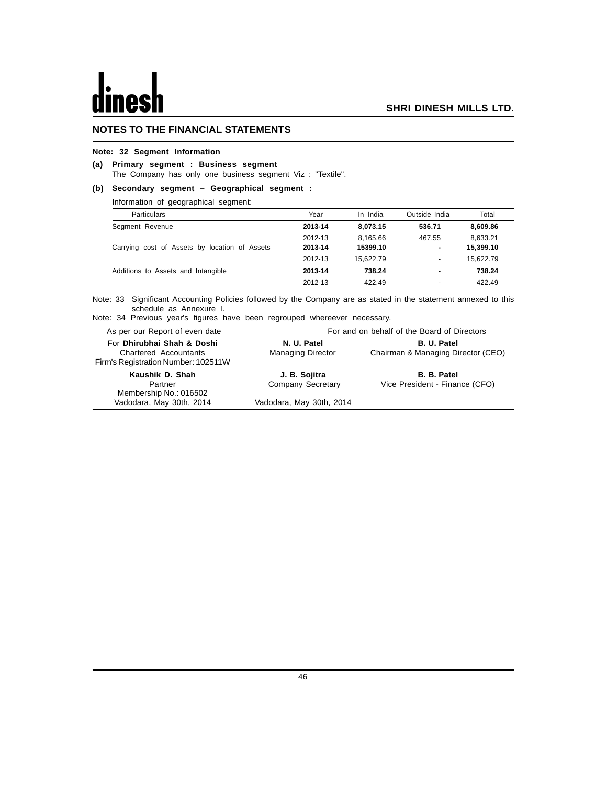### **NOTES TO THE FINANCIAL STATEMENTS**

#### **Note: 32 Segment Information**

#### **(a) Primary segment : Business segment**

The Company has only one business segment Viz : "Textile".

#### **(b) Secondary segment – Geographical segment :**

Information of geographical segment:

| ີ                                             |                    |                      |               |                       |
|-----------------------------------------------|--------------------|----------------------|---------------|-----------------------|
| <b>Particulars</b>                            | Year               | In India             | Outside India | Total                 |
| Segment Revenue                               | 2013-14            | 8.073.15             | 536.71        | 8,609.86              |
| Carrying cost of Assets by location of Assets | 2012-13<br>2013-14 | 8.165.66<br>15399.10 | 467.55<br>۰   | 8.633.21<br>15,399.10 |
|                                               | 2012-13            | 15,622.79            | ۰             | 15,622.79             |
| Additions to Assets and Intangible            | 2013-14            | 738.24               |               | 738.24                |
|                                               | 2012-13            | 422.49               | ۰             | 422.49                |
|                                               |                    |                      |               |                       |

Note: 33 Significant Accounting Policies followed by the Company are as stated in the statement annexed to this schedule as Annexure I.

Note: 34 Previous year's figures have been regrouped whereever necessary.

| As per our Report of even date                                                                    | For and on behalf of the Board of Directors |                                                          |  |
|---------------------------------------------------------------------------------------------------|---------------------------------------------|----------------------------------------------------------|--|
| For Dhirubhai Shah & Doshi<br><b>Chartered Accountants</b><br>Firm's Registration Number: 102511W | N. U. Patel<br><b>Managing Director</b>     | <b>B. U. Patel</b><br>Chairman & Managing Director (CEO) |  |
| Kaushik D. Shah<br>Partner<br>Membership No.: 016502                                              | J. B. Sojitra<br>Company Secretary          | <b>B. B. Patel</b><br>Vice President - Finance (CFO)     |  |
| Vadodara, May 30th, 2014                                                                          | Vadodara, May 30th, 2014                    |                                                          |  |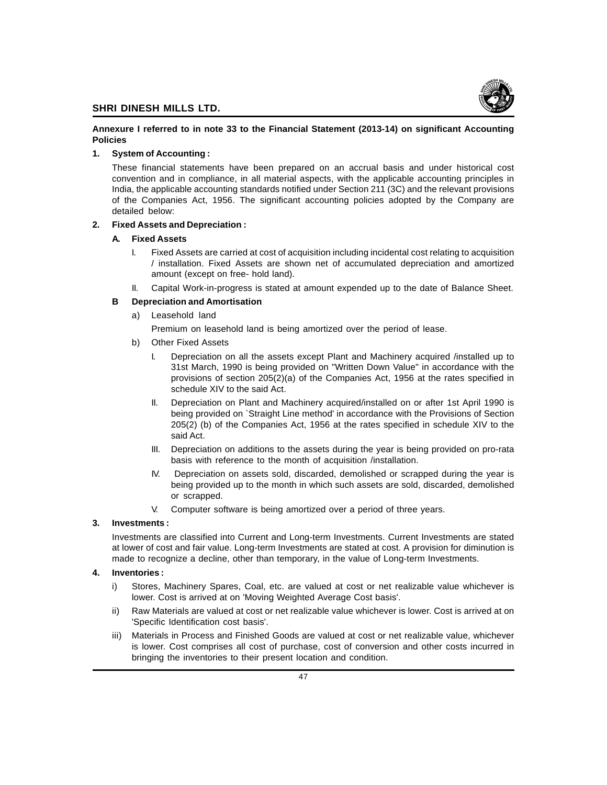

#### **Annexure I referred to in note 33 to the Financial Statement (2013-14) on significant Accounting Policies**

#### **1. System of Accounting :**

These financial statements have been prepared on an accrual basis and under historical cost convention and in compliance, in all material aspects, with the applicable accounting principles in India, the applicable accounting standards notified under Section 211 (3C) and the relevant provisions of the Companies Act, 1956. The significant accounting policies adopted by the Company are detailed below:

#### **2. Fixed Assets and Depreciation :**

### **A. Fixed Assets**

- I. Fixed Assets are carried at cost of acquisition including incidental cost relating to acquisition / installation. Fixed Assets are shown net of accumulated depreciation and amortized amount (except on free- hold land).
- II. Capital Work-in-progress is stated at amount expended up to the date of Balance Sheet.

### **B Depreciation and Amortisation**

a) Leasehold land

Premium on leasehold land is being amortized over the period of lease.

- b) Other Fixed Assets
	- I. Depreciation on all the assets except Plant and Machinery acquired /installed up to 31st March, 1990 is being provided on "Written Down Value" in accordance with the provisions of section 205(2)(a) of the Companies Act, 1956 at the rates specified in schedule XIV to the said Act.
	- II. Depreciation on Plant and Machinery acquired/installed on or after 1st April 1990 is being provided on `Straight Line method' in accordance with the Provisions of Section 205(2) (b) of the Companies Act, 1956 at the rates specified in schedule XIV to the said Act.
	- III. Depreciation on additions to the assets during the year is being provided on pro-rata basis with reference to the month of acquisition /installation.
	- IV. Depreciation on assets sold, discarded, demolished or scrapped during the year is being provided up to the month in which such assets are sold, discarded, demolished or scrapped.
	- V. Computer software is being amortized over a period of three years.

## **3. Investments :**

Investments are classified into Current and Long-term Investments. Current Investments are stated at lower of cost and fair value. Long-term Investments are stated at cost. A provision for diminution is made to recognize a decline, other than temporary, in the value of Long-term Investments.

## **4. Inventories :**

- i) Stores, Machinery Spares, Coal, etc. are valued at cost or net realizable value whichever is lower. Cost is arrived at on 'Moving Weighted Average Cost basis'.
- ii) Raw Materials are valued at cost or net realizable value whichever is lower. Cost is arrived at on 'Specific Identification cost basis'.
- iii) Materials in Process and Finished Goods are valued at cost or net realizable value, whichever is lower. Cost comprises all cost of purchase, cost of conversion and other costs incurred in bringing the inventories to their present location and condition.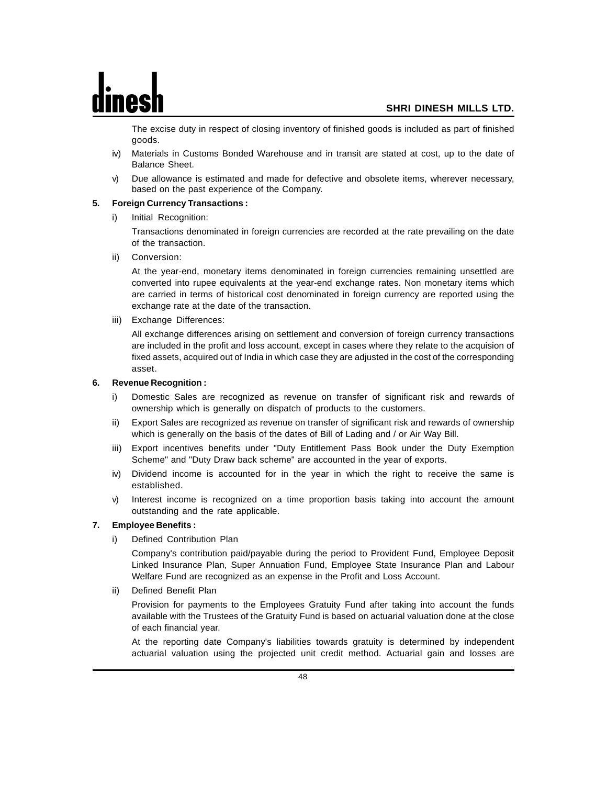The excise duty in respect of closing inventory of finished goods is included as part of finished goods.

- iv) Materials in Customs Bonded Warehouse and in transit are stated at cost, up to the date of Balance Sheet.
- v) Due allowance is estimated and made for defective and obsolete items, wherever necessary, based on the past experience of the Company.

## **5. Foreign Currency Transactions :**

i) Initial Recognition:

Transactions denominated in foreign currencies are recorded at the rate prevailing on the date of the transaction.

ii) Conversion:

At the year-end, monetary items denominated in foreign currencies remaining unsettled are converted into rupee equivalents at the year-end exchange rates. Non monetary items which are carried in terms of historical cost denominated in foreign currency are reported using the exchange rate at the date of the transaction.

iii) Exchange Differences:

All exchange differences arising on settlement and conversion of foreign currency transactions are included in the profit and loss account, except in cases where they relate to the acquision of fixed assets, acquired out of India in which case they are adjusted in the cost of the corresponding asset.

## **6. Revenue Recognition :**

- i) Domestic Sales are recognized as revenue on transfer of significant risk and rewards of ownership which is generally on dispatch of products to the customers.
- ii) Export Sales are recognized as revenue on transfer of significant risk and rewards of ownership which is generally on the basis of the dates of Bill of Lading and / or Air Way Bill.
- iii) Export incentives benefits under "Duty Entitlement Pass Book under the Duty Exemption Scheme" and "Duty Draw back scheme" are accounted in the year of exports.
- iv) Dividend income is accounted for in the year in which the right to receive the same is established.
- v) Interest income is recognized on a time proportion basis taking into account the amount outstanding and the rate applicable.

## **7. Employee Benefits :**

i) Defined Contribution Plan

Company's contribution paid/payable during the period to Provident Fund, Employee Deposit Linked Insurance Plan, Super Annuation Fund, Employee State Insurance Plan and Labour Welfare Fund are recognized as an expense in the Profit and Loss Account.

ii) Defined Benefit Plan

Provision for payments to the Employees Gratuity Fund after taking into account the funds available with the Trustees of the Gratuity Fund is based on actuarial valuation done at the close of each financial year.

At the reporting date Company's liabilities towards gratuity is determined by independent actuarial valuation using the projected unit credit method. Actuarial gain and losses are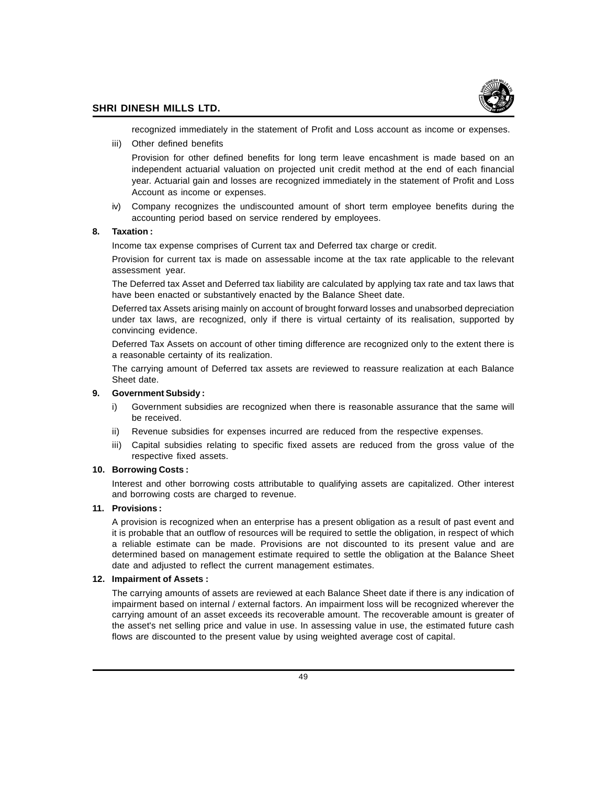

recognized immediately in the statement of Profit and Loss account as income or expenses.

iii) Other defined benefits

Provision for other defined benefits for long term leave encashment is made based on an independent actuarial valuation on projected unit credit method at the end of each financial year. Actuarial gain and losses are recognized immediately in the statement of Profit and Loss Account as income or expenses.

iv) Company recognizes the undiscounted amount of short term employee benefits during the accounting period based on service rendered by employees.

### **8. Taxation :**

Income tax expense comprises of Current tax and Deferred tax charge or credit.

Provision for current tax is made on assessable income at the tax rate applicable to the relevant assessment year.

The Deferred tax Asset and Deferred tax liability are calculated by applying tax rate and tax laws that have been enacted or substantively enacted by the Balance Sheet date.

Deferred tax Assets arising mainly on account of brought forward losses and unabsorbed depreciation under tax laws, are recognized, only if there is virtual certainty of its realisation, supported by convincing evidence.

Deferred Tax Assets on account of other timing difference are recognized only to the extent there is a reasonable certainty of its realization.

The carrying amount of Deferred tax assets are reviewed to reassure realization at each Balance Sheet date.

#### **9. Government Subsidy :**

- i) Government subsidies are recognized when there is reasonable assurance that the same will be received.
- ii) Revenue subsidies for expenses incurred are reduced from the respective expenses.
- iii) Capital subsidies relating to specific fixed assets are reduced from the gross value of the respective fixed assets.

### **10. Borrowing Costs :**

Interest and other borrowing costs attributable to qualifying assets are capitalized. Other interest and borrowing costs are charged to revenue.

#### **11. Provisions :**

A provision is recognized when an enterprise has a present obligation as a result of past event and it is probable that an outflow of resources will be required to settle the obligation, in respect of which a reliable estimate can be made. Provisions are not discounted to its present value and are determined based on management estimate required to settle the obligation at the Balance Sheet date and adjusted to reflect the current management estimates.

#### **12. Impairment of Assets :**

The carrying amounts of assets are reviewed at each Balance Sheet date if there is any indication of impairment based on internal / external factors. An impairment loss will be recognized wherever the carrying amount of an asset exceeds its recoverable amount. The recoverable amount is greater of the asset's net selling price and value in use. In assessing value in use, the estimated future cash flows are discounted to the present value by using weighted average cost of capital.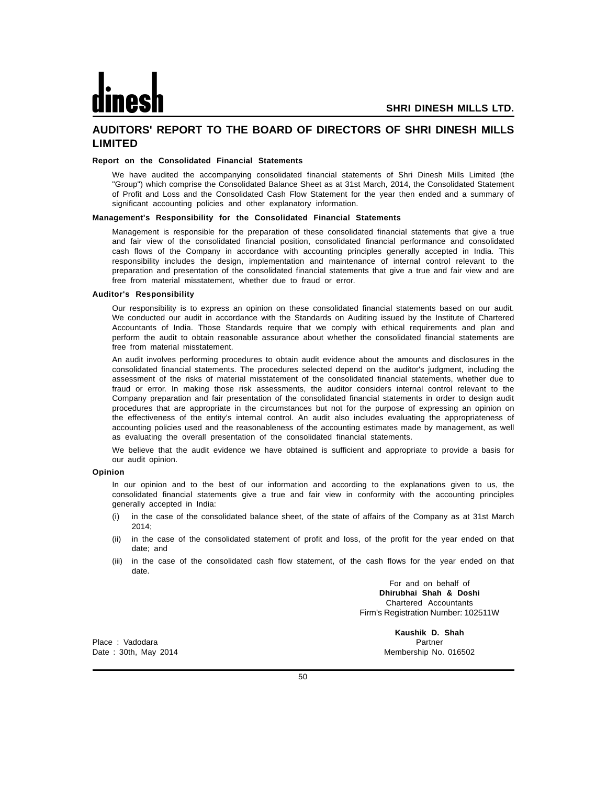# **AUDITORS' REPORT TO THE BOARD OF DIRECTORS OF SHRI DINESH MILLS LIMITED**

#### **Report on the Consolidated Financial Statements**

We have audited the accompanying consolidated financial statements of Shri Dinesh Mills Limited (the "Group") which comprise the Consolidated Balance Sheet as at 31st March, 2014, the Consolidated Statement of Profit and Loss and the Consolidated Cash Flow Statement for the year then ended and a summary of significant accounting policies and other explanatory information.

#### **Management's Responsibility for the Consolidated Financial Statements**

Management is responsible for the preparation of these consolidated financial statements that give a true and fair view of the consolidated financial position, consolidated financial performance and consolidated cash flows of the Company in accordance with accounting principles generally accepted in India. This responsibility includes the design, implementation and maintenance of internal control relevant to the preparation and presentation of the consolidated financial statements that give a true and fair view and are free from material misstatement, whether due to fraud or error.

#### **Auditor's Responsibility**

Our responsibility is to express an opinion on these consolidated financial statements based on our audit. We conducted our audit in accordance with the Standards on Auditing issued by the Institute of Chartered Accountants of India. Those Standards require that we comply with ethical requirements and plan and perform the audit to obtain reasonable assurance about whether the consolidated financial statements are free from material misstatement.

An audit involves performing procedures to obtain audit evidence about the amounts and disclosures in the consolidated financial statements. The procedures selected depend on the auditor's judgment, including the assessment of the risks of material misstatement of the consolidated financial statements, whether due to fraud or error. In making those risk assessments, the auditor considers internal control relevant to the Company preparation and fair presentation of the consolidated financial statements in order to design audit procedures that are appropriate in the circumstances but not for the purpose of expressing an opinion on the effectiveness of the entity's internal control. An audit also includes evaluating the appropriateness of accounting policies used and the reasonableness of the accounting estimates made by management, as well as evaluating the overall presentation of the consolidated financial statements.

We believe that the audit evidence we have obtained is sufficient and appropriate to provide a basis for our audit opinion.

#### **Opinion**

In our opinion and to the best of our information and according to the explanations given to us, the consolidated financial statements give a true and fair view in conformity with the accounting principles generally accepted in India:

- (i) in the case of the consolidated balance sheet, of the state of affairs of the Company as at 31st March 2014;
- (ii) in the case of the consolidated statement of profit and loss, of the profit for the year ended on that date; and
- (iii) in the case of the consolidated cash flow statement, of the cash flows for the year ended on that date.

For and on behalf of **Dhirubhai Shah & Doshi** Chartered Accountants Firm's Registration Number: 102511W

Place : Vadodara Partner et al. 2009 and 2009 and 2009 and 2009 and 2009 and 2009 and 2009 and 2009 and 2009 and 2009 and 2009 and 2009 and 2009 and 2009 and 2009 and 2009 and 2009 and 2009 and 2009 and 2009 and 2009 and 2

**Kaushik D. Shah** Date : 30th, May 2014 Membership No. 016502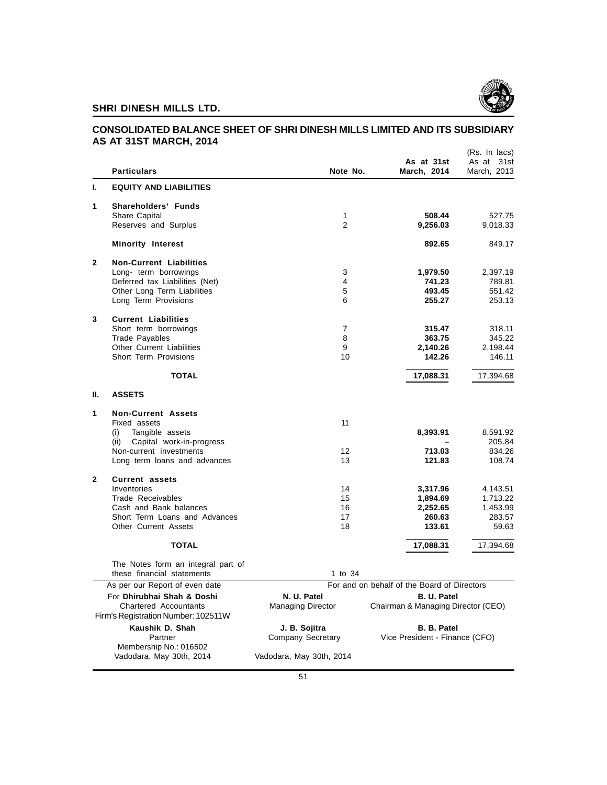

#### **CONSOLIDATED BALANCE SHEET OF SHRI DINESH MILLS LIMITED AND ITS SUBSIDIARY AS AT 31ST MARCH, 2014**  $(Pc \text{ In } \text{lace})$

|              | <b>Particulars</b>                                                  | Note No.                 | As at 31st<br>March, 2014                   | (RS. In lacs)<br>As at 31st<br>March. 2013 |
|--------------|---------------------------------------------------------------------|--------------------------|---------------------------------------------|--------------------------------------------|
| L.           | <b>EQUITY AND LIABILITIES</b>                                       |                          |                                             |                                            |
| 1            | Shareholders' Funds                                                 |                          |                                             |                                            |
|              | Share Capital                                                       | $\mathbf{1}$             | 508.44                                      | 527.75                                     |
|              | Reserves and Surplus                                                | 2                        | 9,256.03                                    | 9,018.33                                   |
|              | <b>Minority Interest</b>                                            |                          | 892.65                                      | 849.17                                     |
| $\mathbf{2}$ | <b>Non-Current Liabilities</b>                                      |                          |                                             |                                            |
|              | Long- term borrowings                                               | 3                        | 1,979.50                                    | 2,397.19                                   |
|              | Deferred tax Liabilities (Net)                                      | $\overline{4}$           | 741.23                                      | 789.81                                     |
|              | Other Long Term Liabilities                                         | 5                        | 493.45                                      | 551.42                                     |
|              | Long Term Provisions                                                | 6                        | 255.27                                      | 253.13                                     |
| 3            | <b>Current Liabilities</b>                                          |                          |                                             |                                            |
|              | Short term borrowings                                               | 7                        | 315.47                                      | 318.11                                     |
|              | <b>Trade Payables</b>                                               | 8                        | 363.75                                      | 345.22                                     |
|              | Other Current Liabilities                                           | 9                        | 2,140.26                                    | 2,198.44                                   |
|              | Short Term Provisions                                               | 10                       | 142.26                                      | 146.11                                     |
|              | <b>TOTAL</b>                                                        |                          | 17,088.31                                   | 17,394.68                                  |
| Ш.           | <b>ASSETS</b>                                                       |                          |                                             |                                            |
| 1            | <b>Non-Current Assets</b>                                           |                          |                                             |                                            |
|              | Fixed assets                                                        | 11                       |                                             |                                            |
|              | (i)<br>Tangible assets                                              |                          | 8,393.91                                    | 8,591.92                                   |
|              | Capital work-in-progress<br>(ii)                                    |                          |                                             | 205.84                                     |
|              | Non-current investments                                             | 12                       | 713.03                                      | 834.26                                     |
|              | Long term loans and advances                                        | 13                       | 121.83                                      | 108.74                                     |
| $\mathbf{2}$ | <b>Current assets</b>                                               |                          |                                             |                                            |
|              | Inventories                                                         | 14                       | 3,317.96                                    | 4,143.51                                   |
|              | Trade Receivables                                                   | 15                       | 1,894.69                                    | 1,713.22                                   |
|              | Cash and Bank balances                                              | 16<br>17                 | 2,252.65                                    | 1,453.99                                   |
|              | Short Term Loans and Advances                                       | 18                       | 260.63                                      | 283.57                                     |
|              | Other Current Assets                                                |                          | 133.61                                      | 59.63                                      |
|              | <b>TOTAL</b>                                                        |                          | 17,088.31                                   | 17,394.68                                  |
|              | The Notes form an integral part of<br>these financial statements    | 1 to 34                  |                                             |                                            |
|              | As per our Report of even date                                      |                          | For and on behalf of the Board of Directors |                                            |
|              |                                                                     |                          |                                             |                                            |
|              | For Dhirubhai Shah & Doshi                                          | N. U. Patel              | B. U. Patel                                 |                                            |
|              | <b>Chartered Accountants</b><br>Firm's Registration Number: 102511W | <b>Managing Director</b> | Chairman & Managing Director (CEO)          |                                            |
|              | Kaushik D. Shah                                                     | J. B. Sojitra            | B. B. Patel                                 |                                            |
|              | Partner                                                             | Company Secretary        | Vice President - Finance (CFO)              |                                            |
|              | Membership No.: 016502                                              |                          |                                             |                                            |
|              | Vadodara, May 30th, 2014                                            | Vadodara, May 30th, 2014 |                                             |                                            |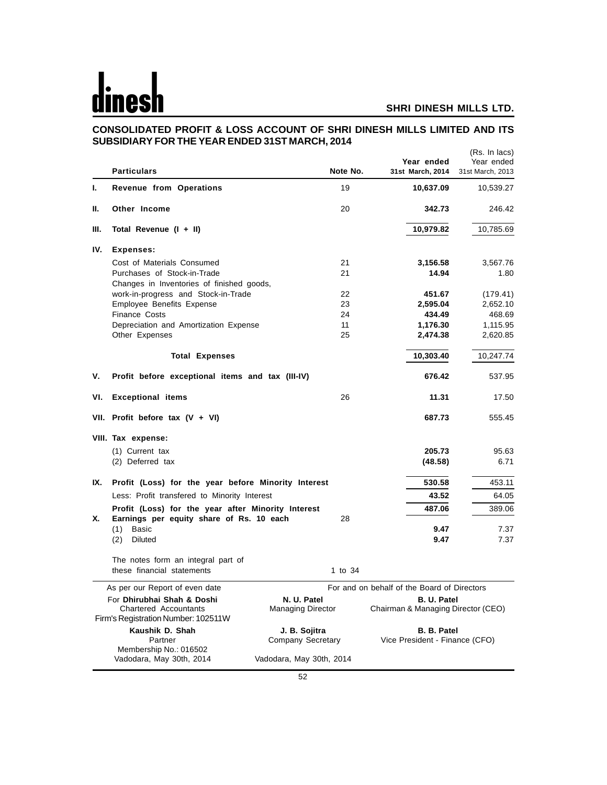# $\overline{\mathbf{d}}$

# **SHRI DINESH MILLS LTD.**

#### **CONSOLIDATED PROFIT & LOSS ACCOUNT OF SHRI DINESH MILLS LIMITED AND ITS SUBSIDIARY FOR THE YEAR ENDED 31ST MARCH, 2014**  $(D_0, \ln \ln \cos \theta)$

|      |                                                                                                   |                                         | Year ended                                        | (RS. In lacs)<br>Year ended |
|------|---------------------------------------------------------------------------------------------------|-----------------------------------------|---------------------------------------------------|-----------------------------|
|      | <b>Particulars</b>                                                                                | Note No.                                | 31st March, 2014                                  | 31st March, 2013            |
| ı.   | <b>Revenue from Operations</b>                                                                    | 19                                      | 10,637.09                                         | 10,539.27                   |
| Н.   | Other Income                                                                                      | 20                                      | 342.73                                            | 246.42                      |
| III. | Total Revenue (I + II)                                                                            |                                         | 10,979.82                                         | 10,785.69                   |
| IV.  | <b>Expenses:</b>                                                                                  |                                         |                                                   |                             |
|      | Cost of Materials Consumed                                                                        | 21                                      | 3,156.58                                          | 3.567.76                    |
|      | Purchases of Stock-in-Trade                                                                       | 21                                      | 14.94                                             | 1.80                        |
|      | Changes in Inventories of finished goods,                                                         |                                         |                                                   |                             |
|      | work-in-progress and Stock-in-Trade                                                               | 22                                      | 451.67                                            | (179.41)                    |
|      | Employee Benefits Expense                                                                         | 23                                      | 2,595.04                                          | 2,652.10                    |
|      | <b>Finance Costs</b>                                                                              | 24                                      | 434.49                                            | 468.69                      |
|      | Depreciation and Amortization Expense                                                             | 11                                      | 1,176.30                                          | 1,115.95                    |
|      | Other Expenses                                                                                    | 25                                      | 2,474.38                                          | 2,620.85                    |
|      | <b>Total Expenses</b>                                                                             |                                         | 10,303.40                                         | 10,247.74                   |
| ۷.   | Profit before exceptional items and tax (III-IV)                                                  |                                         | 676.42                                            | 537.95                      |
| VI.  | <b>Exceptional items</b>                                                                          | 26                                      | 11.31                                             | 17.50                       |
|      | VII. Profit before tax $(V + VI)$                                                                 |                                         | 687.73                                            | 555.45                      |
|      | VIII. Tax expense:                                                                                |                                         |                                                   |                             |
|      | (1) Current tax                                                                                   |                                         | 205.73                                            | 95.63                       |
|      | (2) Deferred tax                                                                                  |                                         | (48.58)                                           | 6.71                        |
| IX.  | Profit (Loss) for the year before Minority Interest                                               |                                         | 530.58                                            | 453.11                      |
|      | Less: Profit transfered to Minority Interest                                                      |                                         | 43.52                                             | 64.05                       |
|      |                                                                                                   |                                         | 487.06                                            | 389.06                      |
| х.   | Profit (Loss) for the year after Minority Interest<br>Earnings per equity share of Rs. 10 each    | 28                                      |                                                   |                             |
|      | Basic<br>(1)                                                                                      |                                         | 9.47                                              | 7.37                        |
|      | (2)<br>Diluted                                                                                    |                                         | 9.47                                              | 7.37                        |
|      | The notes form an integral part of<br>these financial statements                                  | 1 to 34                                 |                                                   |                             |
|      | As per our Report of even date                                                                    |                                         | For and on behalf of the Board of Directors       |                             |
|      | For Dhirubhai Shah & Doshi<br><b>Chartered Accountants</b><br>Firm's Registration Number: 102511W | N. U. Patel<br><b>Managing Director</b> | B. U. Patel<br>Chairman & Managing Director (CEO) |                             |
|      | Kaushik D. Shah<br>Partner                                                                        | J. B. Sojitra<br>Company Secretary      | B. B. Patel<br>Vice President - Finance (CFO)     |                             |
|      | Membership No.: 016502<br>Vadodara, May 30th, 2014                                                | Vadodara, May 30th, 2014                |                                                   |                             |
|      |                                                                                                   |                                         |                                                   |                             |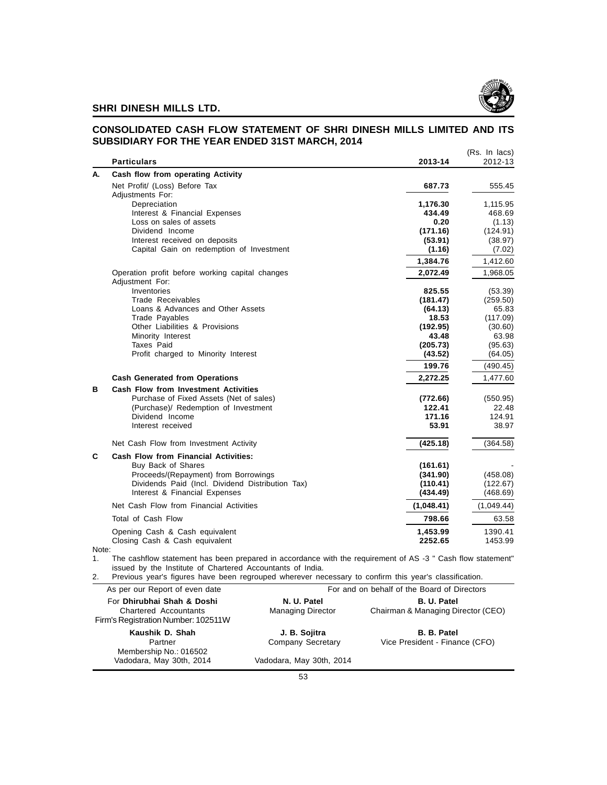

# **CONSOLIDATED CASH FLOW STATEMENT OF SHRI DINESH MILLS LIMITED AND ITS SUBSIDIARY FOR THE YEAR ENDED 31ST MARCH, 2014**

|       | <b>Particulars</b>                                                                                                                                                        | 2013-14    | (Rs. In lacs)<br>2012-13 |
|-------|---------------------------------------------------------------------------------------------------------------------------------------------------------------------------|------------|--------------------------|
| А.    | Cash flow from operating Activity                                                                                                                                         |            |                          |
|       | Net Profit/ (Loss) Before Tax<br><b>Adjustments For:</b>                                                                                                                  | 687.73     | 555.45                   |
|       | Depreciation                                                                                                                                                              | 1,176.30   | 1,115.95                 |
|       | Interest & Financial Expenses                                                                                                                                             | 434.49     | 468.69                   |
|       | Loss on sales of assets                                                                                                                                                   | 0.20       | (1.13)                   |
|       | Dividend Income                                                                                                                                                           | (171.16)   | (124.91)                 |
|       | Interest received on deposits                                                                                                                                             | (53.91)    | (38.97)                  |
|       | Capital Gain on redemption of Investment                                                                                                                                  | (1.16)     | (7.02)                   |
|       |                                                                                                                                                                           | 1,384.76   | 1,412.60                 |
|       | Operation profit before working capital changes<br>Adjustment For:                                                                                                        | 2,072.49   | 1,968.05                 |
|       | Inventories                                                                                                                                                               | 825.55     | (53.39)                  |
|       | Trade Receivables                                                                                                                                                         | (181.47)   | (259.50)                 |
|       | Loans & Advances and Other Assets                                                                                                                                         | (64.13)    | 65.83                    |
|       | Trade Payables                                                                                                                                                            | 18.53      | (117.09)                 |
|       | Other Liabilities & Provisions                                                                                                                                            | (192.95)   | (30.60)                  |
|       | Minority Interest                                                                                                                                                         | 43.48      | 63.98                    |
|       | Taxes Paid                                                                                                                                                                | (205.73)   | (95.63)                  |
|       | Profit charged to Minority Interest                                                                                                                                       | (43.52)    | (64.05)                  |
|       |                                                                                                                                                                           | 199.76     | (490.45)                 |
|       | <b>Cash Generated from Operations</b>                                                                                                                                     | 2,272.25   | 1,477.60                 |
| в     | <b>Cash Flow from Investment Activities</b>                                                                                                                               |            |                          |
|       | Purchase of Fixed Assets (Net of sales)                                                                                                                                   | (772.66)   | (550.95)                 |
|       | (Purchase)/ Redemption of Investment                                                                                                                                      | 122.41     | 22.48                    |
|       | Dividend Income                                                                                                                                                           | 171.16     | 124.91                   |
|       | Interest received                                                                                                                                                         | 53.91      | 38.97                    |
|       | Net Cash Flow from Investment Activity                                                                                                                                    | (425.18)   | (364.58)                 |
| С     | <b>Cash Flow from Financial Activities:</b>                                                                                                                               |            |                          |
|       | <b>Buy Back of Shares</b>                                                                                                                                                 | (161.61)   |                          |
|       | Proceeds/(Repayment) from Borrowings                                                                                                                                      | (341.90)   | (458.08)                 |
|       | Dividends Paid (Incl. Dividend Distribution Tax)                                                                                                                          | (110.41)   | (122.67)                 |
|       | Interest & Financial Expenses                                                                                                                                             | (434.49)   | (468.69)                 |
|       | Net Cash Flow from Financial Activities                                                                                                                                   | (1,048.41) | (1,049.44)               |
|       | Total of Cash Flow                                                                                                                                                        | 798.66     | 63.58                    |
|       | Opening Cash & Cash equivalent                                                                                                                                            | 1,453.99   | 1390.41                  |
|       | Closing Cash & Cash equivalent                                                                                                                                            | 2252.65    | 1453.99                  |
| Note: |                                                                                                                                                                           |            |                          |
| 1.    | The cashflow statement has been prepared in accordance with the requirement of AS -3 " Cash flow statement"<br>issued by the Institute of Chartered Accountants of India. |            |                          |

2. Previous year's figures have been regrouped wherever necessary to confirm this year's classification.

| E. Thomas yours nguros have boon rogrouped miorerer necessary to commit this yours elacomoditem. |                                             |                                                          |  |  |  |
|--------------------------------------------------------------------------------------------------|---------------------------------------------|----------------------------------------------------------|--|--|--|
| As per our Report of even date                                                                   | For and on behalf of the Board of Directors |                                                          |  |  |  |
| For Dhirubhai Shah & Doshi<br>Chartered Accountants<br>Firm's Registration Number: 102511W       | N. U. Patel<br><b>Managing Director</b>     | <b>B. U. Patel</b><br>Chairman & Managing Director (CEO) |  |  |  |
| Kaushik D. Shah<br>Partner<br>Membership No.: 016502                                             | J. B. Sojitra<br>Company Secretary          | <b>B. B. Patel</b><br>Vice President - Finance (CFO)     |  |  |  |
| Vadodara, May 30th, 2014                                                                         | Vadodara, May 30th, 2014                    |                                                          |  |  |  |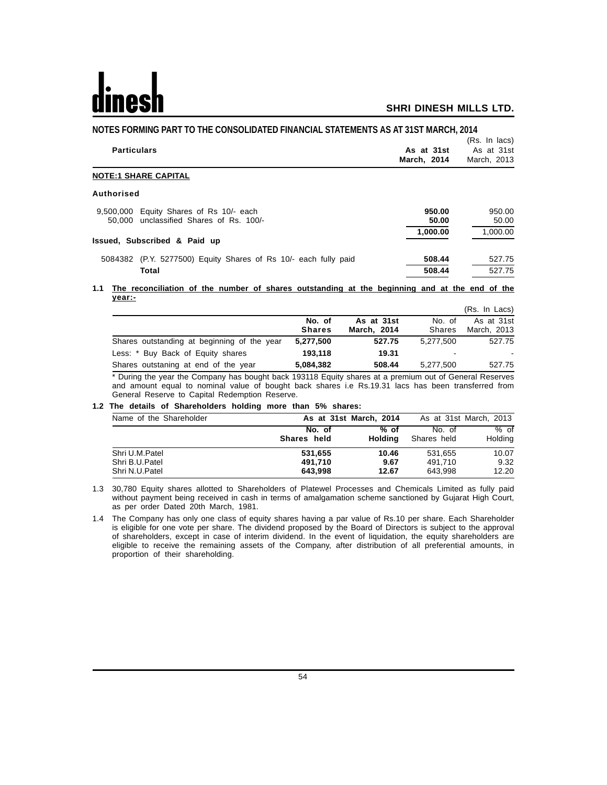|                    | NOTES FORMING PART TO THE CONSOLIDATED FINANCIAL STATEMENTS AS AT 31ST MARCH, 2014            |                           |                                                       |
|--------------------|-----------------------------------------------------------------------------------------------|---------------------------|-------------------------------------------------------|
| <b>Particulars</b> |                                                                                               | As at 31st<br>March, 2014 | (Rs. In lacs)<br>As at 31st<br>March, 2013            |
|                    | <b>NOTE:1 SHARE CAPITAL</b>                                                                   |                           |                                                       |
| Authorised         |                                                                                               |                           |                                                       |
|                    | 9,500,000 Equity Shares of Rs 10/- each<br>50,000 unclassified Shares of Rs. 100/-            | 950.00<br>50.00           | 950.00<br>50.00                                       |
|                    | Issued, Subscribed & Paid up                                                                  | 1,000.00                  | 1.000.00                                              |
|                    | 5084382 (P.Y. 5277500) Equity Shares of Rs 10/- each fully paid                               | 508.44                    | 527.75                                                |
|                    | Total                                                                                         | 508.44                    | 527.75                                                |
| 1.1<br>year:-      | The reconciliation of the number of shares outstanding at the beginning and at the end of the |                           |                                                       |
|                    | $\mathbf{M} = \mathbf{M}$<br>$A - 1$                                                          | $h = -f$                  | (Rs. In Lacs)<br>$\Lambda$ $\sim$ $\Lambda$ $\Lambda$ |

|                                             | No. of<br><b>Shares</b> | As at 31st<br>March, 2014 | No. of<br>Shares | As at 31st<br>March, 2013 |
|---------------------------------------------|-------------------------|---------------------------|------------------|---------------------------|
| Shares outstanding at beginning of the year | 5.277.500               | 527.75                    | 5.277.500        | 527.75                    |
| Less: * Buy Back of Equity shares           | 193.118                 | 19.31                     | -                | $\sim$                    |
| Shares outstaning at end of the year        | 5.084.382               | 508.44                    | 5.277.500        | 527.75                    |

\* During the year the Company has bought back 193118 Equity shares at a premium out of General Reserves and amount equal to nominal value of bought back shares i.e Rs.19.31 lacs has been transferred from General Reserve to Capital Redemption Reserve.

#### **1.2 The details of Shareholders holding more than 5% shares:**

| Name of the Shareholder |             | As at 31st March, 2014 |             | As at 31st March, 2013 |
|-------------------------|-------------|------------------------|-------------|------------------------|
|                         | No. of      | % of                   | No. of      | % of                   |
|                         | Shares held | Holdina                | Shares held | Holding                |
| Shri U.M.Patel          | 531.655     | 10.46                  | 531.655     | 10.07                  |
| Shri B.U.Patel          | 491.710     | 9.67                   | 491.710     | 9.32                   |
| Shri N.U.Patel          | 643.998     | 12.67                  | 643.998     | 12.20                  |

1.3 30,780 Equity shares allotted to Shareholders of Platewel Processes and Chemicals Limited as fully paid without payment being received in cash in terms of amalgamation scheme sanctioned by Gujarat High Court, as per order Dated 20th March, 1981.

1.4 The Company has only one class of equity shares having a par value of Rs.10 per share. Each Shareholder is eligible for one vote per share. The dividend proposed by the Board of Directors is subject to the approval of shareholders, except in case of interim dividend. In the event of liquidation, the equity shareholders are eligible to receive the remaining assets of the Company, after distribution of all preferential amounts, in proportion of their shareholding.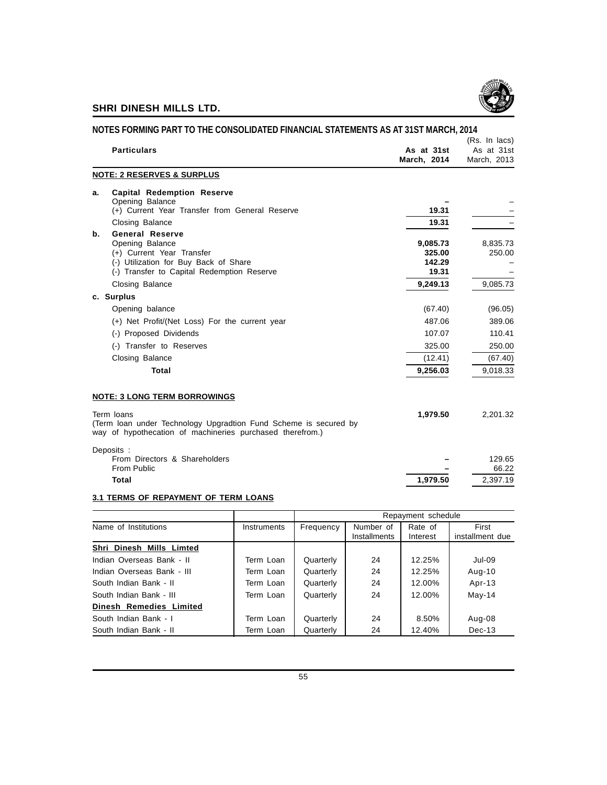

|    | NOTES FORMING PART TO THE CONSOLIDATED FINANCIAL STATEMENTS AS AT 31ST MARCH, 2014                                                          |                           |                                            |
|----|---------------------------------------------------------------------------------------------------------------------------------------------|---------------------------|--------------------------------------------|
|    | <b>Particulars</b>                                                                                                                          | As at 31st<br>March, 2014 | (Rs. In lacs)<br>As at 31st<br>March. 2013 |
|    | <b>NOTE: 2 RESERVES &amp; SURPLUS</b>                                                                                                       |                           |                                            |
| a. | <b>Capital Redemption Reserve</b><br>Opening Balance                                                                                        |                           |                                            |
|    | (+) Current Year Transfer from General Reserve                                                                                              | 19.31                     |                                            |
|    | Closing Balance                                                                                                                             | 19.31                     |                                            |
| b. | <b>General Reserve</b>                                                                                                                      |                           |                                            |
|    | Opening Balance                                                                                                                             | 9,085.73                  | 8,835.73                                   |
|    | (+) Current Year Transfer<br>(-) Utilization for Buy Back of Share                                                                          | 325.00<br>142.29          | 250.00                                     |
|    | (-) Transfer to Capital Redemption Reserve                                                                                                  | 19.31                     |                                            |
|    | Closing Balance                                                                                                                             | 9,249.13                  | 9,085.73                                   |
|    | c. Surplus                                                                                                                                  |                           |                                            |
|    | Opening balance                                                                                                                             | (67.40)                   | (96.05)                                    |
|    | (+) Net Profit/(Net Loss) For the current year                                                                                              | 487.06                    | 389.06                                     |
|    | (-) Proposed Dividends                                                                                                                      | 107.07                    | 110.41                                     |
|    | (-) Transfer to Reserves                                                                                                                    | 325.00                    | 250.00                                     |
|    | Closing Balance                                                                                                                             | (12.41)                   | (67.40)                                    |
|    | <b>Total</b>                                                                                                                                | 9,256.03                  | 9,018.33                                   |
|    | <b>NOTE: 3 LONG TERM BORROWINGS</b>                                                                                                         |                           |                                            |
|    | Term loans<br>(Term loan under Technology Upgradtion Fund Scheme is secured by<br>way of hypothecation of machineries purchased therefrom.) | 1,979.50                  | 2,201.32                                   |
|    | Deposits :<br>From Directors & Shareholders<br>From Public                                                                                  |                           | 129.65<br>66.22                            |
|    | Total                                                                                                                                       | 1.979.50                  | 2.397.19                                   |

### **3.1 TERMS OF REPAYMENT OF TERM LOANS**

|                            |             | Repayment schedule |              |          |                 |
|----------------------------|-------------|--------------------|--------------|----------|-----------------|
| Name of Institutions       | Instruments | Frequency          | Number of    | Rate of  | First           |
|                            |             |                    | Installments | Interest | installment due |
| Shri Dinesh Mills Limted   |             |                    |              |          |                 |
| Indian Overseas Bank - II  | Term Loan   | Quarterly          | 24           | 12.25%   | $Jul-09$        |
| Indian Overseas Bank - III | Term Loan   | Quarterly          | 24           | 12.25%   | Aug-10          |
| South Indian Bank - II     | Term Loan   | Quarterly          | 24           | 12.00%   | Apr-13          |
| South Indian Bank - III    | Term Loan   | Quarterly          | 24           | 12.00%   | $May-14$        |
| Dinesh Remedies Limited    |             |                    |              |          |                 |
| South Indian Bank - I      | Term Loan   | Quarterly          | 24           | 8.50%    | Aug-08          |
| South Indian Bank - II     | Term Loan   | Quarterly          | 24           | 12.40%   | $Dec-13$        |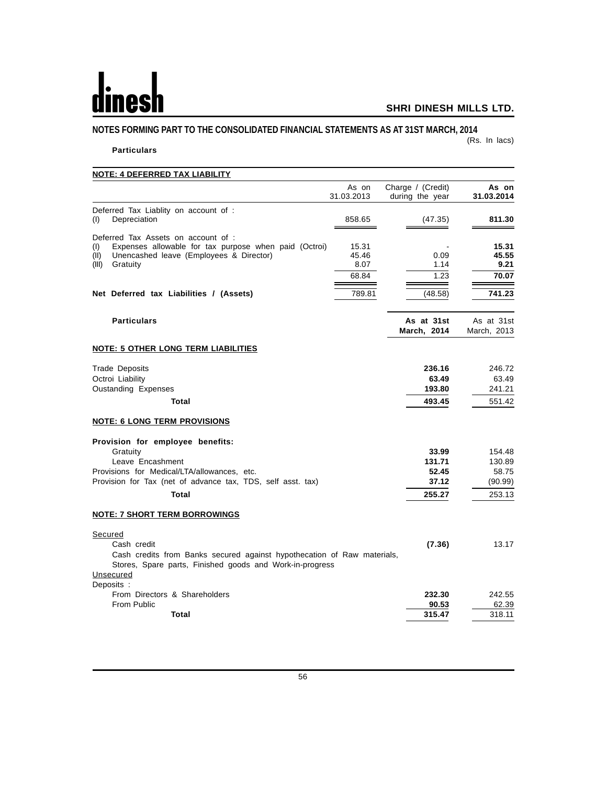# d

# **SHRI DINESH MILLS LTD.**

# **NOTES FORMING PART TO THE CONSOLIDATED FINANCIAL STATEMENTS AS AT 31ST MARCH, 2014**

(Rs. In lacs)

# **Particulars**

|                      | <b>NOTE: 4 DEFERRED TAX LIABILITY</b>                                                                                                                                                   |                                 |                                             |                                                |
|----------------------|-----------------------------------------------------------------------------------------------------------------------------------------------------------------------------------------|---------------------------------|---------------------------------------------|------------------------------------------------|
|                      |                                                                                                                                                                                         | As on<br>31.03.2013             | Charge / (Credit)<br>during the year        | As on<br>31.03.2014                            |
| (1)                  | Deferred Tax Liablity on account of :<br>Depreciation                                                                                                                                   | 858.65                          | (47.35)                                     | 811.30                                         |
| (1)<br>(II)<br>(III) | Deferred Tax Assets on account of :<br>Expenses allowable for tax purpose when paid (Octroi)<br>Unencashed leave (Employees & Director)<br>Gratuity                                     | 15.31<br>45.46<br>8.07<br>68.84 | 0.09<br>1.14<br>1.23                        | 15.31<br>45.55<br>9.21<br>70.07                |
|                      | Net Deferred tax Liabilities / (Assets)                                                                                                                                                 | 789.81                          | (48.58)                                     | 741.23                                         |
|                      | <b>Particulars</b>                                                                                                                                                                      |                                 | As at 31st<br>March, 2014                   | As at 31st<br>March, 2013                      |
|                      | NOTE: 5 OTHER LONG TERM LIABILITIES                                                                                                                                                     |                                 |                                             |                                                |
|                      | <b>Trade Deposits</b><br>Octroi Liability<br><b>Oustanding Expenses</b><br>Total                                                                                                        |                                 | 236.16<br>63.49<br>193.80<br>493.45         | 246.72<br>63.49<br>241.21<br>551.42            |
|                      | <b>NOTE: 6 LONG TERM PROVISIONS</b>                                                                                                                                                     |                                 |                                             |                                                |
|                      | Provision for employee benefits:<br>Gratuity<br>Leave Encashment<br>Provisions for Medical/LTA/allowances, etc.<br>Provision for Tax (net of advance tax, TDS, self asst. tax)<br>Total |                                 | 33.99<br>131.71<br>52.45<br>37.12<br>255.27 | 154.48<br>130.89<br>58.75<br>(90.99)<br>253.13 |
|                      | <b>NOTE: 7 SHORT TERM BORROWINGS</b>                                                                                                                                                    |                                 |                                             |                                                |
| Secured              | Cash credit<br>Cash credits from Banks secured against hypothecation of Raw materials,<br>Stores, Spare parts, Finished goods and Work-in-progress<br>Unsecured                         |                                 | (7.36)                                      | 13.17                                          |
|                      | Deposits :<br>From Directors & Shareholders<br>From Public                                                                                                                              |                                 | 232.30<br>90.53                             | 242.55<br>62.39                                |

**Total 315.47** 318.11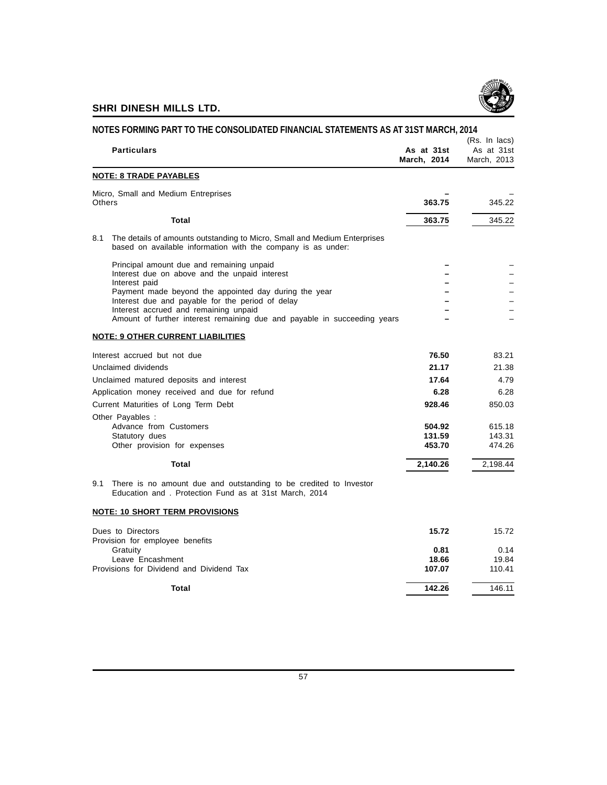

| (Rs. In lacs)                                                                                                                                    |                           |                           |  |
|--------------------------------------------------------------------------------------------------------------------------------------------------|---------------------------|---------------------------|--|
| <b>Particulars</b>                                                                                                                               | As at 31st<br>March, 2014 | As at 31st<br>March. 2013 |  |
| <b>NOTE: 8 TRADE PAYABLES</b>                                                                                                                    |                           |                           |  |
| Micro, Small and Medium Entreprises<br>Others                                                                                                    | 363.75                    | 345.22                    |  |
| <b>Total</b>                                                                                                                                     | 363.75                    | 345.22                    |  |
| 8.1<br>The details of amounts outstanding to Micro, Small and Medium Enterprises<br>based on available information with the company is as under: |                           |                           |  |
| Principal amount due and remaining unpaid                                                                                                        |                           |                           |  |
| Interest due on above and the unpaid interest<br>Interest paid                                                                                   |                           |                           |  |
| Payment made beyond the appointed day during the year                                                                                            |                           |                           |  |
| Interest due and payable for the period of delay                                                                                                 |                           |                           |  |
| Interest accrued and remaining unpaid                                                                                                            |                           |                           |  |
| Amount of further interest remaining due and payable in succeeding years<br><b>NOTE: 9 OTHER CURRENT LIABILITIES</b>                             |                           |                           |  |
|                                                                                                                                                  |                           |                           |  |
| Interest accrued but not due                                                                                                                     | 76.50                     | 83.21                     |  |
| Unclaimed dividends                                                                                                                              | 21.17                     | 21.38                     |  |
| Unclaimed matured deposits and interest                                                                                                          | 17.64                     | 4.79                      |  |
| Application money received and due for refund                                                                                                    | 6.28                      | 6.28                      |  |
| Current Maturities of Long Term Debt                                                                                                             | 928.46                    | 850.03                    |  |
| Other Payables :                                                                                                                                 |                           |                           |  |
| Advance from Customers                                                                                                                           | 504.92                    | 615.18                    |  |
| Statutory dues                                                                                                                                   | 131.59<br>453.70          | 143.31<br>474.26          |  |
| Other provision for expenses                                                                                                                     |                           |                           |  |
| Total                                                                                                                                            | 2,140.26                  | 2,198.44                  |  |
| 9.1 There is no amount due and outstanding to be credited to Investor<br>Education and . Protection Fund as at 31st March, 2014                  |                           |                           |  |
| <b>NOTE: 10 SHORT TERM PROVISIONS</b>                                                                                                            |                           |                           |  |
| Dues to Directors<br>Provision for employee benefits                                                                                             | 15.72                     | 15.72                     |  |
| Gratuity                                                                                                                                         | 0.81                      | 0.14                      |  |
| Leave Encashment                                                                                                                                 | 18.66                     | 19.84                     |  |
| Provisions for Dividend and Dividend Tax                                                                                                         | 107.07                    | 110.41                    |  |
|                                                                                                                                                  | 142.26                    | 146.11                    |  |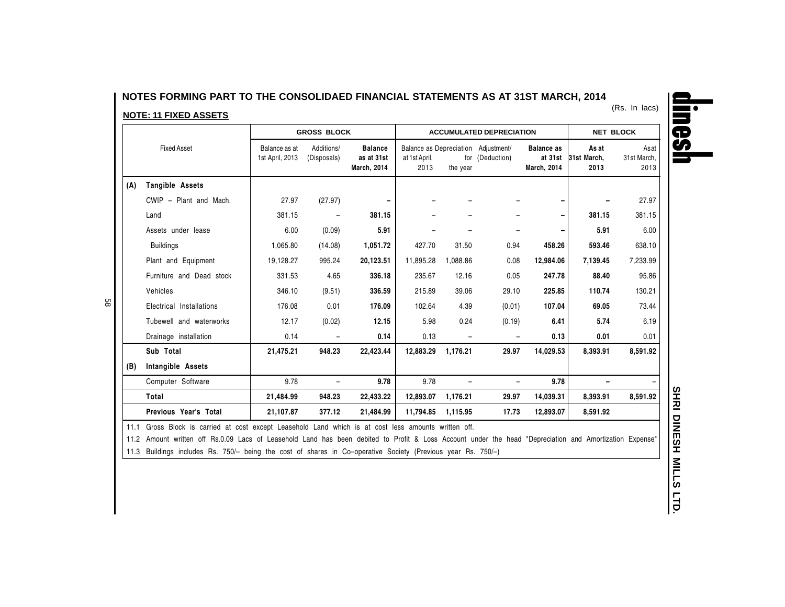# **NOTES FORMING PART TO THE CONSOLIDAED FINANCIAL STATEMENTS AS AT 31ST MARCH, 2014**

#### **NOTE: 11 FIXED ASSETS**

|     |                                                                                                    | <b>GROSS BLOCK</b>               |                           |                                             | <b>ACCUMULATED DEPRECIATION</b>                              |          |                          | <b>NET BLOCK</b>                 |                                      |                             |
|-----|----------------------------------------------------------------------------------------------------|----------------------------------|---------------------------|---------------------------------------------|--------------------------------------------------------------|----------|--------------------------|----------------------------------|--------------------------------------|-----------------------------|
|     | <b>Fixed Asset</b>                                                                                 | Balance as at<br>1st April, 2013 | Additions/<br>(Disposals) | <b>Balance</b><br>as at 31st<br>March, 2014 | Balance as Depreciation Adjustment/<br>at 1st April,<br>2013 | the year | for (Deduction)          | <b>Balance as</b><br>March, 2014 | As at<br>at 31st 31st March,<br>2013 | Asat<br>31st March,<br>2013 |
| (A) | Tangible Assets                                                                                    |                                  |                           |                                             |                                                              |          |                          |                                  |                                      |                             |
|     | CWIP - Plant and Mach.                                                                             | 27.97                            | (27.97)                   |                                             |                                                              |          |                          | -                                |                                      | 27.97                       |
|     | Land                                                                                               | 381.15                           | $\overline{\phantom{a}}$  | 381.15                                      |                                                              |          |                          | -                                | 381.15                               | 381.15                      |
|     | Assets under lease                                                                                 | 6.00                             | (0.09)                    | 5.91                                        |                                                              |          |                          |                                  | 5.91                                 | 6.00                        |
|     | <b>Buildings</b>                                                                                   | 1,065.80                         | (14.08)                   | 1,051.72                                    | 427.70                                                       | 31.50    | 0.94                     | 458.26                           | 593.46                               | 638.10                      |
|     | Plant and Equipment                                                                                | 19,128.27                        | 995.24                    | 20,123.51                                   | 11,895.28                                                    | 1,088.86 | 0.08                     | 12,984.06                        | 7,139.45                             | 7,233.99                    |
|     | Furniture and Dead stock                                                                           | 331.53                           | 4.65                      | 336.18                                      | 235.67                                                       | 12.16    | 0.05                     | 247.78                           | 88.40                                | 95.86                       |
|     | Vehicles                                                                                           | 346.10                           | (9.51)                    | 336.59                                      | 215.89                                                       | 39.06    | 29.10                    | 225.85                           | 110.74                               | 130.21                      |
|     | Electrical Installations                                                                           | 176.08                           | 0.01                      | 176.09                                      | 102.64                                                       | 4.39     | (0.01)                   | 107.04                           | 69.05                                | 73.44                       |
|     | Tubewell and waterworks                                                                            | 12.17                            | (0.02)                    | 12.15                                       | 5.98                                                         | 0.24     | (0.19)                   | 6.41                             | 5.74                                 | 6.19                        |
|     | Drainage installation                                                                              | 0.14                             | $\overline{\phantom{0}}$  | 0.14                                        | 0.13                                                         |          | $\overline{\phantom{a}}$ | 0.13                             | 0.01                                 | 0.01                        |
|     | Sub Total                                                                                          | 21,475.21                        | 948.23                    | 22,423.44                                   | 12,883.29                                                    | 1,176.21 | 29.97                    | 14,029.53                        | 8,393.91                             | 8,591.92                    |
| (B) | Intangible Assets                                                                                  |                                  |                           |                                             |                                                              |          |                          |                                  |                                      |                             |
|     | Computer Software                                                                                  | 9.78                             | $\overline{\phantom{0}}$  | 9.78                                        | 9.78                                                         |          | -                        | 9.78                             |                                      |                             |
|     | Total                                                                                              | 21.484.99                        | 948.23                    | 22.433.22                                   | 12,893.07                                                    | 1,176.21 | 29.97                    | 14,039.31                        | 8,393.91                             | 8,591.92                    |
|     | Previous Year's Total                                                                              | 21,107.87                        | 377.12                    | 21,484.99                                   | 11,794.85                                                    | 1,115.95 | 17.73                    | 12,893.07                        | 8,591.92                             |                             |
|     | 11.1 Cross Blook is carried at onet oventure and delayed upide is at east less amounts written off |                                  |                           |                                             |                                                              |          |                          |                                  |                                      |                             |

11.1 Gross Block is carried at cost except Leasehold Land which is at cost less amounts written off.

11.2 Amount written off Rs.0.09 Lacs of Leasehold Land has been debited to Profit & Loss Account under the head "Depreciation and Amortization Expense" 11.3 Buildings includes Rs. 750/– being the cost of shares in Co–operative Society (Previous year Rs. 750/–)

(Rs. In lacs)

58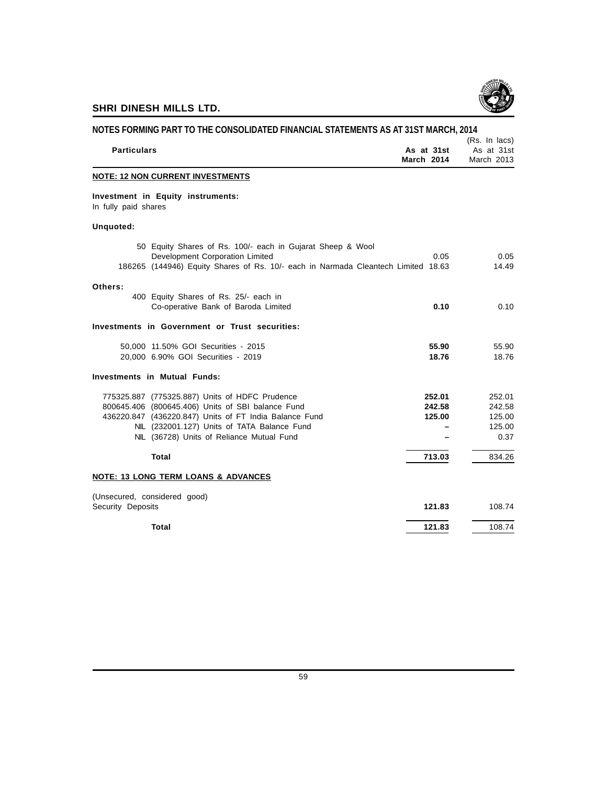

| NOTES FORMING PART TO THE CONSOLIDATED FINANCIAL STATEMENTS AS AT 31ST MARCH, 2014<br>(Rs. In lacs)                                                                                                                                                       |                            |                                              |  |  |
|-----------------------------------------------------------------------------------------------------------------------------------------------------------------------------------------------------------------------------------------------------------|----------------------------|----------------------------------------------|--|--|
| <b>Particulars</b>                                                                                                                                                                                                                                        | As at 31st<br>March 2014   | As at 31st<br>March 2013                     |  |  |
| <b>NOTE: 12 NON CURRENT INVESTMENTS</b>                                                                                                                                                                                                                   |                            |                                              |  |  |
| Investment in Equity instruments:<br>In fully paid shares                                                                                                                                                                                                 |                            |                                              |  |  |
| Unquoted:                                                                                                                                                                                                                                                 |                            |                                              |  |  |
| 50 Equity Shares of Rs. 100/- each in Gujarat Sheep & Wool<br>Development Corporation Limited<br>186265 (144946) Equity Shares of Rs. 10/- each in Narmada Cleantech Limited 18.63                                                                        | 0.05                       | 0.05<br>14.49                                |  |  |
| Others:                                                                                                                                                                                                                                                   |                            |                                              |  |  |
| 400 Equity Shares of Rs. 25/- each in<br>Co-operative Bank of Baroda Limited                                                                                                                                                                              | 0.10                       | 0.10                                         |  |  |
| Investments in Government or Trust securities:                                                                                                                                                                                                            |                            |                                              |  |  |
| 50,000 11.50% GOI Securities - 2015<br>20,000 6.90% GOI Securities - 2019                                                                                                                                                                                 | 55.90<br>18.76             | 55.90<br>18.76                               |  |  |
| <b>Investments in Mutual Funds:</b>                                                                                                                                                                                                                       |                            |                                              |  |  |
| 775325.887 (775325.887) Units of HDFC Prudence<br>800645.406 (800645.406) Units of SBI balance Fund<br>436220.847 (436220.847) Units of FT India Balance Fund<br>NIL (232001.127) Units of TATA Balance Fund<br>NIL (36728) Units of Reliance Mutual Fund | 252.01<br>242.58<br>125.00 | 252.01<br>242.58<br>125.00<br>125.00<br>0.37 |  |  |
| Total                                                                                                                                                                                                                                                     | 713.03                     | 834.26                                       |  |  |
| <b>NOTE: 13 LONG TERM LOANS &amp; ADVANCES</b>                                                                                                                                                                                                            |                            |                                              |  |  |
| (Unsecured, considered good)<br>Security Deposits                                                                                                                                                                                                         | 121.83                     | 108.74                                       |  |  |
| Total                                                                                                                                                                                                                                                     | 121.83                     | 108.74                                       |  |  |
|                                                                                                                                                                                                                                                           |                            |                                              |  |  |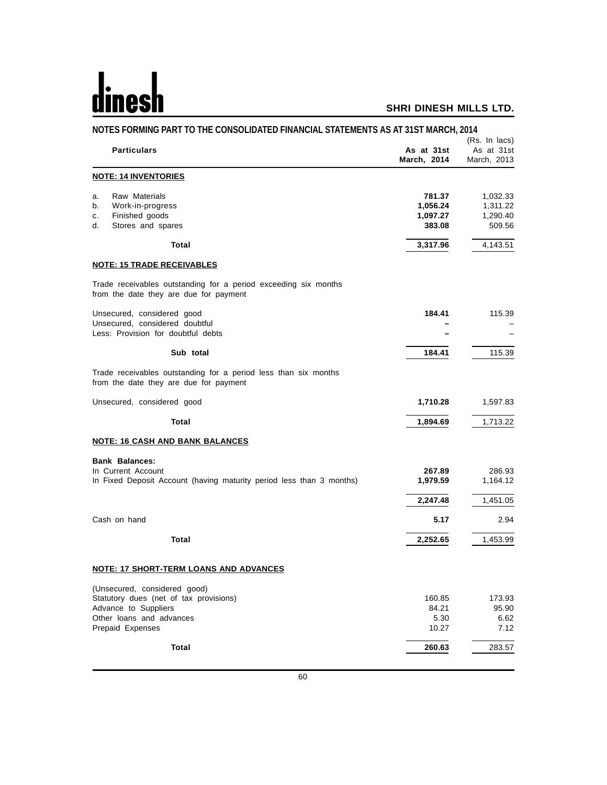# <u>dinesh</u>

| NOTES FORMING PART TO THE CONSOLIDATED FINANCIAL STATEMENTS AS AT 31ST MARCH, 2014                        |                           |                                            |
|-----------------------------------------------------------------------------------------------------------|---------------------------|--------------------------------------------|
| <b>Particulars</b>                                                                                        | As at 31st<br>March, 2014 | (Rs. In lacs)<br>As at 31st<br>March, 2013 |
| <b>NOTE: 14 INVENTORIES</b>                                                                               |                           |                                            |
| Raw Materials<br>a.<br>Work-in-progress<br>b.                                                             | 781.37<br>1,056.24        | 1,032.33<br>1,311.22                       |
| Finished goods<br>с.                                                                                      | 1,097.27                  | 1,290.40                                   |
| Stores and spares<br>d.                                                                                   | 383.08                    | 509.56                                     |
| <b>Total</b>                                                                                              | 3,317.96                  | 4,143.51                                   |
| <b>NOTE: 15 TRADE RECEIVABLES</b>                                                                         |                           |                                            |
| Trade receivables outstanding for a period exceeding six months<br>from the date they are due for payment |                           |                                            |
| Unsecured, considered good                                                                                | 184.41                    | 115.39                                     |
| Unsecured, considered doubtful<br>Less: Provision for doubtful debts                                      |                           |                                            |
| Sub total                                                                                                 | 184.41                    | 115.39                                     |
| Trade receivables outstanding for a period less than six months<br>from the date they are due for payment |                           |                                            |
| Unsecured, considered good                                                                                | 1,710.28                  | 1,597.83                                   |
| Total                                                                                                     | 1,894.69                  | 1,713.22                                   |
| <b>NOTE: 16 CASH AND BANK BALANCES</b>                                                                    |                           |                                            |
| <b>Bank Balances:</b>                                                                                     |                           |                                            |
| In Current Account<br>In Fixed Deposit Account (having maturity period less than 3 months)                | 267.89<br>1,979.59        | 286.93<br>1,164.12                         |
|                                                                                                           | 2,247.48                  | 1,451.05                                   |
| Cash on hand                                                                                              | 5.17                      | 2.94                                       |
| <b>Total</b>                                                                                              | 2,252.65                  | 1,453.99                                   |
|                                                                                                           |                           |                                            |
| NOTE: 17 SHORT-TERM LOANS AND ADVANCES                                                                    |                           |                                            |
| (Unsecured, considered good)                                                                              |                           |                                            |
| Statutory dues (net of tax provisions)<br>Advance to Suppliers                                            | 160.85<br>84.21           | 173.93<br>95.90                            |
| Other loans and advances                                                                                  | 5.30                      | 6.62                                       |
| Prepaid Expenses                                                                                          | 10.27                     | 7.12                                       |
| Total                                                                                                     | 260.63                    | 283.57                                     |
|                                                                                                           |                           |                                            |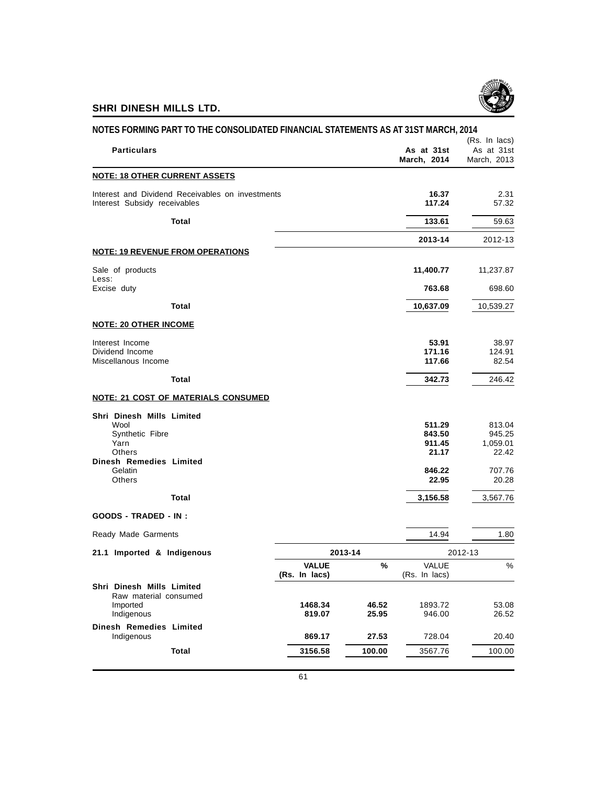

| NOTES FORMING PART TO THE CONSOLIDATED FINANCIAL STATEMENTS AS AT 31ST MARCH, 2014 |                               |         |                           |                                            |
|------------------------------------------------------------------------------------|-------------------------------|---------|---------------------------|--------------------------------------------|
| <b>Particulars</b>                                                                 |                               |         | As at 31st<br>March, 2014 | (Rs. In lacs)<br>As at 31st<br>March, 2013 |
| <b>NOTE: 18 OTHER CURRENT ASSETS</b>                                               |                               |         |                           |                                            |
| Interest and Dividend Receivables on investments<br>Interest Subsidy receivables   |                               |         | 16.37<br>117.24           | 2.31<br>57.32                              |
| Total                                                                              |                               |         | 133.61                    | 59.63                                      |
|                                                                                    |                               |         | 2013-14                   | 2012-13                                    |
| <b>NOTE: 19 REVENUE FROM OPERATIONS</b>                                            |                               |         |                           |                                            |
| Sale of products<br>Less:                                                          |                               |         | 11,400.77                 | 11,237.87                                  |
| Excise duty                                                                        |                               |         | 763.68                    | 698.60                                     |
| Total                                                                              |                               |         | 10,637.09                 | 10,539.27                                  |
| <b>NOTE: 20 OTHER INCOME</b>                                                       |                               |         |                           |                                            |
| Interest Income<br>Dividend Income<br>Miscellanous Income                          |                               |         | 53.91<br>171.16<br>117.66 | 38.97<br>124.91<br>82.54                   |
| Total                                                                              |                               |         | 342.73                    | 246.42                                     |
| <b>NOTE: 21 COST OF MATERIALS CONSUMED</b>                                         |                               |         |                           |                                            |
| Shri Dinesh Mills Limited                                                          |                               |         |                           |                                            |
| Wool<br>Synthetic Fibre                                                            |                               |         | 511.29<br>843.50          | 813.04<br>945.25                           |
| Yarn                                                                               |                               |         | 911.45                    | 1,059.01                                   |
| Others<br>Dinesh Remedies Limited                                                  |                               |         | 21.17                     | 22.42                                      |
| Gelatin<br>Others                                                                  |                               |         | 846.22<br>22.95           | 707.76<br>20.28                            |
| Total                                                                              |                               |         | 3,156.58                  | 3,567.76                                   |
| <b>GOODS - TRADED - IN :</b>                                                       |                               |         |                           |                                            |
| Ready Made Garments                                                                |                               |         | 14.94                     | 1.80                                       |
| 21.1 Imported & Indigenous                                                         |                               | 2013-14 |                           | 2012-13                                    |
|                                                                                    | <b>VALUE</b><br>(Rs. In lacs) | %       | VALUE<br>(Rs. In lacs)    | $\%$                                       |
| Shri Dinesh Mills Limited                                                          |                               |         |                           |                                            |
| Raw material consumed<br>Imported                                                  | 1468.34                       | 46.52   | 1893.72                   | 53.08                                      |
| Indigenous                                                                         | 819.07                        | 25.95   | 946.00                    | 26.52                                      |
| Dinesh Remedies Limited<br>Indigenous                                              | 869.17                        | 27.53   | 728.04                    | 20.40                                      |
| <b>Total</b>                                                                       | 3156.58                       | 100.00  | 3567.76                   | 100.00                                     |
|                                                                                    |                               |         |                           |                                            |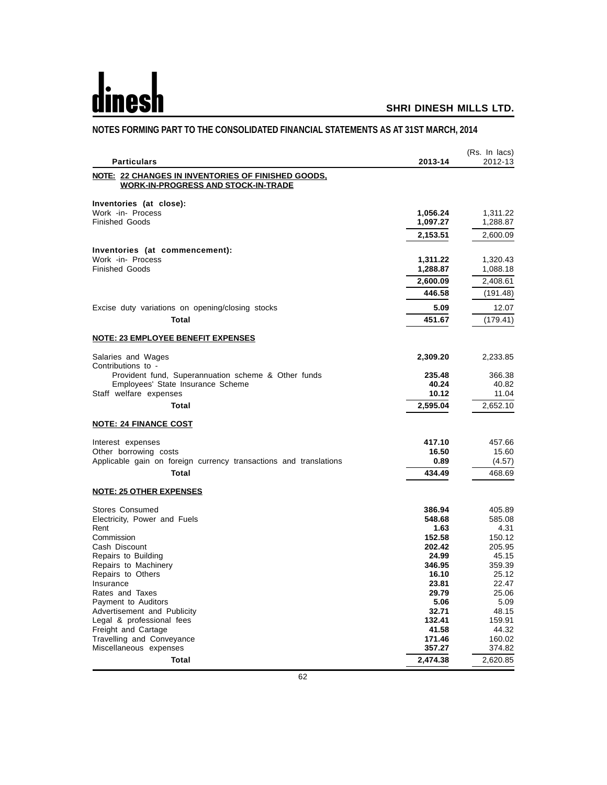# dines

# **SHRI DINESH MILLS LTD.**

| <b>Particulars</b>                                                                               | 2013-14            | (Rs. In lacs)<br>2012-13 |
|--------------------------------------------------------------------------------------------------|--------------------|--------------------------|
| NOTE: 22 CHANGES IN INVENTORIES OF FINISHED GOODS,<br><b>WORK-IN-PROGRESS AND STOCK-IN-TRADE</b> |                    |                          |
| Inventories (at close):                                                                          |                    |                          |
| Work -in- Process                                                                                | 1,056.24           | 1,311.22                 |
| <b>Finished Goods</b>                                                                            | 1,097.27           | 1,288.87                 |
|                                                                                                  | 2,153.51           | 2,600.09                 |
| Inventories (at commencement):                                                                   |                    |                          |
| Work -in- Process<br><b>Finished Goods</b>                                                       | 1,311.22           | 1,320.43                 |
|                                                                                                  | 1,288.87           | 1,088.18                 |
|                                                                                                  | 2,600.09<br>446.58 | 2,408.61<br>(191.48)     |
|                                                                                                  |                    |                          |
| Excise duty variations on opening/closing stocks                                                 | 5.09               | 12.07                    |
| Total                                                                                            | 451.67             | (179.41)                 |
| <b>NOTE: 23 EMPLOYEE BENEFIT EXPENSES</b>                                                        |                    |                          |
| Salaries and Wages                                                                               | 2,309.20           | 2,233.85                 |
| Contributions to -<br>Provident fund, Superannuation scheme & Other funds                        | 235.48             | 366.38                   |
| Employees' State Insurance Scheme                                                                | 40.24              | 40.82                    |
| Staff welfare expenses                                                                           | 10.12              | 11.04                    |
| Total                                                                                            | 2,595.04           | 2,652.10                 |
| <b>NOTE: 24 FINANCE COST</b>                                                                     |                    |                          |
| Interest expenses                                                                                | 417.10             | 457.66                   |
| Other borrowing costs                                                                            | 16.50              | 15.60                    |
| Applicable gain on foreign currency transactions and translations                                | 0.89               | (4.57)                   |
| Total                                                                                            | 434.49             | 468.69                   |
| <u>NOTE: 25 OTHER EXPENSES</u>                                                                   |                    |                          |
| Stores Consumed                                                                                  | 386.94             | 405.89                   |
| Electricity, Power and Fuels                                                                     | 548.68             | 585.08                   |
| Rent                                                                                             | 1.63               | 4.31                     |
| Commission<br>Cash Discount                                                                      | 152.58<br>202.42   | 150.12<br>205.95         |
| Repairs to Building                                                                              | 24.99              | 45.15                    |
| Repairs to Machinery                                                                             | 346.95             | 359.39                   |
| Repairs to Others                                                                                | 16.10              | 25.12                    |
| Insurance                                                                                        | 23.81              | 22.47                    |
| Rates and Taxes<br>Payment to Auditors                                                           | 29.79<br>5.06      | 25.06<br>5.09            |
| Advertisement and Publicity                                                                      | 32.71              | 48.15                    |
| Legal & professional fees                                                                        | 132.41             | 159.91                   |
| Freight and Cartage                                                                              | 41.58              | 44.32                    |
| Travelling and Conveyance<br>Miscellaneous expenses                                              | 171.46<br>357.27   | 160.02<br>374.82         |
| Total                                                                                            | 2,474.38           | 2,620.85                 |
|                                                                                                  |                    |                          |

# **NOTES FORMING PART TO THE CONSOLIDATED FINANCIAL STATEMENTS AS AT 31ST MARCH, 2014**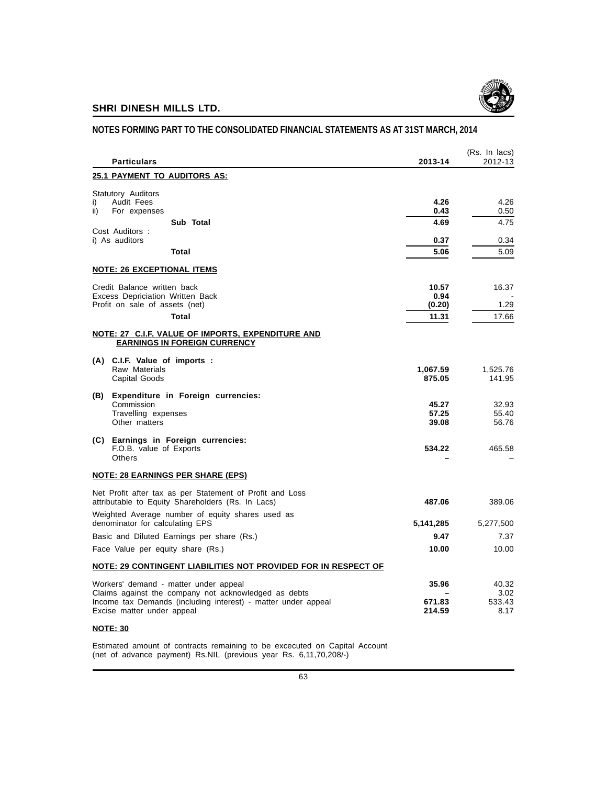

# **NOTES FORMING PART TO THE CONSOLIDATED FINANCIAL STATEMENTS AS AT 31ST MARCH, 2014**

| <b>Particulars</b>                                                                                            | 2013-14                 | (Rs. In lacs)<br>2012-13 |
|---------------------------------------------------------------------------------------------------------------|-------------------------|--------------------------|
| <b>25.1 PAYMENT TO AUDITORS AS:</b>                                                                           |                         |                          |
| Statutory Auditors<br>Audit Fees<br>i)<br>ii)<br>For expenses                                                 | 4.26<br>0.43<br>4.69    | 4.26<br>0.50             |
| Sub Total<br>Cost Auditors:<br>i) As auditors<br>Total                                                        | 0.37<br>5.06            | 4.75<br>0.34<br>5.09     |
|                                                                                                               |                         |                          |
| <b>NOTE: 26 EXCEPTIONAL ITEMS</b>                                                                             |                         |                          |
| Credit Balance written back<br>Excess Depriciation Written Back<br>Profit on sale of assets (net)             | 10.57<br>0.94<br>(0.20) | 16.37<br>1.29            |
| <b>Total</b>                                                                                                  | 11.31                   | 17.66                    |
| NOTE: 27 C.I.F. VALUE OF IMPORTS, EXPENDITURE AND<br><b>EARNINGS IN FOREIGN CURRENCY</b>                      |                         |                          |
| (A) C.I.F. Value of imports :<br>Raw Materials<br>Capital Goods                                               | 1,067.59<br>875.05      | 1,525.76<br>141.95       |
| (B) Expenditure in Foreign currencies:<br>Commission<br>Travelling expenses<br>Other matters                  | 45.27<br>57.25<br>39.08 | 32.93<br>55.40<br>56.76  |
| (C) Earnings in Foreign currencies:<br>F.O.B. value of Exports<br><b>Others</b>                               | 534.22                  | 465.58                   |
| <u>NOTE: 28 EARNINGS PER SHARE (EPS)</u>                                                                      |                         |                          |
| Net Profit after tax as per Statement of Profit and Loss<br>attributable to Equity Shareholders (Rs. In Lacs) | 487.06                  | 389.06                   |
| Weighted Average number of equity shares used as<br>denominator for calculating EPS                           | 5,141,285               | 5,277,500                |
| Basic and Diluted Earnings per share (Rs.)                                                                    | 9.47                    | 7.37                     |
| Face Value per equity share (Rs.)                                                                             | 10.00                   | 10.00                    |
| NOTE: 29 CONTINGENT LIABILITIES NOT PROVIDED FOR IN RESPECT OF                                                |                         |                          |
| Workers' demand - matter under appeal<br>35.96<br>Claims against the company not acknowledged as debts        |                         | 40.32<br>3.02            |
| Income tax Demands (including interest) - matter under appeal<br>Excise matter under appeal                   | 671.83<br>214.59        | 533.43<br>8.17           |
| <b>NOTE: 30</b>                                                                                               |                         |                          |

Estimated amount of contracts remaining to be excecuted on Capital Account (net of advance payment) Rs.NIL (previous year Rs. 6,11,70,208/-)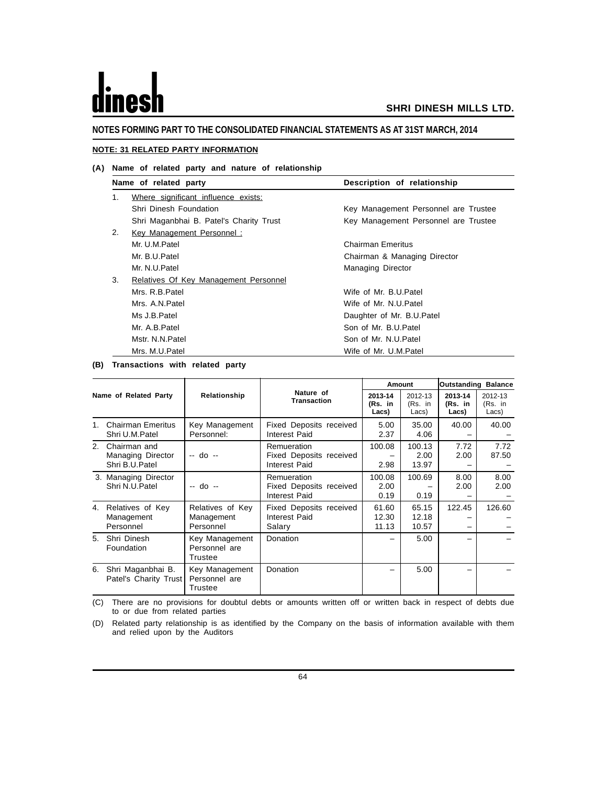# **NOTES FORMING PART TO THE CONSOLIDATED FINANCIAL STATEMENTS AS AT 31ST MARCH, 2014**

### **NOTE: 31 RELATED PARTY INFORMATION**

#### **(A) Name of related party and nature of relationship**

|    | Name of related party                   | Description of relationship          |  |  |  |
|----|-----------------------------------------|--------------------------------------|--|--|--|
| 1. | Where significant influence exists:     |                                      |  |  |  |
|    | Shri Dinesh Foundation                  | Key Management Personnel are Trustee |  |  |  |
|    | Shri Maganbhai B. Patel's Charity Trust | Key Management Personnel are Trustee |  |  |  |
| 2. | Key Management Personnel:               |                                      |  |  |  |
|    | Mr. U.M.Patel                           | <b>Chairman Emeritus</b>             |  |  |  |
|    | Mr. B.U.Patel                           | Chairman & Managing Director         |  |  |  |
|    | Mr. N.U.Patel                           | <b>Managing Director</b>             |  |  |  |
| 3. | Relatives Of Key Management Personnel   |                                      |  |  |  |
|    | Mrs. R.B.Patel                          | Wife of Mr. B.U. Patel               |  |  |  |
|    | Mrs. A.N.Patel                          | Wife of Mr. N.U.Patel                |  |  |  |
|    | Ms J.B.Patel                            | Daughter of Mr. B.U.Patel            |  |  |  |
|    | Mr. A.B.Patel                           | Son of Mr. B.U.Patel                 |  |  |  |
|    | Mstr. N.N.Patel                         | Son of Mr. N.U.Patel                 |  |  |  |
|    | Mrs. M.U.Patel                          | Wife of Mr. U.M.Patel                |  |  |  |

### **(B) Transactions with related party**

|                       |                                                     |                                                 |                                                                | Amount                      |                             | <b>Outstanding Balance</b>  |                             |  |
|-----------------------|-----------------------------------------------------|-------------------------------------------------|----------------------------------------------------------------|-----------------------------|-----------------------------|-----------------------------|-----------------------------|--|
| Name of Related Party |                                                     | Nature of<br>Relationship<br><b>Transaction</b> |                                                                | 2013-14<br>(Rs. in<br>Lacs) | 2012-13<br>(Rs. in<br>Lacs) | 2013-14<br>(Rs. in<br>Lacs) | 2012-13<br>(Rs. in<br>Lacs) |  |
| $1_{-}$               | <b>Chairman Emeritus</b><br>Shri U.M.Patel          | Key Management<br>Personnel:                    | Fixed Deposits received<br>Interest Paid                       | 5.00<br>2.37                | 35.00<br>4.06               | 40.00                       | 40.00                       |  |
| 2.                    | Chairman and<br>Managing Director<br>Shri B.U.Patel | -- do --                                        | Remueration<br>Fixed Deposits received<br>Interest Paid        | 100.08<br>2.98              | 100.13<br>2.00<br>13.97     | 7.72<br>2.00                | 7.72<br>87.50               |  |
|                       | 3. Managing Director<br>Shri N.U.Patel              | -- do --                                        | Remueration<br><b>Fixed Deposits received</b><br>Interest Paid | 100.08<br>2.00<br>0.19      | 100.69<br>0.19              | 8.00<br>2.00                | 8.00<br>2.00                |  |
| 4.                    | Relatives of Key<br>Management<br>Personnel         | Relatives of Key<br>Management<br>Personnel     | Fixed Deposits received<br>Interest Paid<br>Salary             | 61.60<br>12.30<br>11.13     | 65.15<br>12.18<br>10.57     | 122.45                      | 126.60                      |  |
| 5.                    | Shri Dinesh<br>Foundation                           | Key Management<br>Personnel are<br>Trustee      | Donation                                                       |                             | 5.00                        |                             |                             |  |
| 6.                    | Shri Maganbhai B.<br>Patel's Charity Trust          | Key Management<br>Personnel are<br>Trustee      | Donation                                                       |                             | 5.00                        |                             |                             |  |

(C) There are no provisions for doubtul debts or amounts written off or written back in respect of debts due to or due from related parties

(D) Related party relationship is as identified by the Company on the basis of information available with them and relied upon by the Auditors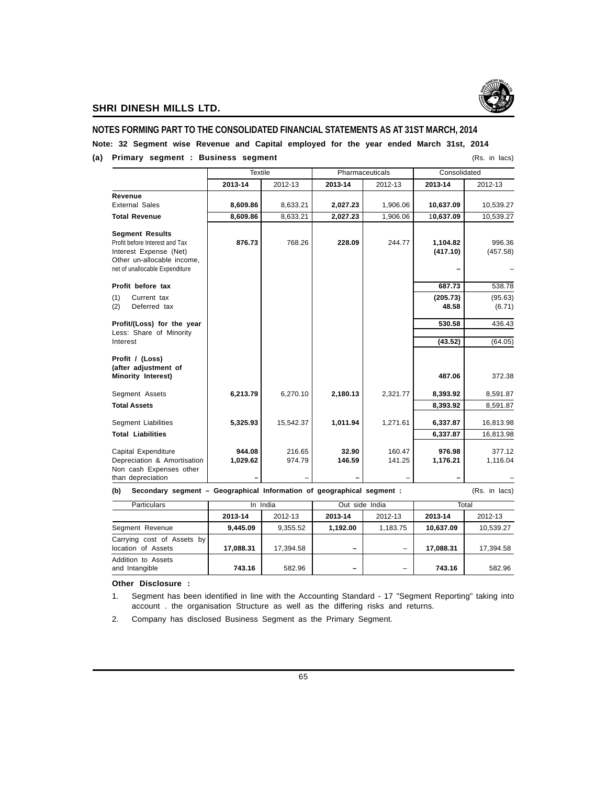

### **NOTES FORMING PART TO THE CONSOLIDATED FINANCIAL STATEMENTS AS AT 31ST MARCH, 2014**

**Note: 32 Segment wise Revenue and Capital employed for the year ended March 31st, 2014**

### **(a) Primary segment : Business segment** (Rs. in lacs)

|                                                                                                                                                    | <b>Textile</b>     |                  |                 | Pharmaceuticals  | Consolidated         |                    |
|----------------------------------------------------------------------------------------------------------------------------------------------------|--------------------|------------------|-----------------|------------------|----------------------|--------------------|
|                                                                                                                                                    | 2013-14            | 2012-13          | 2013-14         | 2012-13          | 2013-14              | 2012-13            |
| Revenue<br><b>External Sales</b>                                                                                                                   | 8,609.86           | 8,633.21         | 2,027.23        | 1,906.06         | 10,637.09            | 10,539.27          |
| <b>Total Revenue</b>                                                                                                                               | 8,609.86           | 8,633.21         | 2,027.23        | 1,906.06         | 10,637.09            | 10,539.27          |
| <b>Segment Results</b><br>Profit before Interest and Tax<br>Interest Expense (Net)<br>Other un-allocable income,<br>net of unallocable Expenditure | 876.73             | 768.26           | 228.09          | 244.77           | 1,104.82<br>(417.10) | 996.36<br>(457.58) |
| Profit before tax                                                                                                                                  |                    |                  |                 |                  | 687.73               | 538.78             |
| (1)<br>Current tax<br>Deferred tax<br>(2)                                                                                                          |                    |                  |                 |                  | (205.73)<br>48.58    | (95.63)<br>(6.71)  |
| Profit/(Loss) for the year                                                                                                                         |                    |                  |                 |                  | 530.58               | 436.43             |
| Less: Share of Minority<br>Interest                                                                                                                |                    |                  |                 |                  | (43.52)              | (64.05)            |
| Profit / (Loss)<br>(after adjustment of<br>Minority Interest)                                                                                      |                    |                  |                 |                  | 487.06               | 372.38             |
| Segment Assets                                                                                                                                     | 6,213.79           | 6,270.10         | 2,180.13        | 2,321.77         | 8,393.92             | 8,591.87           |
| <b>Total Assets</b>                                                                                                                                |                    |                  |                 |                  | 8,393.92             | 8,591.87           |
| Segment Liabilities                                                                                                                                | 5,325.93           | 15,542.37        | 1,011.94        | 1,271.61         | 6,337.87             | 16,813.98          |
| <b>Total Liabilities</b>                                                                                                                           |                    |                  |                 |                  | 6,337.87             | 16,813.98          |
| Capital Expenditure<br>Depreciation & Amortisation<br>Non cash Expenses other<br>than depreciation                                                 | 944.08<br>1,029.62 | 216.65<br>974.79 | 32.90<br>146.59 | 160.47<br>141.25 | 976.98<br>1,176.21   | 377.12<br>1,116.04 |
| Secondary segment - Geographical Information of geographical segment :<br>(b)                                                                      |                    |                  |                 |                  |                      | (Rs. in lacs)      |

| <b>Particulars</b>                               |           | In India  | Out side India | Total                    |           |           |
|--------------------------------------------------|-----------|-----------|----------------|--------------------------|-----------|-----------|
|                                                  | 2013-14   | 2012-13   | 2013-14        | 2012-13                  | 2013-14   | 2012-13   |
| Segment Revenue                                  | 9.445.09  | 9.355.52  | 1.192.00       | 1.183.75                 | 10.637.09 | 10.539.27 |
| Carrying cost of Assets by<br>location of Assets | 17.088.31 | 17.394.58 | -              | $\overline{\phantom{0}}$ | 17.088.31 | 17.394.58 |
| Addition to Assets<br>and Intangible             | 743.16    | 582.96    | -              | -                        | 743.16    | 582.96    |

#### **Other Disclosure :**

1. Segment has been identified in line with the Accounting Standard - 17 "Segment Reporting" taking into account . the organisation Structure as well as the differing risks and returns.

2. Company has disclosed Business Segment as the Primary Segment.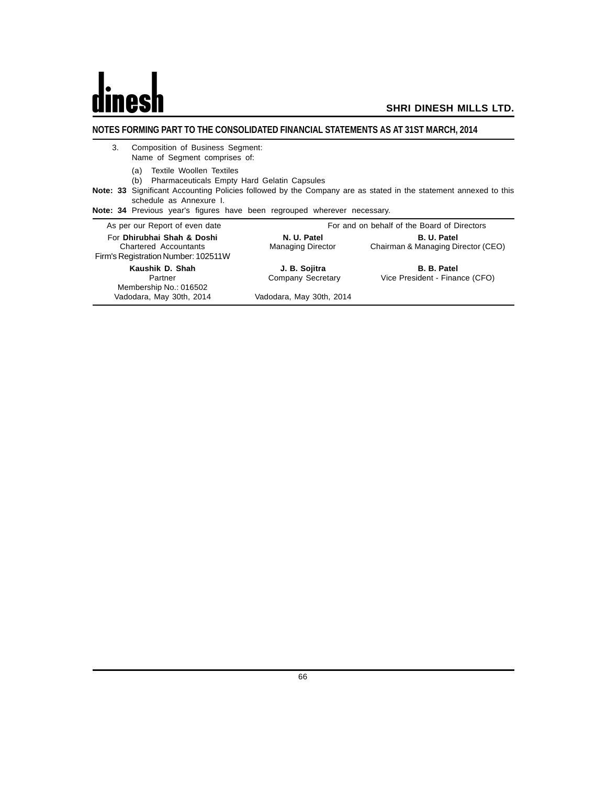# **NOTES FORMING PART TO THE CONSOLIDATED FINANCIAL STATEMENTS AS AT 31ST MARCH, 2014**

- 3. Composition of Business Segment: Name of Segment comprises of:
	- (a) Textile Woollen Textiles
	- (b) Pharmaceuticals Empty Hard Gelatin Capsules
- **Note: 33** Significant Accounting Policies followed by the Company are as stated in the statement annexed to this schedule as Annexure I.

**Note: 34** Previous year's figures have been regrouped wherever necessary.

| As per our Report of even date                                                             | For and on behalf of the Board of Directors |                                                          |  |  |
|--------------------------------------------------------------------------------------------|---------------------------------------------|----------------------------------------------------------|--|--|
| For Dhirubhai Shah & Doshi<br>Chartered Accountants<br>Firm's Registration Number: 102511W | N. U. Patel<br><b>Managing Director</b>     | <b>B. U. Patel</b><br>Chairman & Managing Director (CEO) |  |  |
| Kaushik D. Shah<br>Partner<br>Membership No.: 016502                                       | J. B. Sojitra<br>Company Secretary          | <b>B. B. Patel</b><br>Vice President - Finance (CFO)     |  |  |
| Vadodara, May 30th, 2014                                                                   | Vadodara, May 30th, 2014                    |                                                          |  |  |
|                                                                                            |                                             |                                                          |  |  |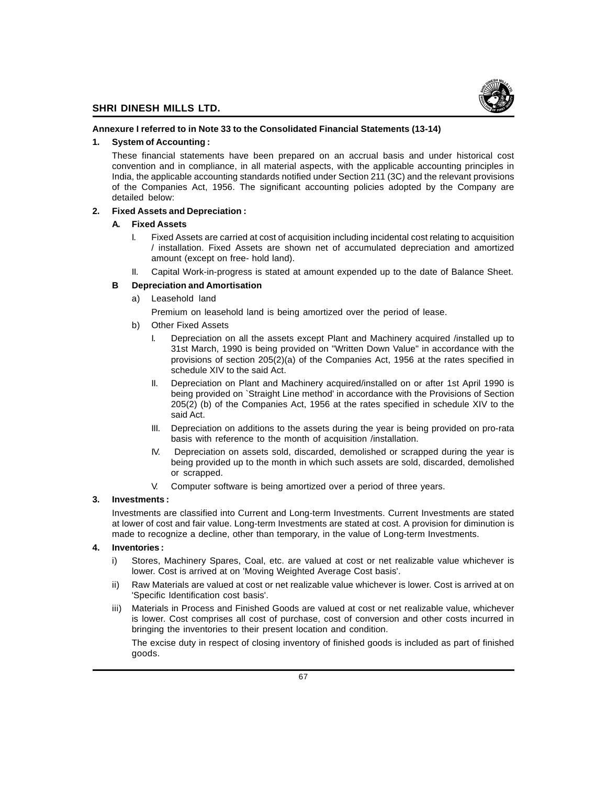

#### **Annexure I referred to in Note 33 to the Consolidated Financial Statements (13-14)**

#### **1. System of Accounting :**

These financial statements have been prepared on an accrual basis and under historical cost convention and in compliance, in all material aspects, with the applicable accounting principles in India, the applicable accounting standards notified under Section 211 (3C) and the relevant provisions of the Companies Act, 1956. The significant accounting policies adopted by the Company are detailed below:

#### **2. Fixed Assets and Depreciation :**

#### **A. Fixed Assets**

- I. Fixed Assets are carried at cost of acquisition including incidental cost relating to acquisition / installation. Fixed Assets are shown net of accumulated depreciation and amortized amount (except on free- hold land).
- II. Capital Work-in-progress is stated at amount expended up to the date of Balance Sheet.

#### **B Depreciation and Amortisation**

a) Leasehold land

Premium on leasehold land is being amortized over the period of lease.

- b) Other Fixed Assets
	- I. Depreciation on all the assets except Plant and Machinery acquired /installed up to 31st March, 1990 is being provided on "Written Down Value" in accordance with the provisions of section  $205(2)(a)$  of the Companies Act, 1956 at the rates specified in schedule XIV to the said Act.
	- II. Depreciation on Plant and Machinery acquired/installed on or after 1st April 1990 is being provided on `Straight Line method' in accordance with the Provisions of Section 205(2) (b) of the Companies Act, 1956 at the rates specified in schedule XIV to the said Act.
	- III. Depreciation on additions to the assets during the year is being provided on pro-rata basis with reference to the month of acquisition /installation.
	- IV. Depreciation on assets sold, discarded, demolished or scrapped during the year is being provided up to the month in which such assets are sold, discarded, demolished or scrapped.
	- V. Computer software is being amortized over a period of three years.

#### **3. Investments :**

Investments are classified into Current and Long-term Investments. Current Investments are stated at lower of cost and fair value. Long-term Investments are stated at cost. A provision for diminution is made to recognize a decline, other than temporary, in the value of Long-term Investments.

#### **4. Inventories :**

- i) Stores, Machinery Spares, Coal, etc. are valued at cost or net realizable value whichever is lower. Cost is arrived at on 'Moving Weighted Average Cost basis'.
- ii) Raw Materials are valued at cost or net realizable value whichever is lower. Cost is arrived at on 'Specific Identification cost basis'.
- iii) Materials in Process and Finished Goods are valued at cost or net realizable value, whichever is lower. Cost comprises all cost of purchase, cost of conversion and other costs incurred in bringing the inventories to their present location and condition.

The excise duty in respect of closing inventory of finished goods is included as part of finished goods.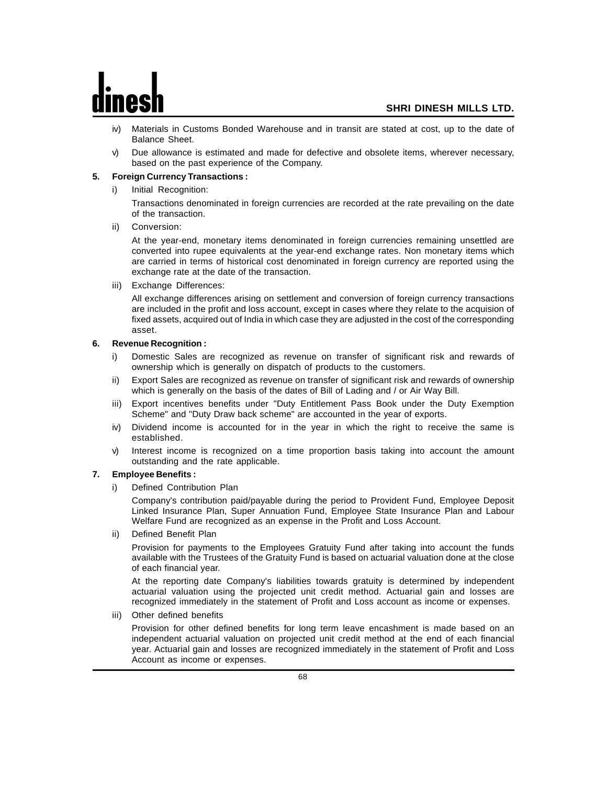- iv) Materials in Customs Bonded Warehouse and in transit are stated at cost, up to the date of Balance Sheet.
- v) Due allowance is estimated and made for defective and obsolete items, wherever necessary, based on the past experience of the Company.

# **5. Foreign Currency Transactions :**

i) Initial Recognition:

Transactions denominated in foreign currencies are recorded at the rate prevailing on the date of the transaction.

ii) Conversion:

At the year-end, monetary items denominated in foreign currencies remaining unsettled are converted into rupee equivalents at the year-end exchange rates. Non monetary items which are carried in terms of historical cost denominated in foreign currency are reported using the exchange rate at the date of the transaction.

iii) Exchange Differences:

All exchange differences arising on settlement and conversion of foreign currency transactions are included in the profit and loss account, except in cases where they relate to the acquision of fixed assets, acquired out of India in which case they are adjusted in the cost of the corresponding asset.

# **6. Revenue Recognition :**

- i) Domestic Sales are recognized as revenue on transfer of significant risk and rewards of ownership which is generally on dispatch of products to the customers.
- ii) Export Sales are recognized as revenue on transfer of significant risk and rewards of ownership which is generally on the basis of the dates of Bill of Lading and / or Air Way Bill.
- iii) Export incentives benefits under "Duty Entitlement Pass Book under the Duty Exemption Scheme" and "Duty Draw back scheme" are accounted in the year of exports.
- iv) Dividend income is accounted for in the year in which the right to receive the same is established.
- v) Interest income is recognized on a time proportion basis taking into account the amount outstanding and the rate applicable.

# **7. Employee Benefits :**

i) Defined Contribution Plan

Company's contribution paid/payable during the period to Provident Fund, Employee Deposit Linked Insurance Plan, Super Annuation Fund, Employee State Insurance Plan and Labour Welfare Fund are recognized as an expense in the Profit and Loss Account.

ii) Defined Benefit Plan

Provision for payments to the Employees Gratuity Fund after taking into account the funds available with the Trustees of the Gratuity Fund is based on actuarial valuation done at the close of each financial year.

At the reporting date Company's liabilities towards gratuity is determined by independent actuarial valuation using the projected unit credit method. Actuarial gain and losses are recognized immediately in the statement of Profit and Loss account as income or expenses.

iii) Other defined benefits

Provision for other defined benefits for long term leave encashment is made based on an independent actuarial valuation on projected unit credit method at the end of each financial year. Actuarial gain and losses are recognized immediately in the statement of Profit and Loss Account as income or expenses.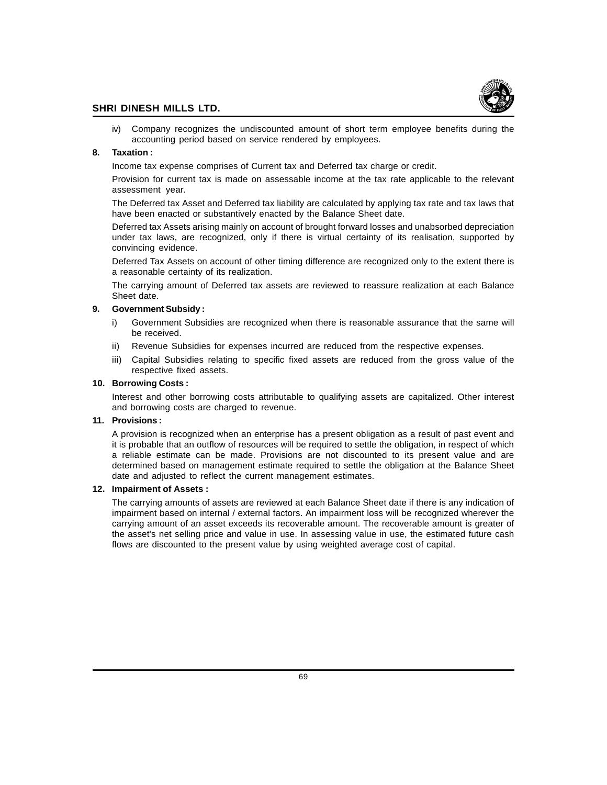

iv) Company recognizes the undiscounted amount of short term employee benefits during the accounting period based on service rendered by employees.

#### **8. Taxation :**

Income tax expense comprises of Current tax and Deferred tax charge or credit.

Provision for current tax is made on assessable income at the tax rate applicable to the relevant assessment year.

The Deferred tax Asset and Deferred tax liability are calculated by applying tax rate and tax laws that have been enacted or substantively enacted by the Balance Sheet date.

Deferred tax Assets arising mainly on account of brought forward losses and unabsorbed depreciation under tax laws, are recognized, only if there is virtual certainty of its realisation, supported by convincing evidence.

Deferred Tax Assets on account of other timing difference are recognized only to the extent there is a reasonable certainty of its realization.

The carrying amount of Deferred tax assets are reviewed to reassure realization at each Balance Sheet date.

#### **9. Government Subsidy :**

- i) Government Subsidies are recognized when there is reasonable assurance that the same will be received.
- ii) Revenue Subsidies for expenses incurred are reduced from the respective expenses.
- iii) Capital Subsidies relating to specific fixed assets are reduced from the gross value of the respective fixed assets.

#### **10. Borrowing Costs :**

Interest and other borrowing costs attributable to qualifying assets are capitalized. Other interest and borrowing costs are charged to revenue.

#### **11. Provisions :**

A provision is recognized when an enterprise has a present obligation as a result of past event and it is probable that an outflow of resources will be required to settle the obligation, in respect of which a reliable estimate can be made. Provisions are not discounted to its present value and are determined based on management estimate required to settle the obligation at the Balance Sheet date and adjusted to reflect the current management estimates.

#### **12. Impairment of Assets :**

The carrying amounts of assets are reviewed at each Balance Sheet date if there is any indication of impairment based on internal / external factors. An impairment loss will be recognized wherever the carrying amount of an asset exceeds its recoverable amount. The recoverable amount is greater of the asset's net selling price and value in use. In assessing value in use, the estimated future cash flows are discounted to the present value by using weighted average cost of capital.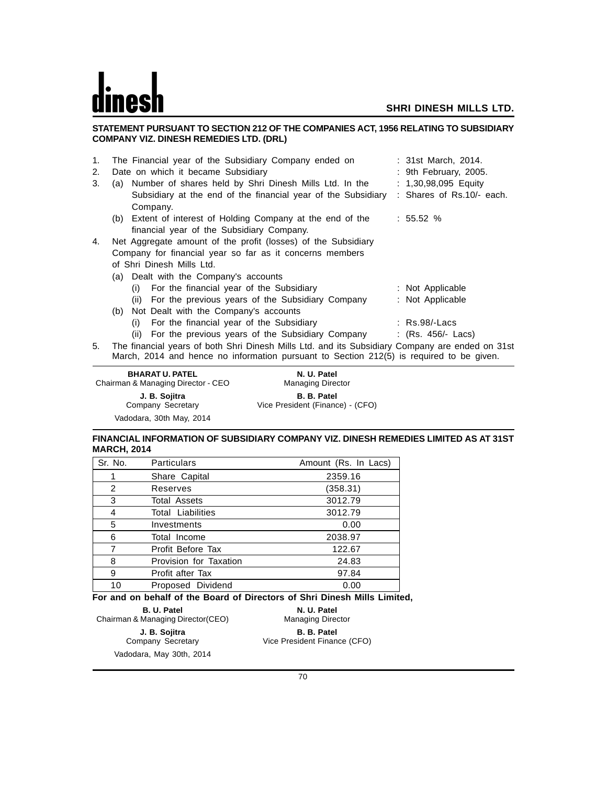#### **STATEMENT PURSUANT TO SECTION 212 OF THE COMPANIES ACT, 1956 RELATING TO SUBSIDIARY COMPANY VIZ. DINESH REMEDIES LTD. (DRL)**

| 1. | The Financial year of the Subsidiary Company ended on                                           | : 31st March, 2014.       |
|----|-------------------------------------------------------------------------------------------------|---------------------------|
| 2. | Date on which it became Subsidiary                                                              | : 9th February, 2005.     |
| 3. | (a) Number of shares held by Shri Dinesh Mills Ltd. In the                                      | : 1,30,98,095 Equity      |
|    | Subsidiary at the end of the financial year of the Subsidiary                                   | : Shares of Rs.10/- each. |
|    | Company.                                                                                        |                           |
|    | (b) Extent of interest of Holding Company at the end of the                                     | : 55.52 %                 |
|    | financial year of the Subsidiary Company.                                                       |                           |
| 4. | Net Aggregate amount of the profit (losses) of the Subsidiary                                   |                           |
|    | Company for financial year so far as it concerns members                                        |                           |
|    | of Shri Dinesh Mills Ltd.                                                                       |                           |
|    | (a) Dealt with the Company's accounts                                                           |                           |
|    | (i) For the financial year of the Subsidiary                                                    | : Not Applicable          |
|    | For the previous years of the Subsidiary Company<br>(11)                                        | : Not Applicable          |
|    | (b) Not Dealt with the Company's accounts                                                       |                           |
|    | For the financial year of the Subsidiary<br>(1)                                                 | $:$ Rs.98/-Lacs           |
|    | (ii) For the previous years of the Subsidiary Company                                           | : $(Rs. 456/- Lacs)$      |
| 5. | The financial years of both Shri Dinesh Mills Ltd. and its Subsidiary Company are ended on 31st |                           |
|    | March, 2014 and hence no information pursuant to Section 212(5) is required to be given.        |                           |

**BHARAT U. PATEL N. U. Patel N. U. Patel**<br>n & Managing Director - CEO Managing Director Chairman & Managing Director - CEO **J. B. Sojitra B. B. Patel**<br>Company Secretary **B. B. Patel** Company Secretary **B. B. Patel** Vadodara, 30th May, 2014

Vice President (Finance) - (CFO)

# **FINANCIAL INFORMATION OF SUBSIDIARY COMPANY VIZ. DINESH REMEDIES LIMITED AS AT 31ST MARCH, 2014**

| Sr. No. | Particulars              | Amount (Rs. In Lacs) |
|---------|--------------------------|----------------------|
|         | Share Capital            | 2359.16              |
| 2       | Reserves                 | (358.31)             |
| 3       | <b>Total Assets</b>      | 3012.79              |
| 4       | <b>Total Liabilities</b> | 3012.79              |
| 5       | Investments              | 0.00                 |
| 6       | Total Income             | 2038.97              |
| 7       | Profit Before Tax        | 122.67               |
| 8       | Provision for Taxation   | 24.83                |
| 9       | Profit after Tax         | 97.84                |
| 10      | Proposed Dividend        | 0.00                 |

**For and on behalf of the Board of Directors of Shri Dinesh Mills Limited, B. U. Patel N. U. Patel N. U. Patel Nanaging Director (CEO)** Managing Director Chairman & Managing Director(CEO)

**J. B. Sojitra B. B. Patel**<br>Company Secretary **B. B. Patel** Vadodara, May 30th, 2014

Vice President Finance (CFO)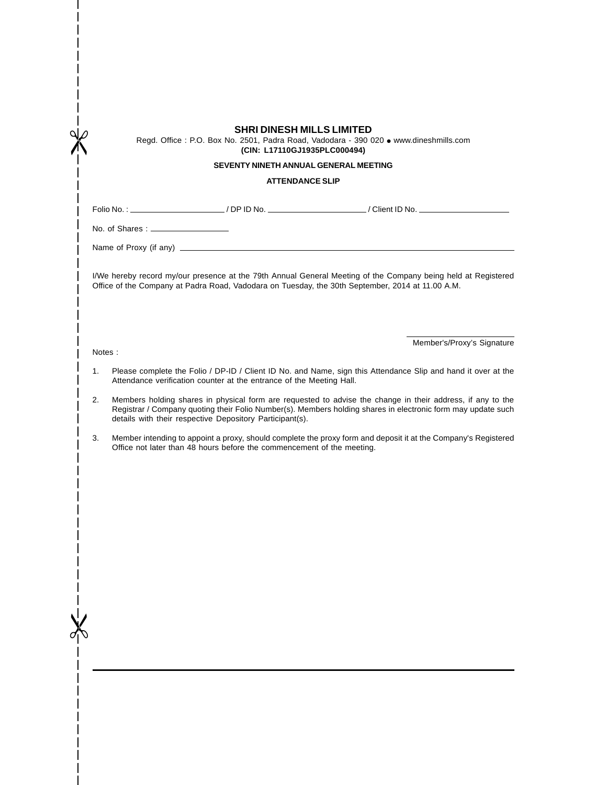|                                       | Regd. Office : P.O. Box No. 2501, Padra Road, Vadodara - 390 020 · www.dineshmills.com<br>(CIN: L17110GJ1935PLC000494)                                                                                                                                                                 |  |  |
|---------------------------------------|----------------------------------------------------------------------------------------------------------------------------------------------------------------------------------------------------------------------------------------------------------------------------------------|--|--|
| SEVENTY NINETH ANNUAL GENERAL MEETING |                                                                                                                                                                                                                                                                                        |  |  |
|                                       | <b>ATTENDANCE SLIP</b>                                                                                                                                                                                                                                                                 |  |  |
|                                       | Folio No. : ____________________________/ DP ID No. ________________________/ Client ID No. _________________                                                                                                                                                                          |  |  |
|                                       |                                                                                                                                                                                                                                                                                        |  |  |
|                                       |                                                                                                                                                                                                                                                                                        |  |  |
|                                       | Office of the Company at Padra Road, Vadodara on Tuesday, the 30th September, 2014 at 11.00 A.M.                                                                                                                                                                                       |  |  |
|                                       | Member's/Proxy's Signature<br>Notes:                                                                                                                                                                                                                                                   |  |  |
| 1.                                    | Please complete the Folio / DP-ID / Client ID No. and Name, sign this Attendance Slip and hand it over at the<br>Attendance verification counter at the entrance of the Meeting Hall.                                                                                                  |  |  |
| 2.                                    | Members holding shares in physical form are requested to advise the change in their address, if any to the<br>Registrar / Company quoting their Folio Number(s). Members holding shares in electronic form may update such<br>details with their respective Depository Participant(s). |  |  |
| 3.                                    | Member intending to appoint a proxy, should complete the proxy form and deposit it at the Company's Registered<br>Office not later than 48 hours before the commencement of the meeting.                                                                                               |  |  |
|                                       |                                                                                                                                                                                                                                                                                        |  |  |
|                                       |                                                                                                                                                                                                                                                                                        |  |  |
|                                       |                                                                                                                                                                                                                                                                                        |  |  |
|                                       |                                                                                                                                                                                                                                                                                        |  |  |
|                                       |                                                                                                                                                                                                                                                                                        |  |  |
|                                       |                                                                                                                                                                                                                                                                                        |  |  |
|                                       |                                                                                                                                                                                                                                                                                        |  |  |
|                                       |                                                                                                                                                                                                                                                                                        |  |  |
|                                       |                                                                                                                                                                                                                                                                                        |  |  |
|                                       |                                                                                                                                                                                                                                                                                        |  |  |